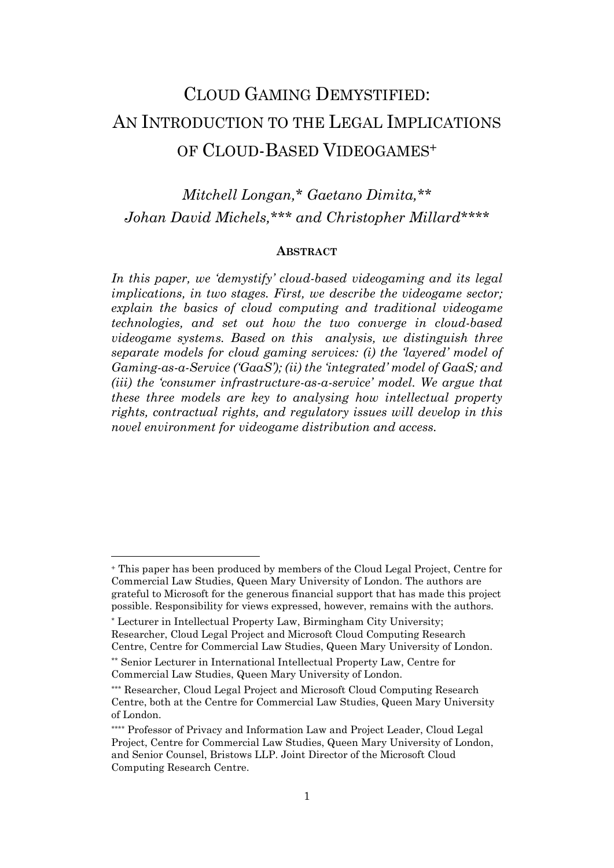# CLOUD GAMING DEMYSTIFIED: AN INTRODUCTION TO THE LEGAL IMPLICATIONS OF CLOUD-BASED VIDEOGAMES<sup>+</sup>

# *Mitchell Longan,\* Gaetano Dimita,\*\* Johan David Michels,\*\*\* and Christopher Millard\*\*\*\**

#### **ABSTRACT**

*In this paper, we 'demystify' cloud-based videogaming and its legal implications, in two stages. First, we describe the videogame sector; explain the basics of cloud computing and traditional videogame technologies, and set out how the two converge in cloud-based videogame systems. Based on this analysis, we distinguish three separate models for cloud gaming services: (i) the 'layered' model of Gaming-as-a-Service ('GaaS'); (ii) the 'integrated' model of GaaS; and (iii) the 'consumer infrastructure-as-a-service' model. We argue that these three models are key to analysing how intellectual property rights, contractual rights, and regulatory issues will develop in this novel environment for videogame distribution and access.* 

<sup>+</sup> This paper has been produced by members of the Cloud Legal Project, Centre for Commercial Law Studies, Queen Mary University of London. The authors are grateful to Microsoft for the generous financial support that has made this project possible. Responsibility for views expressed, however, remains with the authors.

<sup>\*</sup> Lecturer in Intellectual Property Law, Birmingham City University; Researcher, Cloud Legal Project and Microsoft Cloud Computing Research Centre, Centre for Commercial Law Studies, Queen Mary University of London.

<sup>\*\*</sup> Senior Lecturer in International Intellectual Property Law, Centre for Commercial Law Studies, Queen Mary University of London.

<sup>\*\*\*</sup> Researcher, Cloud Legal Project and Microsoft Cloud Computing Research Centre, both at the Centre for Commercial Law Studies, Queen Mary University of London.

<sup>\*\*\*\*</sup> Professor of Privacy and Information Law and Project Leader, Cloud Legal Project, Centre for Commercial Law Studies, Queen Mary University of London, and Senior Counsel, Bristows LLP. Joint Director of the Microsoft Cloud Computing Research Centre.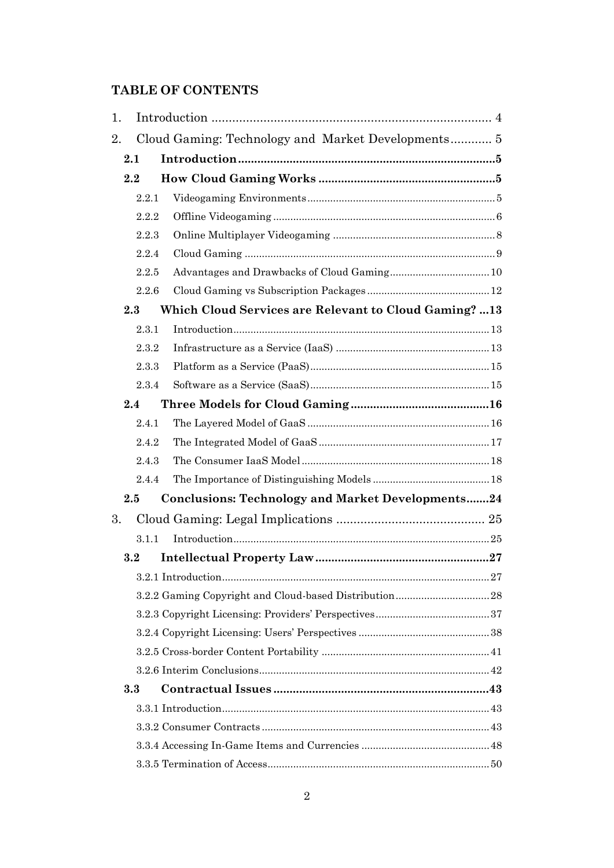# **TABLE OF CONTENTS**

| 1. |                                                    |                                                          |  |  |  |  |  |
|----|----------------------------------------------------|----------------------------------------------------------|--|--|--|--|--|
| 2. | Cloud Gaming: Technology and Market Developments 5 |                                                          |  |  |  |  |  |
|    | 2.1                                                |                                                          |  |  |  |  |  |
|    | 2.2                                                |                                                          |  |  |  |  |  |
|    | 2.2.1                                              |                                                          |  |  |  |  |  |
|    | 2.2.2                                              |                                                          |  |  |  |  |  |
|    | 2.2.3                                              |                                                          |  |  |  |  |  |
|    | 2.2.4                                              |                                                          |  |  |  |  |  |
|    | 2.2.5                                              |                                                          |  |  |  |  |  |
|    | 2.2.6                                              |                                                          |  |  |  |  |  |
|    | 2.3                                                | Which Cloud Services are Relevant to Cloud Gaming? 13    |  |  |  |  |  |
|    | 2.3.1                                              |                                                          |  |  |  |  |  |
|    | 2.3.2                                              |                                                          |  |  |  |  |  |
|    | 2.3.3                                              |                                                          |  |  |  |  |  |
|    | 2.3.4                                              |                                                          |  |  |  |  |  |
|    | 2.4                                                |                                                          |  |  |  |  |  |
|    | 2.4.1                                              |                                                          |  |  |  |  |  |
|    | 2.4.2                                              |                                                          |  |  |  |  |  |
|    | 2.4.3                                              |                                                          |  |  |  |  |  |
|    | 2.4.4                                              |                                                          |  |  |  |  |  |
|    | 2.5                                                | <b>Conclusions: Technology and Market Developments24</b> |  |  |  |  |  |
| 3. |                                                    |                                                          |  |  |  |  |  |
|    | 3.1.1                                              |                                                          |  |  |  |  |  |
|    | 3.2                                                |                                                          |  |  |  |  |  |
|    |                                                    |                                                          |  |  |  |  |  |
|    |                                                    |                                                          |  |  |  |  |  |
|    |                                                    |                                                          |  |  |  |  |  |
|    |                                                    |                                                          |  |  |  |  |  |
|    |                                                    |                                                          |  |  |  |  |  |
|    |                                                    |                                                          |  |  |  |  |  |
|    | 3.3                                                |                                                          |  |  |  |  |  |
|    |                                                    |                                                          |  |  |  |  |  |
|    |                                                    |                                                          |  |  |  |  |  |
|    |                                                    |                                                          |  |  |  |  |  |
|    |                                                    |                                                          |  |  |  |  |  |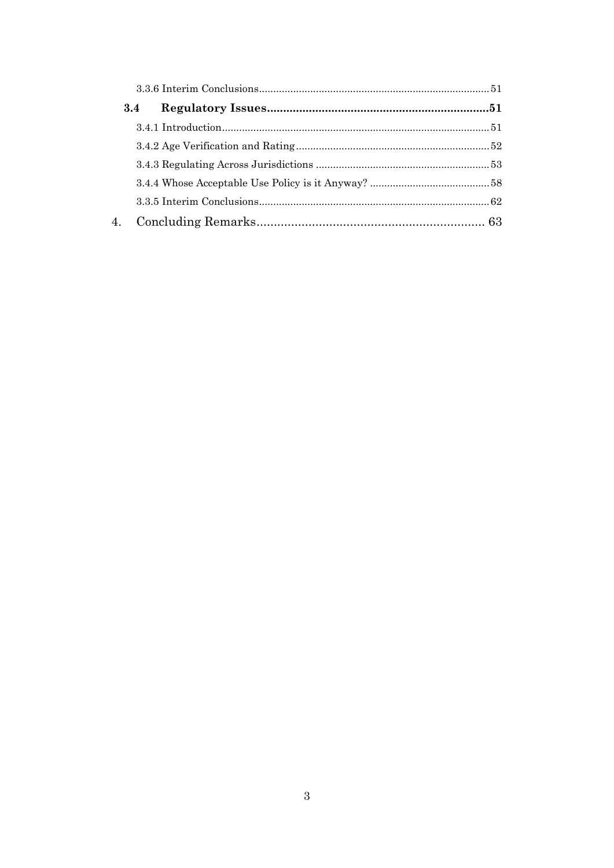| 3.4 |  |  |
|-----|--|--|
|     |  |  |
|     |  |  |
|     |  |  |
|     |  |  |
|     |  |  |
|     |  |  |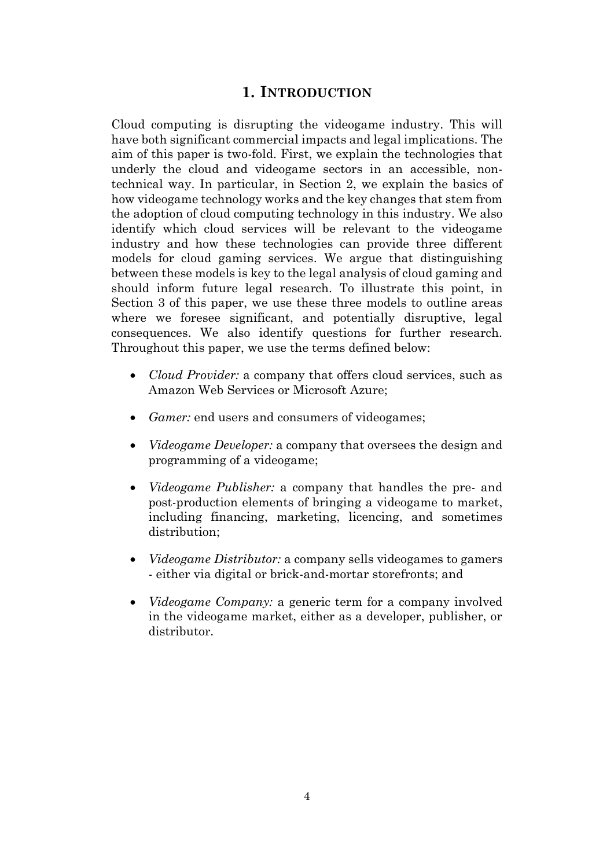# **1. INTRODUCTION**

<span id="page-3-0"></span>Cloud computing is disrupting the videogame industry. This will have both significant commercial impacts and legal implications. The aim of this paper is two-fold. First, we explain the technologies that underly the cloud and videogame sectors in an accessible, nontechnical way. In particular, in Section 2, we explain the basics of how videogame technology works and the key changes that stem from the adoption of cloud computing technology in this industry. We also identify which cloud services will be relevant to the videogame industry and how these technologies can provide three different models for cloud gaming services. We argue that distinguishing between these models is key to the legal analysis of cloud gaming and should inform future legal research. To illustrate this point, in Section 3 of this paper, we use these three models to outline areas where we foresee significant, and potentially disruptive, legal consequences. We also identify questions for further research. Throughout this paper, we use the terms defined below:

- *Cloud Provider:* a company that offers cloud services, such as Amazon Web Services or Microsoft Azure;
- *Gamer:* end users and consumers of videogames;
- *Videogame Developer:* a company that oversees the design and programming of a videogame;
- *Videogame Publisher:* a company that handles the pre- and post-production elements of bringing a videogame to market, including financing, marketing, licencing, and sometimes distribution;
- *Videogame Distributor:* a company sells videogames to gamers - either via digital or brick-and-mortar storefronts; and
- *Videogame Company:* a generic term for a company involved in the videogame market, either as a developer, publisher, or distributor.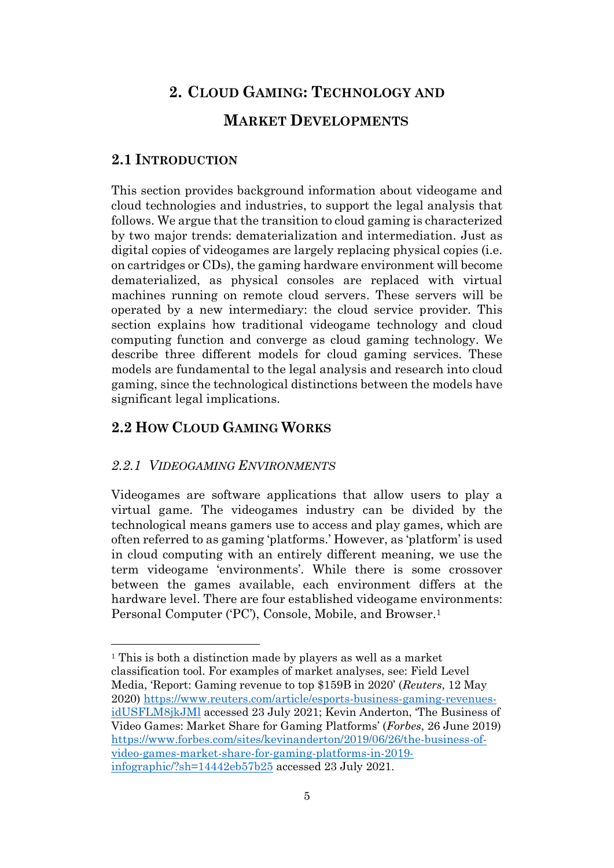# <span id="page-4-0"></span>**2. CLOUD GAMING: TECHNOLOGY AND MARKET DEVELOPMENTS**

# <span id="page-4-1"></span>**2.1 INTRODUCTION**

This section provides background information about videogame and cloud technologies and industries, to support the legal analysis that follows. We argue that the transition to cloud gaming is characterized by two major trends: dematerialization and intermediation. Just as digital copies of videogames are largely replacing physical copies (i.e. on cartridges or CDs), the gaming hardware environment will become dematerialized, as physical consoles are replaced with virtual machines running on remote cloud servers. These servers will be operated by a new intermediary: the cloud service provider. This section explains how traditional videogame technology and cloud computing function and converge as cloud gaming technology. We describe three different models for cloud gaming services. These models are fundamental to the legal analysis and research into cloud gaming, since the technological distinctions between the models have significant legal implications.

# <span id="page-4-2"></span>**2.2 HOW CLOUD GAMING WORKS**

# <span id="page-4-3"></span>*2.2.1 VIDEOGAMING ENVIRONMENTS*

Videogames are software applications that allow users to play a virtual game. The videogames industry can be divided by the technological means gamers use to access and play games, which are often referred to as gaming 'platforms.' However, as 'platform' is used in cloud computing with an entirely different meaning, we use the term videogame 'environments'. While there is some crossover between the games available, each environment differs at the hardware level. There are four established videogame environments: Personal Computer ('PC'), Console, Mobile, and Browser.<sup>1</sup>

<sup>1</sup> This is both a distinction made by players as well as a market classification tool. For examples of market analyses, see: Field Level Media, 'Report: Gaming revenue to top \$159B in 2020' (*Reuters*, 12 May 2020) [https://www.reuters.com/article/esports-business-gaming-revenues](https://www.reuters.com/article/esports-business-gaming-revenues-idUSFLM8jkJMl)[idUSFLM8jkJMl](https://www.reuters.com/article/esports-business-gaming-revenues-idUSFLM8jkJMl) accessed 23 July 2021; Kevin Anderton, 'The Business of Video Games: Market Share for Gaming Platforms' (*Forbes*, 26 June 2019) [https://www.forbes.com/sites/kevinanderton/2019/06/26/the-business-of](https://www.forbes.com/sites/kevinanderton/2019/06/26/the-business-of-video-games-market-share-for-gaming-platforms-in-2019-infographic/?sh=14442eb57b25)[video-games-market-share-for-gaming-platforms-in-2019](https://www.forbes.com/sites/kevinanderton/2019/06/26/the-business-of-video-games-market-share-for-gaming-platforms-in-2019-infographic/?sh=14442eb57b25) [infographic/?sh=14442eb57b25](https://www.forbes.com/sites/kevinanderton/2019/06/26/the-business-of-video-games-market-share-for-gaming-platforms-in-2019-infographic/?sh=14442eb57b25) accessed 23 July 2021.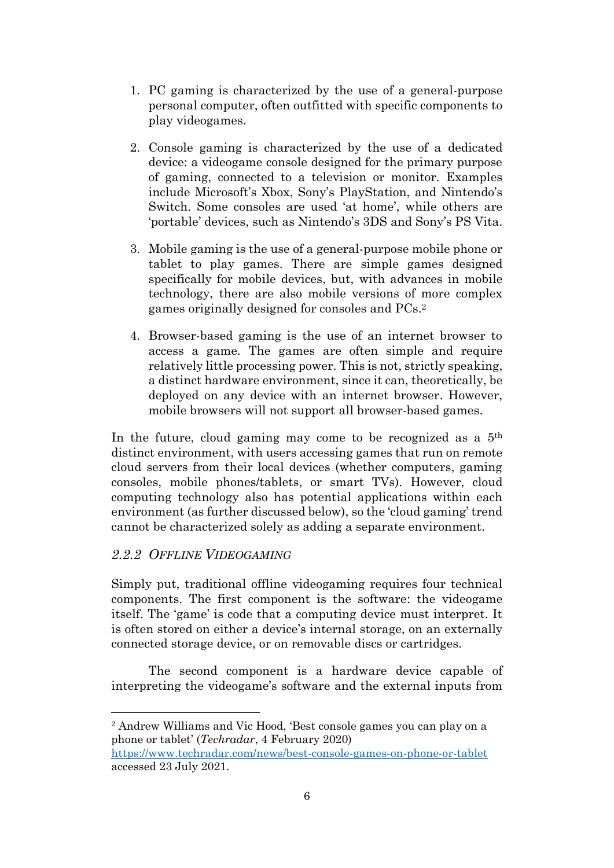- 1. PC gaming is characterized by the use of a general-purpose personal computer, often outfitted with specific components to play videogames.
- 2. Console gaming is characterized by the use of a dedicated device: a videogame console designed for the primary purpose of gaming, connected to a television or monitor. Examples include Microsoft's Xbox, Sony's PlayStation, and Nintendo's Switch. Some consoles are used 'at home', while others are 'portable' devices, such as Nintendo's 3DS and Sony's PS Vita.
- 3. Mobile gaming is the use of a general-purpose mobile phone or tablet to play games. There are simple games designed specifically for mobile devices, but, with advances in mobile technology, there are also mobile versions of more complex games originally designed for consoles and PCs.<sup>2</sup>
- 4. Browser-based gaming is the use of an internet browser to access a game. The games are often simple and require relatively little processing power. This is not, strictly speaking, a distinct hardware environment, since it can, theoretically, be deployed on any device with an internet browser. However, mobile browsers will not support all browser-based games.

In the future, cloud gaming may come to be recognized as a  $5<sup>th</sup>$ distinct environment, with users accessing games that run on remote cloud servers from their local devices (whether computers, gaming consoles, mobile phones/tablets, or smart TVs). However, cloud computing technology also has potential applications within each environment (as further discussed below), so the 'cloud gaming' trend cannot be characterized solely as adding a separate environment.

# <span id="page-5-0"></span>*2.2.2 OFFLINE VIDEOGAMING*

Simply put, traditional offline videogaming requires four technical components. The first component is the software: the videogame itself. The 'game' is code that a computing device must interpret. It is often stored on either a device's internal storage, on an externally connected storage device, or on removable discs or cartridges.

The second component is a hardware device capable of interpreting the videogame's software and the external inputs from

<sup>2</sup> Andrew Williams and Vic Hood, 'Best console games you can play on a phone or tablet' (*Techradar*, 4 February 2020)

<https://www.techradar.com/news/best-console-games-on-phone-or-tablet> accessed 23 July 2021.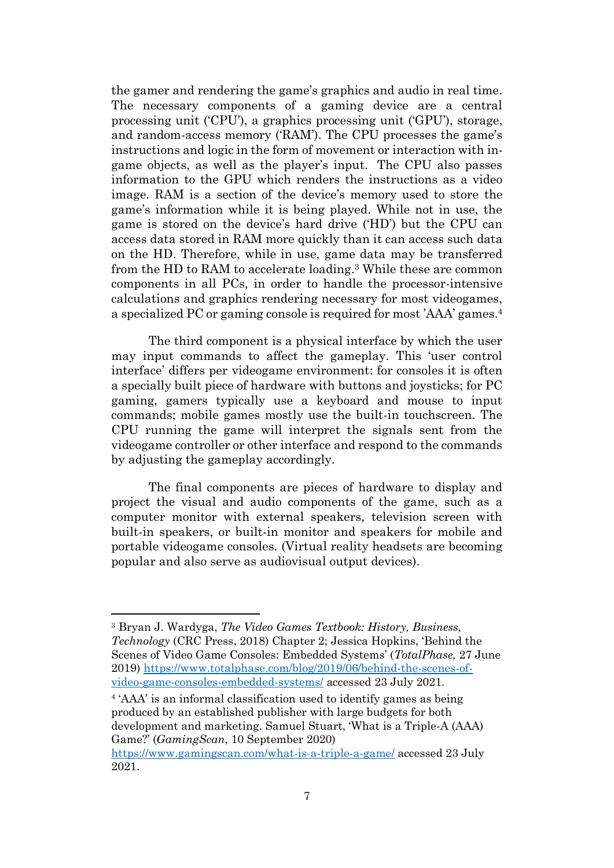the gamer and rendering the game's graphics and audio in real time. The necessary components of a gaming device are a central processing unit ('CPU'), a graphics processing unit ('GPU'), storage, and random-access memory ('RAM'). The CPU processes the game's instructions and logic in the form of movement or interaction with ingame objects, as well as the player's input. The CPU also passes information to the GPU which renders the instructions as a video image. RAM is a section of the device's memory used to store the game's information while it is being played. While not in use, the game is stored on the device's hard drive ('HD') but the CPU can access data stored in RAM more quickly than it can access such data on the HD. Therefore, while in use, game data may be transferred from the HD to RAM to accelerate loading. <sup>3</sup> While these are common components in all PCs, in order to handle the processor-intensive calculations and graphics rendering necessary for most videogames, a specialized PC or gaming console is required for most 'AAA' games.<sup>4</sup>

The third component is a physical interface by which the user may input commands to affect the gameplay. This 'user control interface' differs per videogame environment: for consoles it is often a specially built piece of hardware with buttons and joysticks; for PC gaming, gamers typically use a keyboard and mouse to input commands; mobile games mostly use the built-in touchscreen. The CPU running the game will interpret the signals sent from the videogame controller or other interface and respond to the commands by adjusting the gameplay accordingly.

The final components are pieces of hardware to display and project the visual and audio components of the game, such as a computer monitor with external speakers, television screen with built-in speakers, or built-in monitor and speakers for mobile and portable videogame consoles. (Virtual reality headsets are becoming popular and also serve as audiovisual output devices).

4 'AAA' is an informal classification used to identify games as being produced by an established publisher with large budgets for both development and marketing. Samuel Stuart, 'What is a Triple-A (AAA) Game?' (*GamingScan*, 10 September 2020)

<sup>3</sup> Bryan J. Wardyga, *The Video Games Textbook: History, Business, Technology* (CRC Press, 2018) Chapter 2; Jessica Hopkins, 'Behind the Scenes of Video Game Consoles: Embedded Systems' (*TotalPhase,* 27 June 2019) [https://www.totalphase.com/blog/2019/06/behind-the-scenes-of](https://www.totalphase.com/blog/2019/06/behind-the-scenes-of-video-game-consoles-embedded-systems/)[video-game-consoles-embedded-systems/](https://www.totalphase.com/blog/2019/06/behind-the-scenes-of-video-game-consoles-embedded-systems/) accessed 23 July 2021.

<https://www.gamingscan.com/what-is-a-triple-a-game/> accessed 23 July 2021.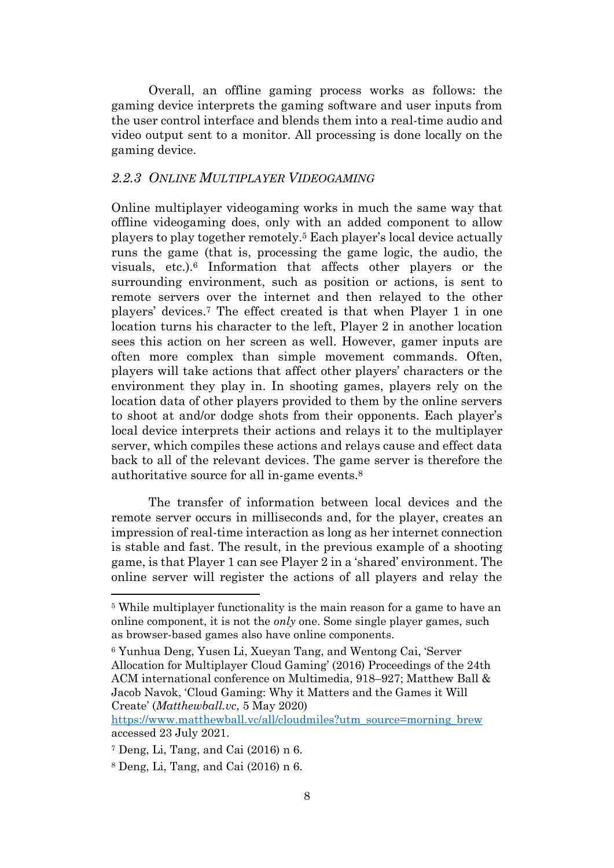Overall, an offline gaming process works as follows: the gaming device interprets the gaming software and user inputs from the user control interface and blends them into a real-time audio and video output sent to a monitor. All processing is done locally on the gaming device.

## <span id="page-7-0"></span>*2.2.3 ONLINE MULTIPLAYER VIDEOGAMING*

<span id="page-7-1"></span>Online multiplayer videogaming works in much the same way that offline videogaming does, only with an added component to allow players to play together remotely.<sup>5</sup> Each player's local device actually runs the game (that is, processing the game logic, the audio, the visuals, etc.). <sup>6</sup> Information that affects other players or the surrounding environment, such as position or actions, is sent to remote servers over the internet and then relayed to the other players' devices. <sup>7</sup> The effect created is that when Player 1 in one location turns his character to the left, Player 2 in another location sees this action on her screen as well. However, gamer inputs are often more complex than simple movement commands. Often, players will take actions that affect other players' characters or the environment they play in. In shooting games, players rely on the location data of other players provided to them by the online servers to shoot at and/or dodge shots from their opponents. Each player's local device interprets their actions and relays it to the multiplayer server, which compiles these actions and relays cause and effect data back to all of the relevant devices. The game server is therefore the authoritative source for all in-game events.<sup>8</sup>

The transfer of information between local devices and the remote server occurs in milliseconds and, for the player, creates an impression of real-time interaction as long as her internet connection is stable and fast. The result, in the previous example of a shooting game, is that Player 1 can see Player 2 in a 'shared' environment. The online server will register the actions of all players and relay the

<sup>5</sup> While multiplayer functionality is the main reason for a game to have an online component, it is not the *only* one. Some single player games, such as browser-based games also have online components.

<sup>6</sup> Yunhua Deng, Yusen Li, Xueyan Tang, and Wentong Cai, 'Server Allocation for Multiplayer Cloud Gaming' (2016) Proceedings of the 24th ACM international conference on Multimedia, 918–927; Matthew Ball & Jacob Navok, 'Cloud Gaming: Why it Matters and the Games it Will Create' (*Matthewball.vc*, 5 May 2020)

[https://www.matthewball.vc/all/cloudmiles?utm\\_source=morning\\_brew](https://www.matthewball.vc/all/cloudmiles?utm_source=morning_brew) accessed 23 July 2021.

<sup>7</sup> Deng, Li, Tang, and Cai (2016) n [6.](#page-7-1)

<sup>8</sup> Deng, Li, Tang, and Cai (2016) n [6.](#page-7-1)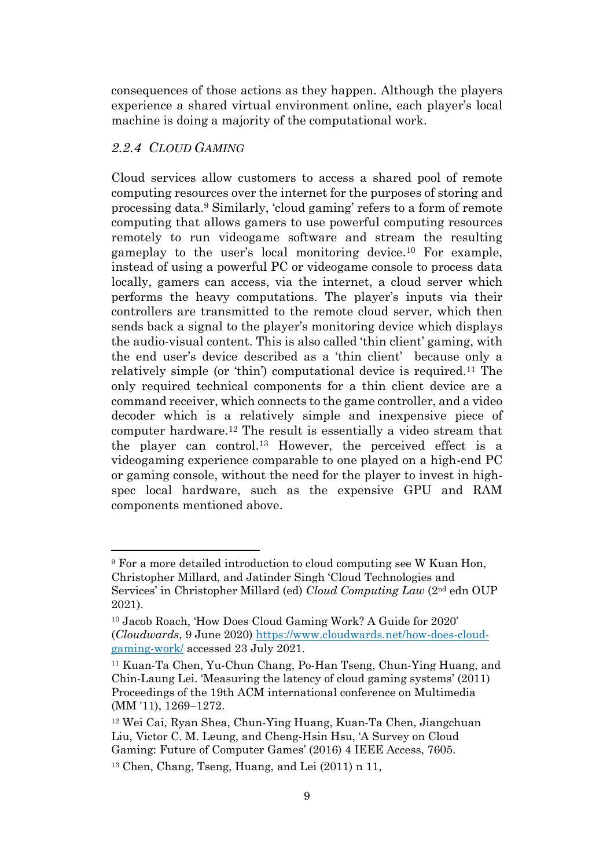consequences of those actions as they happen. Although the players experience a shared virtual environment online, each player's local machine is doing a majority of the computational work.

# <span id="page-8-0"></span>*2.2.4 CLOUD GAMING*

<span id="page-8-2"></span><span id="page-8-1"></span>Cloud services allow customers to access a shared pool of remote computing resources over the internet for the purposes of storing and processing data.<sup>9</sup> Similarly, 'cloud gaming' refers to a form of remote computing that allows gamers to use powerful computing resources remotely to run videogame software and stream the resulting gameplay to the user's local monitoring device.<sup>10</sup> For example, instead of using a powerful PC or videogame console to process data locally, gamers can access, via the internet, a cloud server which performs the heavy computations. The player's inputs via their controllers are transmitted to the remote cloud server, which then sends back a signal to the player's monitoring device which displays the audio-visual content. This is also called 'thin client' gaming, with the end user's device described as a 'thin client' because only a relatively simple (or 'thin') computational device is required.<sup>11</sup> The only required technical components for a thin client device are a command receiver, which connects to the game controller, and a video decoder which is a relatively simple and inexpensive piece of computer hardware.<sup>12</sup> The result is essentially a video stream that the player can control.<sup>13</sup> However, the perceived effect is a videogaming experience comparable to one played on a high-end PC or gaming console, without the need for the player to invest in highspec local hardware, such as the expensive GPU and RAM components mentioned above.

<span id="page-8-3"></span><sup>&</sup>lt;sup>9</sup> For a more detailed introduction to cloud computing see W Kuan Hon, Christopher Millard, and Jatinder Singh 'Cloud Technologies and Services' in Christopher Millard (ed) *Cloud Computing Law* (2nd edn OUP 2021).

<sup>10</sup> Jacob Roach, 'How Does Cloud Gaming Work? A Guide for 2020' (*Cloudwards*, 9 June 2020) [https://www.cloudwards.net/how-does-cloud](https://www.cloudwards.net/how-does-cloud-gaming-work/)[gaming-work/](https://www.cloudwards.net/how-does-cloud-gaming-work/) accessed 23 July 2021.

<sup>11</sup> Kuan-Ta Chen, Yu-Chun Chang, Po-Han Tseng, Chun-Ying Huang, and Chin-Laung Lei. 'Measuring the latency of cloud gaming systems' (2011) Proceedings of the 19th ACM international conference on Multimedia (MM '11), 1269–1272.

<sup>12</sup> Wei Cai, Ryan Shea, Chun-Ying Huang, Kuan-Ta Chen, Jiangchuan Liu, Victor C. M. Leung, and Cheng-Hsin Hsu, 'A Survey on Cloud Gaming: Future of Computer Games' (2016) 4 IEEE Access, 7605.

<sup>13</sup> Chen, Chang, Tseng, Huang, and Lei (2011) n [11,](#page-8-1)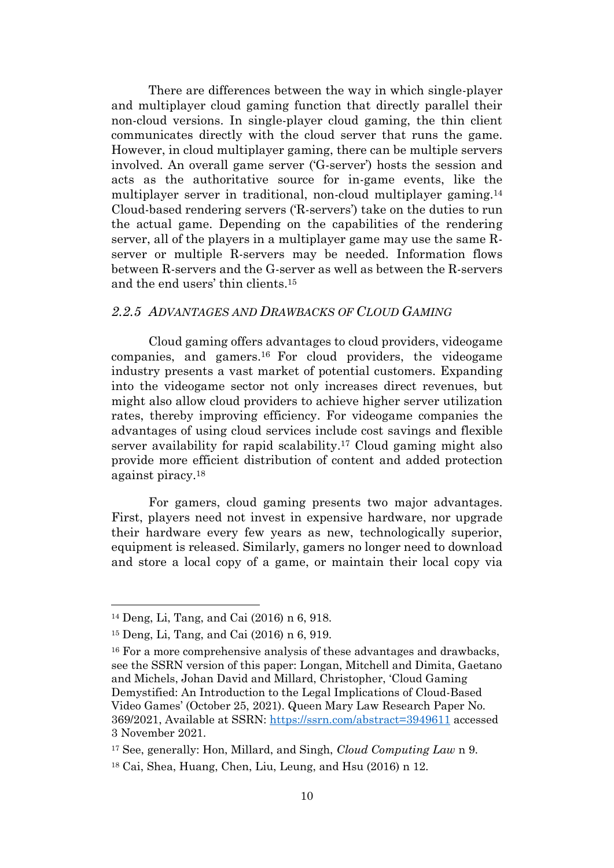There are differences between the way in which single-player and multiplayer cloud gaming function that directly parallel their non-cloud versions. In single-player cloud gaming, the thin client communicates directly with the cloud server that runs the game. However, in cloud multiplayer gaming, there can be multiple servers involved. An overall game server ('G-server') hosts the session and acts as the authoritative source for in-game events, like the multiplayer server in traditional, non-cloud multiplayer gaming.<sup>14</sup> Cloud-based rendering servers ('R-servers') take on the duties to run the actual game. Depending on the capabilities of the rendering server, all of the players in a multiplayer game may use the same Rserver or multiple R-servers may be needed. Information flows between R-servers and the G-server as well as between the R-servers and the end users' thin clients.<sup>15</sup>

#### <span id="page-9-0"></span>*2.2.5 ADVANTAGES AND DRAWBACKS OF CLOUD GAMING*

<span id="page-9-1"></span>Cloud gaming offers advantages to cloud providers, videogame companies, and gamers. <sup>16</sup> For cloud providers, the videogame industry presents a vast market of potential customers. Expanding into the videogame sector not only increases direct revenues, but might also allow cloud providers to achieve higher server utilization rates, thereby improving efficiency. For videogame companies the advantages of using cloud services include cost savings and flexible server availability for rapid scalability. <sup>17</sup> Cloud gaming might also provide more efficient distribution of content and added protection against piracy. 18

For gamers, cloud gaming presents two major advantages. First, players need not invest in expensive hardware, nor upgrade their hardware every few years as new, technologically superior, equipment is released. Similarly, gamers no longer need to download and store a local copy of a game, or maintain their local copy via

<sup>14</sup> Deng, Li, Tang, and Cai (2016) n [6,](#page-7-1) 918.

<sup>15</sup> Deng, Li, Tang, and Cai (2016) n [6,](#page-7-1) 919.

<sup>16</sup> For a more comprehensive analysis of these advantages and drawbacks, see the SSRN version of this paper: Longan, Mitchell and Dimita, Gaetano and Michels, Johan David and Millard, Christopher, 'Cloud Gaming Demystified: An Introduction to the Legal Implications of Cloud-Based Video Games' (October 25, 2021). Queen Mary Law Research Paper No. 369/2021, Available at SSRN: <https://ssrn.com/abstract=3949611> accessed 3 November 2021.

<sup>17</sup> See, generally: Hon, Millard, and Singh, *Cloud Computing Law* n [9.](#page-8-2)

<sup>18</sup> Cai, Shea, Huang, Chen, Liu, Leung, and Hsu (2016) n [12.](#page-8-3)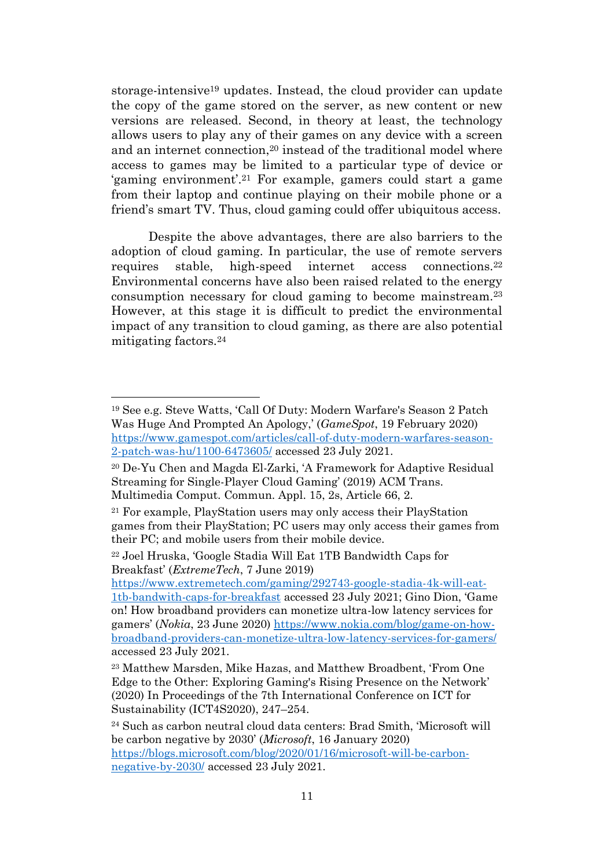storage-intensive<sup>19</sup> updates. Instead, the cloud provider can update the copy of the game stored on the server, as new content or new versions are released. Second, in theory at least, the technology allows users to play any of their games on any device with a screen and an internet connection, <sup>20</sup> instead of the traditional model where access to games may be limited to a particular type of device or 'gaming environment'. <sup>21</sup> For example, gamers could start a game from their laptop and continue playing on their mobile phone or a friend's smart TV. Thus, cloud gaming could offer ubiquitous access.

Despite the above advantages, there are also barriers to the adoption of cloud gaming. In particular, the use of remote servers requires stable, high-speed internet access connections.<sup>22</sup> Environmental concerns have also been raised related to the energy consumption necessary for cloud gaming to become mainstream.<sup>23</sup> However, at this stage it is difficult to predict the environmental impact of any transition to cloud gaming, as there are also potential mitigating factors.<sup>24</sup>

[https://www.extremetech.com/gaming/292743-google-stadia-4k-will-eat-](https://www.extremetech.com/gaming/292743-google-stadia-4k-will-eat-1tb-bandwith-caps-for-breakfast)[1tb-bandwith-caps-for-breakfast](https://www.extremetech.com/gaming/292743-google-stadia-4k-will-eat-1tb-bandwith-caps-for-breakfast) accessed 23 July 2021; Gino Dion, 'Game on! How broadband providers can monetize ultra-low latency services for gamers' (*Nokia*, 23 June 2020) [https://www.nokia.com/blog/game-on-how](https://www.nokia.com/blog/game-on-how-broadband-providers-can-monetize-ultra-low-latency-services-for-gamers/)[broadband-providers-can-monetize-ultra-low-latency-services-for-gamers/](https://www.nokia.com/blog/game-on-how-broadband-providers-can-monetize-ultra-low-latency-services-for-gamers/)

accessed 23 July 2021.

<sup>19</sup> See e.g. Steve Watts, 'Call Of Duty: Modern Warfare's Season 2 Patch Was Huge And Prompted An Apology,' (*GameSpot*, 19 February 2020) [https://www.gamespot.com/articles/call-of-duty-modern-warfares-season-](https://www.gamespot.com/articles/call-of-duty-modern-warfares-season-2-patch-was-hu/1100-6473605/)[2-patch-was-hu/1100-6473605/](https://www.gamespot.com/articles/call-of-duty-modern-warfares-season-2-patch-was-hu/1100-6473605/) accessed 23 July 2021.

<sup>20</sup> De-Yu Chen and Magda El-Zarki, 'A Framework for Adaptive Residual Streaming for Single-Player Cloud Gaming' (2019) ACM Trans. Multimedia Comput. Commun. Appl. 15, 2s, Article 66, 2.

<sup>21</sup> For example, PlayStation users may only access their PlayStation games from their PlayStation; PC users may only access their games from their PC; and mobile users from their mobile device.

<sup>22</sup> Joel Hruska, 'Google Stadia Will Eat 1TB Bandwidth Caps for Breakfast' (*ExtremeTech*, 7 June 2019)

<sup>23</sup> Matthew Marsden, Mike Hazas, and Matthew Broadbent, 'From One Edge to the Other: Exploring Gaming's Rising Presence on the Network' (2020) In Proceedings of the 7th International Conference on ICT for Sustainability (ICT4S2020), 247–254.

<sup>24</sup> Such as carbon neutral cloud data centers: Brad Smith, 'Microsoft will be carbon negative by 2030' (*Microsoft*, 16 January 2020) [https://blogs.microsoft.com/blog/2020/01/16/microsoft-will-be-carbon](https://blogs.microsoft.com/blog/2020/01/16/microsoft-will-be-carbon-negative-by-2030/)[negative-by-2030/](https://blogs.microsoft.com/blog/2020/01/16/microsoft-will-be-carbon-negative-by-2030/) accessed 23 July 2021.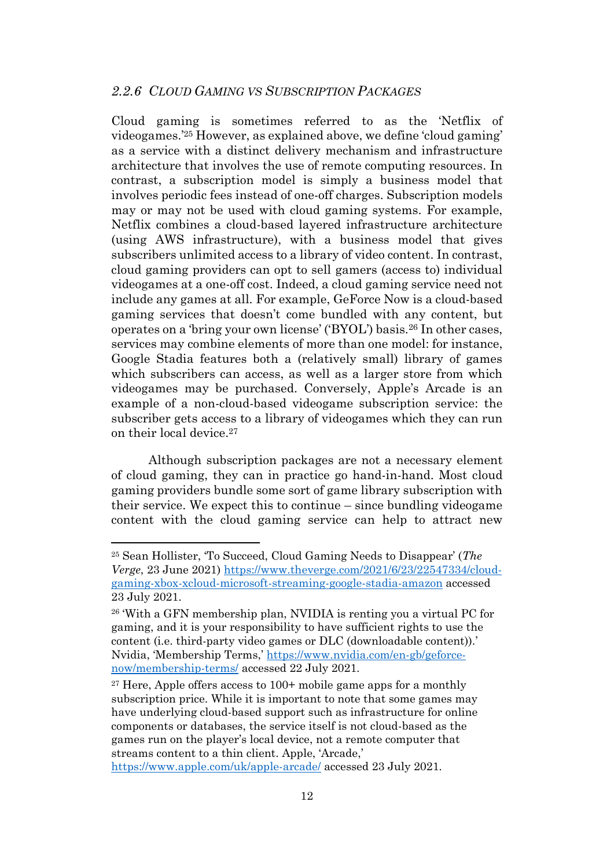<span id="page-11-0"></span>Cloud gaming is sometimes referred to as the 'Netflix of videogames.' <sup>25</sup> However, as explained above, we define 'cloud gaming' as a service with a distinct delivery mechanism and infrastructure architecture that involves the use of remote computing resources. In contrast, a subscription model is simply a business model that involves periodic fees instead of one-off charges. Subscription models may or may not be used with cloud gaming systems. For example, Netflix combines a cloud-based layered infrastructure architecture (using AWS infrastructure), with a business model that gives subscribers unlimited access to a library of video content. In contrast, cloud gaming providers can opt to sell gamers (access to) individual videogames at a one-off cost. Indeed, a cloud gaming service need not include any games at all. For example, GeForce Now is a cloud-based gaming services that doesn't come bundled with any content, but operates on a 'bring your own license' ('BYOL') basis.<sup>26</sup> In other cases, services may combine elements of more than one model: for instance, Google Stadia features both a (relatively small) library of games which subscribers can access, as well as a larger store from which videogames may be purchased. Conversely, Apple's Arcade is an example of a non-cloud-based videogame subscription service: the subscriber gets access to a library of videogames which they can run on their local device. 27

Although subscription packages are not a necessary element of cloud gaming, they can in practice go hand-in-hand. Most cloud gaming providers bundle some sort of game library subscription with their service. We expect this to continue – since bundling videogame content with the cloud gaming service can help to attract new

<https://www.apple.com/uk/apple-arcade/> accessed 23 July 2021.

<sup>25</sup> Sean Hollister, 'To Succeed, Cloud Gaming Needs to Disappear' (*The Verge*, 23 June 2021) [https://www.theverge.com/2021/6/23/22547334/cloud](https://www.theverge.com/2021/6/23/22547334/cloud-gaming-xbox-xcloud-microsoft-streaming-google-stadia-amazon)[gaming-xbox-xcloud-microsoft-streaming-google-stadia-amazon](https://www.theverge.com/2021/6/23/22547334/cloud-gaming-xbox-xcloud-microsoft-streaming-google-stadia-amazon) accessed 23 July 2021.

<sup>26</sup> 'With a GFN membership plan, NVIDIA is renting you a virtual PC for gaming, and it is your responsibility to have sufficient rights to use the content (i.e. third-party video games or DLC (downloadable content)).' Nvidia, 'Membership Terms,' [https://www.nvidia.com/en-gb/geforce](https://www.nvidia.com/en-gb/geforce-now/membership-terms/)[now/membership-terms/](https://www.nvidia.com/en-gb/geforce-now/membership-terms/) accessed 22 July 2021.

<sup>&</sup>lt;sup>27</sup> Here, Apple offers access to  $100+$  mobile game apps for a monthly subscription price. While it is important to note that some games may have underlying cloud-based support such as infrastructure for online components or databases, the service itself is not cloud-based as the games run on the player's local device, not a remote computer that streams content to a thin client. Apple, 'Arcade,'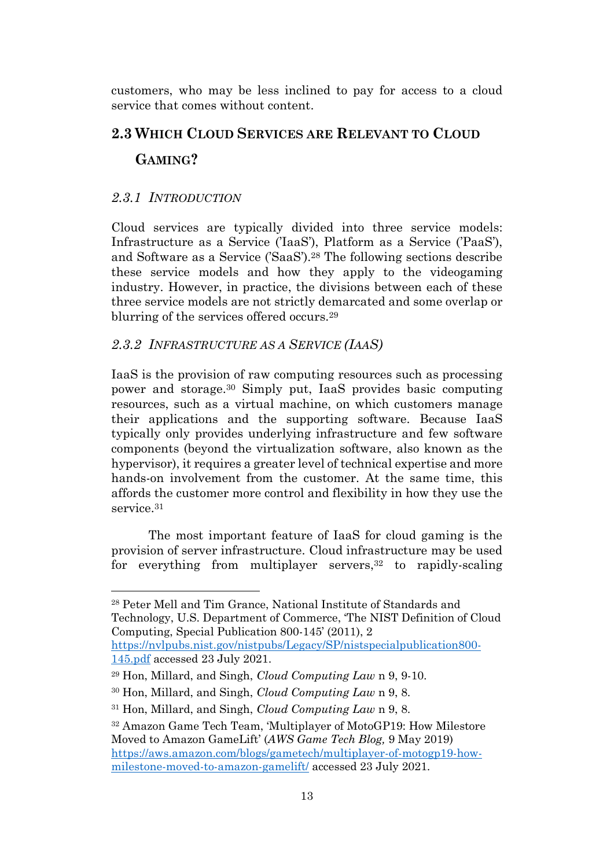customers, who may be less inclined to pay for access to a cloud service that comes without content.

# <span id="page-12-0"></span>**2.3 WHICH CLOUD SERVICES ARE RELEVANT TO CLOUD GAMING?**

# <span id="page-12-1"></span>*2.3.1 INTRODUCTION*

Cloud services are typically divided into three service models: Infrastructure as a Service ('IaaS'), Platform as a Service ('PaaS'), and Software as a Service ('SaaS').<sup>28</sup> The following sections describe these service models and how they apply to the videogaming industry. However, in practice, the divisions between each of these three service models are not strictly demarcated and some overlap or blurring of the services offered occurs.<sup>29</sup>

#### <span id="page-12-2"></span>*2.3.2 INFRASTRUCTURE AS A SERVICE (IAAS)*

IaaS is the provision of raw computing resources such as processing power and storage.<sup>30</sup> Simply put, IaaS provides basic computing resources, such as a virtual machine, on which customers manage their applications and the supporting software. Because IaaS typically only provides underlying infrastructure and few software components (beyond the virtualization software, also known as the hypervisor), it requires a greater level of technical expertise and more hands-on involvement from the customer. At the same time, this affords the customer more control and flexibility in how they use the service.<sup>31</sup>

The most important feature of IaaS for cloud gaming is the provision of server infrastructure. Cloud infrastructure may be used for everything from multiplayer servers, <sup>32</sup> to rapidly-scaling

<sup>28</sup> Peter Mell and Tim Grance, National Institute of Standards and Technology, U.S. Department of Commerce, 'The NIST Definition of Cloud Computing, Special Publication 800-145' (2011), 2

[https://nvlpubs.nist.gov/nistpubs/Legacy/SP/nistspecialpublication800-](https://nvlpubs.nist.gov/nistpubs/Legacy/SP/nistspecialpublication800-145.pdf) [145.pdf](https://nvlpubs.nist.gov/nistpubs/Legacy/SP/nistspecialpublication800-145.pdf) accessed 23 July 2021.

<sup>29</sup> Hon, Millard, and Singh, *Cloud Computing Law* n [9,](#page-8-2) 9-10.

<sup>30</sup> Hon, Millard, and Singh, *Cloud Computing Law* n [9,](#page-8-2) 8.

<sup>31</sup> Hon, Millard, and Singh, *Cloud Computing Law* n [9,](#page-8-2) 8.

<sup>32</sup> Amazon Game Tech Team, 'Multiplayer of MotoGP19: How Milestore Moved to Amazon GameLift' (*AWS Game Tech Blog,* 9 May 2019) [https://aws.amazon.com/blogs/gametech/multiplayer-of-motogp19-how](https://aws.amazon.com/blogs/gametech/multiplayer-of-motogp19-how-milestone-moved-to-amazon-gamelift/)[milestone-moved-to-amazon-gamelift/](https://aws.amazon.com/blogs/gametech/multiplayer-of-motogp19-how-milestone-moved-to-amazon-gamelift/) accessed 23 July 2021.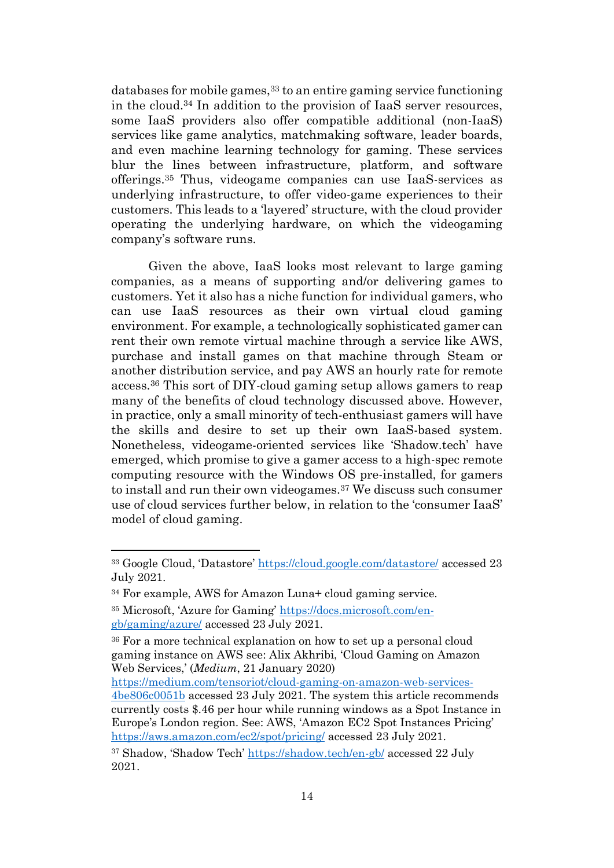databases for mobile games, <sup>33</sup> to an entire gaming service functioning in the cloud.<sup>34</sup> In addition to the provision of IaaS server resources, some IaaS providers also offer compatible additional (non-IaaS) services like game analytics, matchmaking software, leader boards, and even machine learning technology for gaming. These services blur the lines between infrastructure, platform, and software offerings. <sup>35</sup> Thus, videogame companies can use IaaS-services as underlying infrastructure, to offer video-game experiences to their customers. This leads to a 'layered' structure, with the cloud provider operating the underlying hardware, on which the videogaming company's software runs.

Given the above, IaaS looks most relevant to large gaming companies, as a means of supporting and/or delivering games to customers. Yet it also has a niche function for individual gamers, who can use IaaS resources as their own virtual cloud gaming environment. For example, a technologically sophisticated gamer can rent their own remote virtual machine through a service like AWS, purchase and install games on that machine through Steam or another distribution service, and pay AWS an hourly rate for remote access. <sup>36</sup> This sort of DIY-cloud gaming setup allows gamers to reap many of the benefits of cloud technology discussed above. However, in practice, only a small minority of tech-enthusiast gamers will have the skills and desire to set up their own IaaS-based system. Nonetheless, videogame-oriented services like 'Shadow.tech' have emerged, which promise to give a gamer access to a high-spec remote computing resource with the Windows OS pre-installed, for gamers to install and run their own videogames.<sup>37</sup> We discuss such consumer use of cloud services further below, in relation to the 'consumer IaaS' model of cloud gaming.

[https://medium.com/tensoriot/cloud-gaming-on-amazon-web-services-](https://medium.com/tensoriot/cloud-gaming-on-amazon-web-services-4be806c0051b)

<sup>33</sup> Google Cloud, 'Datastore' <https://cloud.google.com/datastore/> accessed 23 July 2021.

<sup>34</sup> For example, AWS for Amazon Luna+ cloud gaming service.

<sup>35</sup> Microsoft, 'Azure for Gaming' [https://docs.microsoft.com/en](https://docs.microsoft.com/en-gb/gaming/azure/)[gb/gaming/azure/](https://docs.microsoft.com/en-gb/gaming/azure/) accessed 23 July 2021.

<sup>36</sup> For a more technical explanation on how to set up a personal cloud gaming instance on AWS see: Alix Akhribi, 'Cloud Gaming on Amazon Web Services,' (*Medium*, 21 January 2020)

[<sup>4</sup>be806c0051b](https://medium.com/tensoriot/cloud-gaming-on-amazon-web-services-4be806c0051b) accessed 23 July 2021. The system this article recommends currently costs \$.46 per hour while running windows as a Spot Instance in Europe's London region. See: AWS, 'Amazon EC2 Spot Instances Pricing' <https://aws.amazon.com/ec2/spot/pricing/> accessed 23 July 2021.

<sup>37</sup> Shadow, 'Shadow Tech' <https://shadow.tech/en-gb/> accessed 22 July 2021.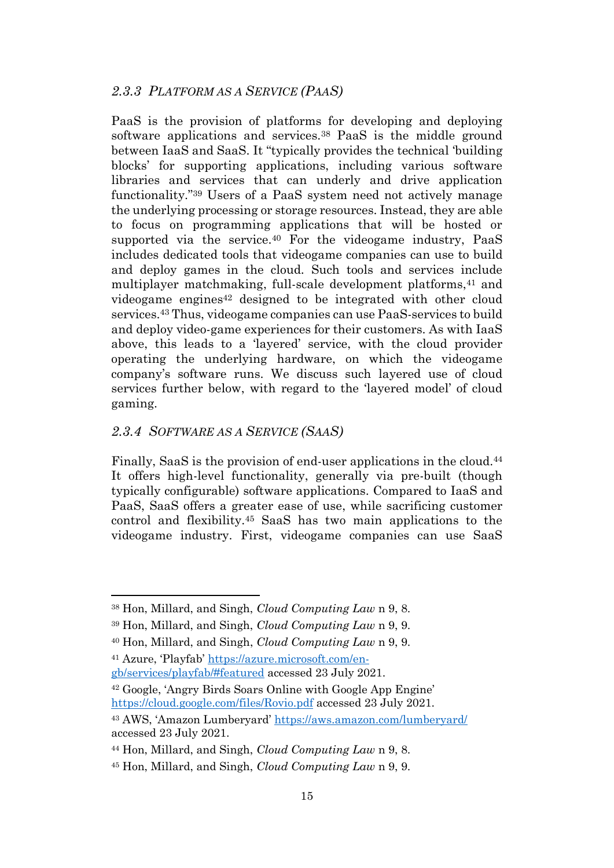# <span id="page-14-0"></span>*2.3.3 PLATFORM AS A SERVICE (PAAS)*

PaaS is the provision of platforms for developing and deploying software applications and services.<sup>38</sup> PaaS is the middle ground between IaaS and SaaS. It "typically provides the technical 'building blocks' for supporting applications, including various software libraries and services that can underly and drive application functionality." <sup>39</sup> Users of a PaaS system need not actively manage the underlying processing or storage resources. Instead, they are able to focus on programming applications that will be hosted or supported via the service.<sup>40</sup> For the videogame industry, PaaS includes dedicated tools that videogame companies can use to build and deploy games in the cloud. Such tools and services include multiplayer matchmaking, full-scale development platforms,<sup>41</sup> and videogame engines <sup>42</sup> designed to be integrated with other cloud services.<sup>43</sup> Thus, videogame companies can use PaaS-services to build and deploy video-game experiences for their customers. As with IaaS above, this leads to a 'layered' service, with the cloud provider operating the underlying hardware, on which the videogame company's software runs. We discuss such layered use of cloud services further below, with regard to the 'layered model' of cloud gaming.

#### <span id="page-14-1"></span>*2.3.4 SOFTWARE AS A SERVICE (SAAS)*

Finally, SaaS is the provision of end-user applications in the cloud. 44 It offers high-level functionality, generally via pre-built (though typically configurable) software applications. Compared to IaaS and PaaS, SaaS offers a greater ease of use, while sacrificing customer control and flexibility.<sup>45</sup> SaaS has two main applications to the videogame industry. First, videogame companies can use SaaS

<sup>42</sup> Google, 'Angry Birds Soars Online with Google App Engine' <https://cloud.google.com/files/Rovio.pdf> accessed 23 July 2021.

<sup>38</sup> Hon, Millard, and Singh, *Cloud Computing Law* n [9,](#page-8-2) 8.

<sup>39</sup> Hon, Millard, and Singh, *Cloud Computing Law* n [9,](#page-8-2) 9.

<sup>40</sup> Hon, Millard, and Singh, *Cloud Computing Law* n [9,](#page-8-2) 9.

<sup>41</sup> Azure, 'Playfab' [https://azure.microsoft.com/en](https://azure.microsoft.com/en-gb/services/playfab/#featured)[gb/services/playfab/#featured](https://azure.microsoft.com/en-gb/services/playfab/#featured) accessed 23 July 2021.

<sup>43</sup> AWS, 'Amazon Lumberyard' <https://aws.amazon.com/lumberyard/> accessed 23 July 2021.

<sup>44</sup> Hon, Millard, and Singh, *Cloud Computing Law* n [9,](#page-8-2) 8.

<sup>45</sup> Hon, Millard, and Singh, *Cloud Computing Law* n [9,](#page-8-2) 9.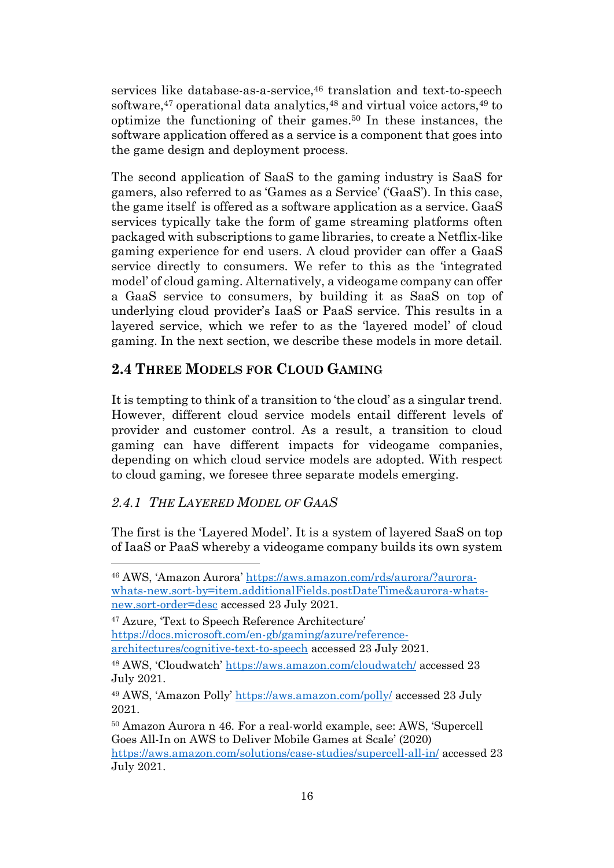<span id="page-15-2"></span>services like database-as-a-service, <sup>46</sup> translation and text-to-speech software,<sup>47</sup> operational data analytics,<sup>48</sup> and virtual voice actors,<sup>49</sup> to optimize the functioning of their games. <sup>50</sup> In these instances, the software application offered as a service is a component that goes into the game design and deployment process.

The second application of SaaS to the gaming industry is SaaS for gamers, also referred to as 'Games as a Service' ('GaaS'). In this case, the game itself is offered as a software application as a service. GaaS services typically take the form of game streaming platforms often packaged with subscriptions to game libraries, to create a Netflix-like gaming experience for end users. A cloud provider can offer a GaaS service directly to consumers. We refer to this as the 'integrated model' of cloud gaming. Alternatively, a videogame company can offer a GaaS service to consumers, by building it as SaaS on top of underlying cloud provider's IaaS or PaaS service. This results in a layered service, which we refer to as the 'layered model' of cloud gaming. In the next section, we describe these models in more detail.

# <span id="page-15-0"></span>**2.4 THREE MODELS FOR CLOUD GAMING**

It is tempting to think of a transition to 'the cloud' as a singular trend. However, different cloud service models entail different levels of provider and customer control. As a result, a transition to cloud gaming can have different impacts for videogame companies, depending on which cloud service models are adopted. With respect to cloud gaming, we foresee three separate models emerging.

# <span id="page-15-1"></span>*2.4.1 THE LAYERED MODEL OF GAAS*

The first is the 'Layered Model'. It is a system of layered SaaS on top of IaaS or PaaS whereby a videogame company builds its own system

<sup>47</sup> Azure, 'Text to Speech Reference Architecture' [https://docs.microsoft.com/en-gb/gaming/azure/reference](https://docs.microsoft.com/en-gb/gaming/azure/reference-architectures/cognitive-text-to-speech)[architectures/cognitive-text-to-speech](https://docs.microsoft.com/en-gb/gaming/azure/reference-architectures/cognitive-text-to-speech) accessed 23 July 2021.

<sup>46</sup> AWS, 'Amazon Aurora' [https://aws.amazon.com/rds/aurora/?aurora](https://aws.amazon.com/rds/aurora/?aurora-whats-new.sort-by=item.additionalFields.postDateTime&aurora-whats-new.sort-order=desc)[whats-new.sort-by=item.additionalFields.postDateTime&aurora-whats](https://aws.amazon.com/rds/aurora/?aurora-whats-new.sort-by=item.additionalFields.postDateTime&aurora-whats-new.sort-order=desc)[new.sort-order=desc](https://aws.amazon.com/rds/aurora/?aurora-whats-new.sort-by=item.additionalFields.postDateTime&aurora-whats-new.sort-order=desc) accessed 23 July 2021.

<sup>48</sup> AWS, 'Cloudwatch' <https://aws.amazon.com/cloudwatch/> accessed 23 July 2021.

<sup>49</sup> AWS, 'Amazon Polly' <https://aws.amazon.com/polly/> accessed 23 July 2021.

<sup>50</sup> Amazon Aurora n [46.](#page-15-2) For a real-world example, see: AWS, 'Supercell Goes All-In on AWS to Deliver Mobile Games at Scale' (2020) <https://aws.amazon.com/solutions/case-studies/supercell-all-in/> accessed 23 July 2021.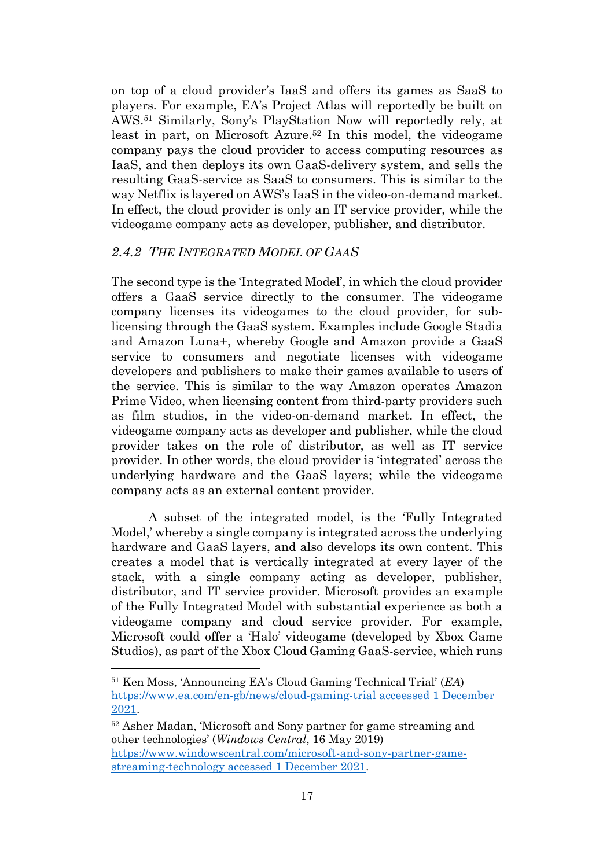on top of a cloud provider's IaaS and offers its games as SaaS to players. For example, EA's Project Atlas will reportedly be built on AWS. <sup>51</sup> Similarly, Sony's PlayStation Now will reportedly rely, at least in part, on Microsoft Azure. <sup>52</sup> In this model, the videogame company pays the cloud provider to access computing resources as IaaS, and then deploys its own GaaS-delivery system, and sells the resulting GaaS-service as SaaS to consumers. This is similar to the way Netflix is layered on AWS's IaaS in the video-on-demand market. In effect, the cloud provider is only an IT service provider, while the videogame company acts as developer, publisher, and distributor.

# <span id="page-16-0"></span>*2.4.2 THE INTEGRATED MODEL OF GAAS*

The second type is the 'Integrated Model', in which the cloud provider offers a GaaS service directly to the consumer. The videogame company licenses its videogames to the cloud provider, for sublicensing through the GaaS system. Examples include Google Stadia and Amazon Luna+, whereby Google and Amazon provide a GaaS service to consumers and negotiate licenses with videogame developers and publishers to make their games available to users of the service. This is similar to the way Amazon operates Amazon Prime Video, when licensing content from third-party providers such as film studios, in the video-on-demand market. In effect, the videogame company acts as developer and publisher, while the cloud provider takes on the role of distributor, as well as IT service provider. In other words, the cloud provider is 'integrated' across the underlying hardware and the GaaS layers; while the videogame company acts as an external content provider.

A subset of the integrated model, is the 'Fully Integrated Model,' whereby a single company is integrated across the underlying hardware and GaaS layers, and also develops its own content. This creates a model that is vertically integrated at every layer of the stack, with a single company acting as developer, publisher, distributor, and IT service provider. Microsoft provides an example of the Fully Integrated Model with substantial experience as both a videogame company and cloud service provider. For example, Microsoft could offer a 'Halo' videogame (developed by Xbox Game Studios), as part of the Xbox Cloud Gaming GaaS-service, which runs

<sup>51</sup> Ken Moss, 'Announcing EA's Cloud Gaming Technical Trial' (*EA*) [https://www.ea.com/en-gb/news/cloud-gaming-trial](https://www.ea.com/en-gb/news/cloud-gaming-trial%20acceessed%201%20December%202021) acceessed 1 December [2021.](https://www.ea.com/en-gb/news/cloud-gaming-trial%20acceessed%201%20December%202021)

<sup>52</sup> Asher Madan, 'Microsoft and Sony partner for game streaming and other technologies' (*Windows Central*, 16 May 2019) [https://www.windowscentral.com/microsoft-and-sony-partner-game](https://www.windowscentral.com/microsoft-and-sony-partner-game-streaming-technology%20accessed%201%20December%202021)streaming-technology [accessed 1 December 2021.](https://www.windowscentral.com/microsoft-and-sony-partner-game-streaming-technology%20accessed%201%20December%202021)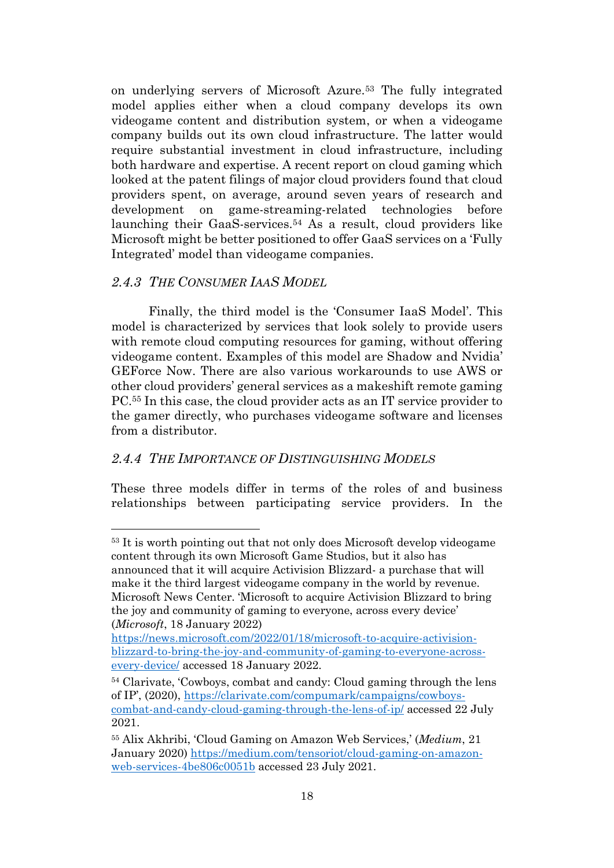on underlying servers of Microsoft Azure.<sup>53</sup> The fully integrated model applies either when a cloud company develops its own videogame content and distribution system, or when a videogame company builds out its own cloud infrastructure. The latter would require substantial investment in cloud infrastructure, including both hardware and expertise. A recent report on cloud gaming which looked at the patent filings of major cloud providers found that cloud providers spent, on average, around seven years of research and development on game-streaming-related technologies before launching their GaaS-services. <sup>54</sup> As a result, cloud providers like Microsoft might be better positioned to offer GaaS services on a 'Fully Integrated' model than videogame companies.

# <span id="page-17-2"></span><span id="page-17-0"></span>*2.4.3 THE CONSUMER IAAS MODEL*

Finally, the third model is the 'Consumer IaaS Model'. This model is characterized by services that look solely to provide users with remote cloud computing resources for gaming, without offering videogame content. Examples of this model are Shadow and Nvidia' GEForce Now. There are also various workarounds to use AWS or other cloud providers' general services as a makeshift remote gaming PC.<sup>55</sup> In this case, the cloud provider acts as an IT service provider to the gamer directly, who purchases videogame software and licenses from a distributor.

# <span id="page-17-1"></span>*2.4.4 THE IMPORTANCE OF DISTINGUISHING MODELS*

These three models differ in terms of the roles of and business relationships between participating service providers. In the

(*Microsoft*, 18 January 2022)

<sup>&</sup>lt;sup>53</sup> It is worth pointing out that not only does Microsoft develop videogame content through its own Microsoft Game Studios, but it also has announced that it will acquire Activision Blizzard- a purchase that will make it the third largest videogame company in the world by revenue. Microsoft News Center. 'Microsoft to acquire Activision Blizzard to bring the joy and community of gaming to everyone, across every device'

[https://news.microsoft.com/2022/01/18/microsoft-to-acquire-activision](https://news.microsoft.com/2022/01/18/microsoft-to-acquire-activision-blizzard-to-bring-the-joy-and-community-of-gaming-to-everyone-across-every-device/)[blizzard-to-bring-the-joy-and-community-of-gaming-to-everyone-across](https://news.microsoft.com/2022/01/18/microsoft-to-acquire-activision-blizzard-to-bring-the-joy-and-community-of-gaming-to-everyone-across-every-device/)[every-device/](https://news.microsoft.com/2022/01/18/microsoft-to-acquire-activision-blizzard-to-bring-the-joy-and-community-of-gaming-to-everyone-across-every-device/) accessed 18 January 2022.

<sup>54</sup> Clarivate, 'Cowboys, combat and candy: Cloud gaming through the lens of IP', (2020), [https://clarivate.com/compumark/campaigns/cowboys](https://clarivate.com/compumark/campaigns/cowboys-combat-and-candy-cloud-gaming-through-the-lens-of-ip/)[combat-and-candy-cloud-gaming-through-the-lens-of-ip/](https://clarivate.com/compumark/campaigns/cowboys-combat-and-candy-cloud-gaming-through-the-lens-of-ip/) accessed 22 July 2021.

<sup>55</sup> Alix Akhribi, 'Cloud Gaming on Amazon Web Services,' (*Medium*, 21 January 2020) [https://medium.com/tensoriot/cloud-gaming-on-amazon](https://medium.com/tensoriot/cloud-gaming-on-amazon-web-services-4be806c0051b)[web-services-4be806c0051b](https://medium.com/tensoriot/cloud-gaming-on-amazon-web-services-4be806c0051b) accessed 23 July 2021.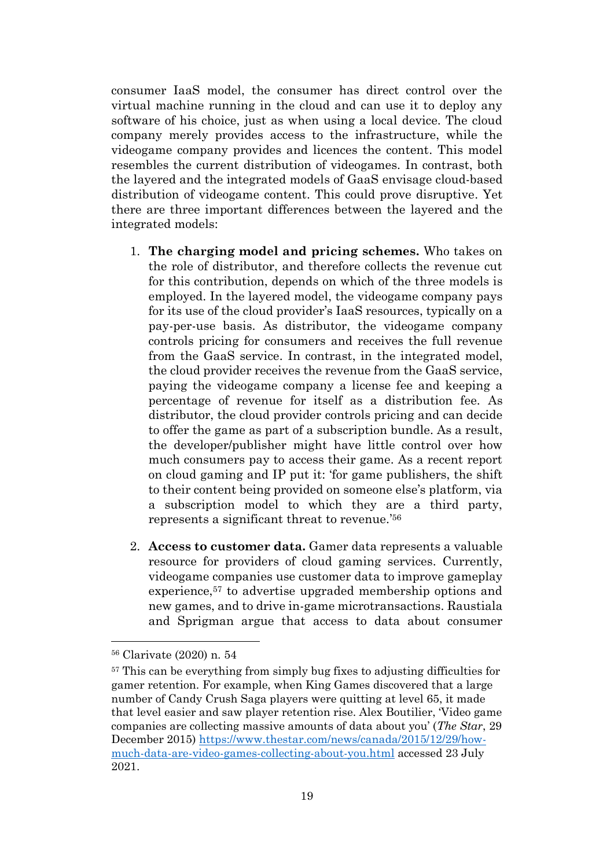consumer IaaS model, the consumer has direct control over the virtual machine running in the cloud and can use it to deploy any software of his choice, just as when using a local device. The cloud company merely provides access to the infrastructure, while the videogame company provides and licences the content. This model resembles the current distribution of videogames. In contrast, both the layered and the integrated models of GaaS envisage cloud-based distribution of videogame content. This could prove disruptive. Yet there are three important differences between the layered and the integrated models:

- 1. **The charging model and pricing schemes.** Who takes on the role of distributor, and therefore collects the revenue cut for this contribution, depends on which of the three models is employed. In the layered model, the videogame company pays for its use of the cloud provider's IaaS resources, typically on a pay-per-use basis. As distributor, the videogame company controls pricing for consumers and receives the full revenue from the GaaS service. In contrast, in the integrated model, the cloud provider receives the revenue from the GaaS service, paying the videogame company a license fee and keeping a percentage of revenue for itself as a distribution fee. As distributor, the cloud provider controls pricing and can decide to offer the game as part of a subscription bundle. As a result, the developer/publisher might have little control over how much consumers pay to access their game. As a recent report on cloud gaming and IP put it: 'for game publishers, the shift to their content being provided on someone else's platform, via a subscription model to which they are a third party, represents a significant threat to revenue.' 56
- 2. **Access to customer data.** Gamer data represents a valuable resource for providers of cloud gaming services. Currently, videogame companies use customer data to improve gameplay experience,<sup>57</sup> to advertise upgraded membership options and new games, and to drive in-game microtransactions. Raustiala and Sprigman argue that access to data about consumer

<sup>56</sup> Clarivate (2020) n. [54](#page-17-2)

<sup>&</sup>lt;sup>57</sup> This can be everything from simply bug fixes to adjusting difficulties for gamer retention. For example, when King Games discovered that a large number of Candy Crush Saga players were quitting at level 65, it made that level easier and saw player retention rise. Alex Boutilier, 'Video game companies are collecting massive amounts of data about you' (*The Star*, 29 December 2015) [https://www.thestar.com/news/canada/2015/12/29/how](https://www.thestar.com/news/canada/2015/12/29/how-much-data-are-video-games-collecting-about-you.html)[much-data-are-video-games-collecting-about-you.html](https://www.thestar.com/news/canada/2015/12/29/how-much-data-are-video-games-collecting-about-you.html) accessed 23 July 2021.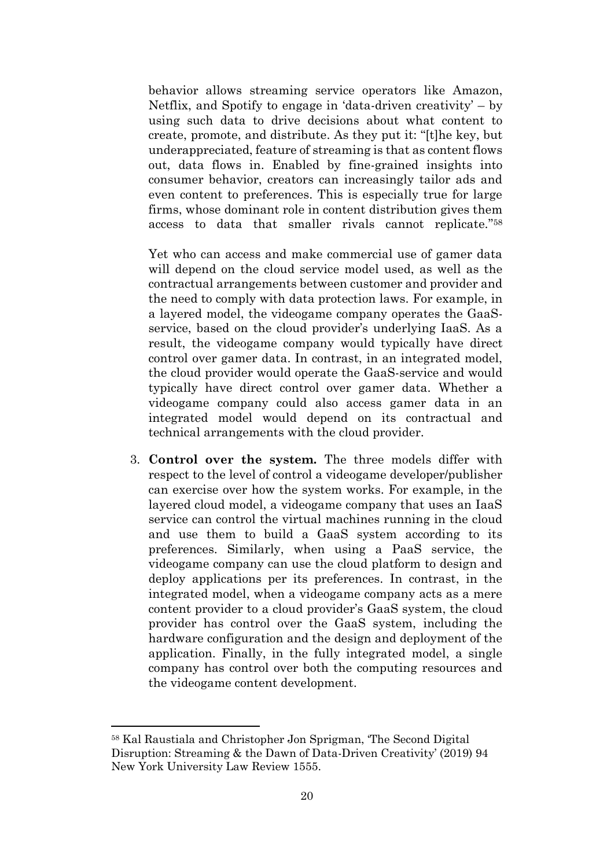behavior allows streaming service operators like Amazon, Netflix, and Spotify to engage in 'data-driven creativity' – by using such data to drive decisions about what content to create, promote, and distribute. As they put it: "[t]he key, but underappreciated, feature of streaming is that as content flows out, data flows in. Enabled by fine-grained insights into consumer behavior, creators can increasingly tailor ads and even content to preferences. This is especially true for large firms, whose dominant role in content distribution gives them access to data that smaller rivals cannot replicate." 58

Yet who can access and make commercial use of gamer data will depend on the cloud service model used, as well as the contractual arrangements between customer and provider and the need to comply with data protection laws. For example, in a layered model, the videogame company operates the GaaSservice, based on the cloud provider's underlying IaaS. As a result, the videogame company would typically have direct control over gamer data. In contrast, in an integrated model, the cloud provider would operate the GaaS-service and would typically have direct control over gamer data. Whether a videogame company could also access gamer data in an integrated model would depend on its contractual and technical arrangements with the cloud provider.

3. **Control over the system.** The three models differ with respect to the level of control a videogame developer/publisher can exercise over how the system works. For example, in the layered cloud model, a videogame company that uses an IaaS service can control the virtual machines running in the cloud and use them to build a GaaS system according to its preferences. Similarly, when using a PaaS service, the videogame company can use the cloud platform to design and deploy applications per its preferences. In contrast, in the integrated model, when a videogame company acts as a mere content provider to a cloud provider's GaaS system, the cloud provider has control over the GaaS system, including the hardware configuration and the design and deployment of the application. Finally, in the fully integrated model, a single company has control over both the computing resources and the videogame content development.

<sup>58</sup> Kal Raustiala and Christopher Jon Sprigman, 'The Second Digital Disruption: Streaming & the Dawn of Data-Driven Creativity' (2019) 94 New York University Law Review 1555.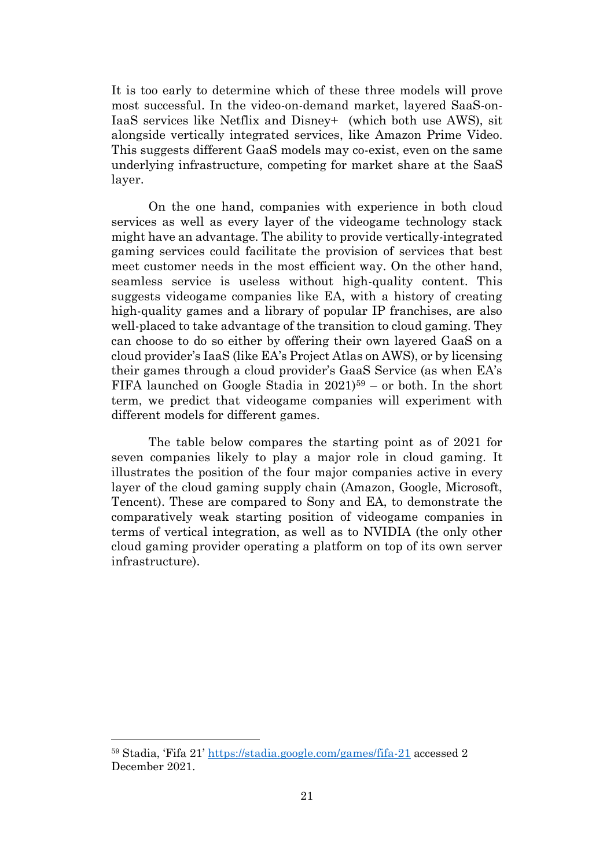It is too early to determine which of these three models will prove most successful. In the video-on-demand market, layered SaaS-on-IaaS services like Netflix and Disney+ (which both use AWS), sit alongside vertically integrated services, like Amazon Prime Video. This suggests different GaaS models may co-exist, even on the same underlying infrastructure, competing for market share at the SaaS layer.

On the one hand, companies with experience in both cloud services as well as every layer of the videogame technology stack might have an advantage. The ability to provide vertically-integrated gaming services could facilitate the provision of services that best meet customer needs in the most efficient way. On the other hand, seamless service is useless without high-quality content. This suggests videogame companies like EA, with a history of creating high-quality games and a library of popular IP franchises, are also well-placed to take advantage of the transition to cloud gaming. They can choose to do so either by offering their own layered GaaS on a cloud provider's IaaS (like EA's Project Atlas on AWS), or by licensing their games through a cloud provider's GaaS Service (as when EA's FIFA launched on Google Stadia in 2021)<sup>59</sup> – or both. In the short term, we predict that videogame companies will experiment with different models for different games.

The table below compares the starting point as of 2021 for seven companies likely to play a major role in cloud gaming. It illustrates the position of the four major companies active in every layer of the cloud gaming supply chain (Amazon, Google, Microsoft, Tencent). These are compared to Sony and EA, to demonstrate the comparatively weak starting position of videogame companies in terms of vertical integration, as well as to NVIDIA (the only other cloud gaming provider operating a platform on top of its own server infrastructure).

<sup>59</sup> Stadia, 'Fifa 21' <https://stadia.google.com/games/fifa-21> accessed 2 December 2021.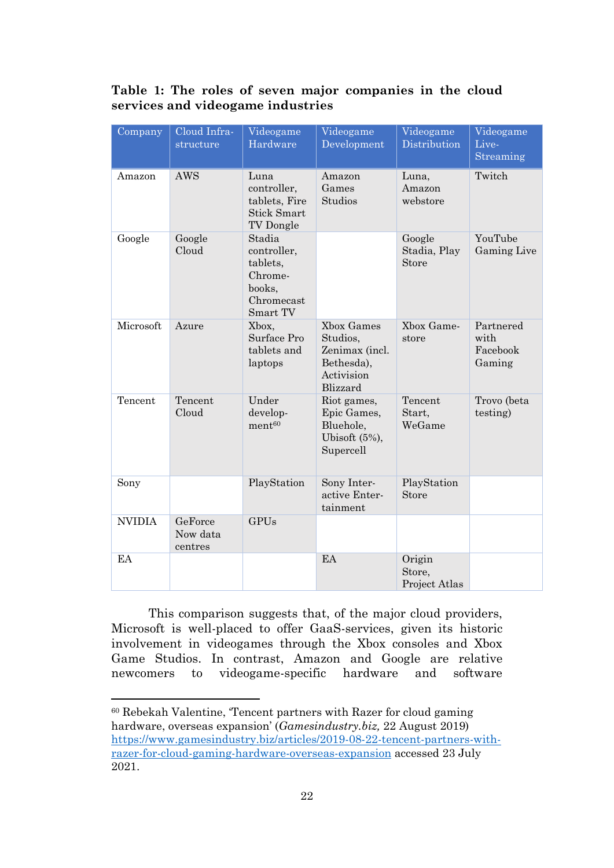# **Table 1: The roles of seven major companies in the cloud services and videogame industries**

| Company       | Cloud Infra-<br>structure      | Videogame<br>Hardware                                                            | Videogame<br>Development                                                         | Videogame<br>Distribution         | Videogame<br>Live-<br>Streaming         |
|---------------|--------------------------------|----------------------------------------------------------------------------------|----------------------------------------------------------------------------------|-----------------------------------|-----------------------------------------|
| Amazon        | <b>AWS</b>                     | Luna<br>controller,<br>tablets, Fire<br><b>Stick Smart</b><br>TV Dongle          | Amazon<br>Games<br>Studios                                                       | Luna,<br>Amazon<br>webstore       | Twitch                                  |
| Google        | Google<br>Cloud                | Stadia<br>controller,<br>tablets,<br>Chrome-<br>books,<br>Chromecast<br>Smart TV |                                                                                  | Google<br>Stadia, Play<br>Store   | YouTube<br>Gaming Live                  |
| Microsoft     | Azure                          | Xbox,<br>Surface Pro<br>tablets and<br>laptops                                   | Xbox Games<br>Studios,<br>Zenimax (incl.<br>Bethesda),<br>Activision<br>Blizzard | Xbox Game-<br>store               | Partnered<br>with<br>Facebook<br>Gaming |
| Tencent       | Tencent<br>Cloud               | Under<br>develop-<br>ment <sup>60</sup>                                          | Riot games,<br>Epic Games,<br>Bluehole,<br>Ubisoft $(5\%)$ ,<br>Supercell        | Tencent<br>Start,<br>WeGame       | Trovo (beta<br>testing)                 |
| Sony          |                                | PlayStation                                                                      | Sony Inter-<br>active Enter-<br>tainment                                         | PlayStation<br>Store              |                                         |
| <b>NVIDIA</b> | GeForce<br>Now data<br>centres | <b>GPUs</b>                                                                      |                                                                                  |                                   |                                         |
| EA            |                                |                                                                                  | EA                                                                               | Origin<br>Store,<br>Project Atlas |                                         |

This comparison suggests that, of the major cloud providers, Microsoft is well-placed to offer GaaS-services, given its historic involvement in videogames through the Xbox consoles and Xbox Game Studios. In contrast, Amazon and Google are relative newcomers to videogame-specific hardware and software

<sup>60</sup> Rebekah Valentine, 'Tencent partners with Razer for cloud gaming hardware, overseas expansion' (*Gamesindustry.biz,* 22 August 2019) [https://www.gamesindustry.biz/articles/2019-08-22-tencent-partners-with](https://www.gamesindustry.biz/articles/2019-08-22-tencent-partners-with-razer-for-cloud-gaming-hardware-overseas-expansion)[razer-for-cloud-gaming-hardware-overseas-expansion](https://www.gamesindustry.biz/articles/2019-08-22-tencent-partners-with-razer-for-cloud-gaming-hardware-overseas-expansion) accessed 23 July 2021.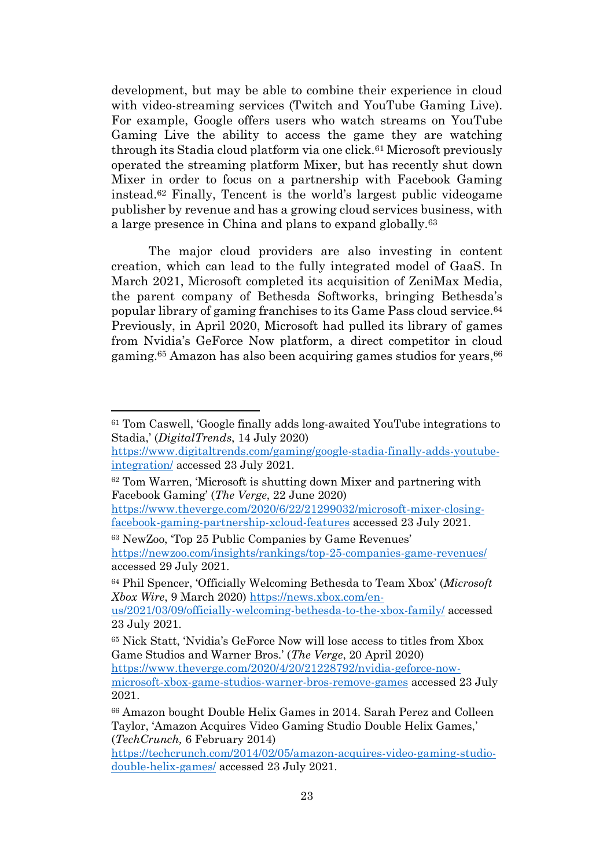development, but may be able to combine their experience in cloud with video-streaming services (Twitch and YouTube Gaming Live). For example, Google offers users who watch streams on YouTube Gaming Live the ability to access the game they are watching through its Stadia cloud platform via one click.<sup>61</sup> Microsoft previously operated the streaming platform Mixer, but has recently shut down Mixer in order to focus on a partnership with Facebook Gaming instead.<sup>62</sup> Finally, Tencent is the world's largest public videogame publisher by revenue and has a growing cloud services business, with a large presence in China and plans to expand globally.<sup>63</sup>

The major cloud providers are also investing in content creation, which can lead to the fully integrated model of GaaS. In March 2021, Microsoft completed its acquisition of ZeniMax Media, the parent company of Bethesda Softworks, bringing Bethesda's popular library of gaming franchises to its Game Pass cloud service.<sup>64</sup> Previously, in April 2020, Microsoft had pulled its library of games from Nvidia's GeForce Now platform, a direct competitor in cloud gaming.<sup>65</sup> Amazon has also been acquiring games studios for years, <sup>66</sup>

<sup>61</sup> Tom Caswell, 'Google finally adds long-awaited YouTube integrations to Stadia,' (*DigitalTrends*, 14 July 2020)

[https://www.digitaltrends.com/gaming/google-stadia-finally-adds-youtube](https://www.digitaltrends.com/gaming/google-stadia-finally-adds-youtube-integration/)[integration/](https://www.digitaltrends.com/gaming/google-stadia-finally-adds-youtube-integration/) accessed 23 July 2021.

<sup>62</sup> Tom Warren, 'Microsoft is shutting down Mixer and partnering with Facebook Gaming' (*The Verge*, 22 June 2020)

[https://www.theverge.com/2020/6/22/21299032/microsoft-mixer-closing](https://www.theverge.com/2020/6/22/21299032/microsoft-mixer-closing-facebook-gaming-partnership-xcloud-features)[facebook-gaming-partnership-xcloud-features](https://www.theverge.com/2020/6/22/21299032/microsoft-mixer-closing-facebook-gaming-partnership-xcloud-features) accessed 23 July 2021.

<sup>63</sup> NewZoo, 'Top 25 Public Companies by Game Revenues' <https://newzoo.com/insights/rankings/top-25-companies-game-revenues/> accessed 29 July 2021.

<sup>64</sup> Phil Spencer, 'Officially Welcoming Bethesda to Team Xbox' (*Microsoft Xbox Wire*, 9 March 2020) [https://news.xbox.com/en-](https://news.xbox.com/en-us/2021/03/09/officially-welcoming-bethesda-to-the-xbox-family/)

[us/2021/03/09/officially-welcoming-bethesda-to-the-xbox-family/](https://news.xbox.com/en-us/2021/03/09/officially-welcoming-bethesda-to-the-xbox-family/) accessed 23 July 2021.

<sup>65</sup> Nick Statt, 'Nvidia's GeForce Now will lose access to titles from Xbox Game Studios and Warner Bros.' (*The Verge*, 20 April 2020)

[https://www.theverge.com/2020/4/20/21228792/nvidia-geforce-now-](https://www.theverge.com/2020/4/20/21228792/nvidia-geforce-now-microsoft-xbox-game-studios-warner-bros-remove-games)

[microsoft-xbox-game-studios-warner-bros-remove-games](https://www.theverge.com/2020/4/20/21228792/nvidia-geforce-now-microsoft-xbox-game-studios-warner-bros-remove-games) accessed 23 July 2021.

<sup>66</sup> Amazon bought Double Helix Games in 2014. Sarah Perez and Colleen Taylor, 'Amazon Acquires Video Gaming Studio Double Helix Games,' (*TechCrunch,* 6 February 2014)

[https://techcrunch.com/2014/02/05/amazon-acquires-video-gaming-studio](https://techcrunch.com/2014/02/05/amazon-acquires-video-gaming-studio-double-helix-games/)[double-helix-games/](https://techcrunch.com/2014/02/05/amazon-acquires-video-gaming-studio-double-helix-games/) accessed 23 July 2021.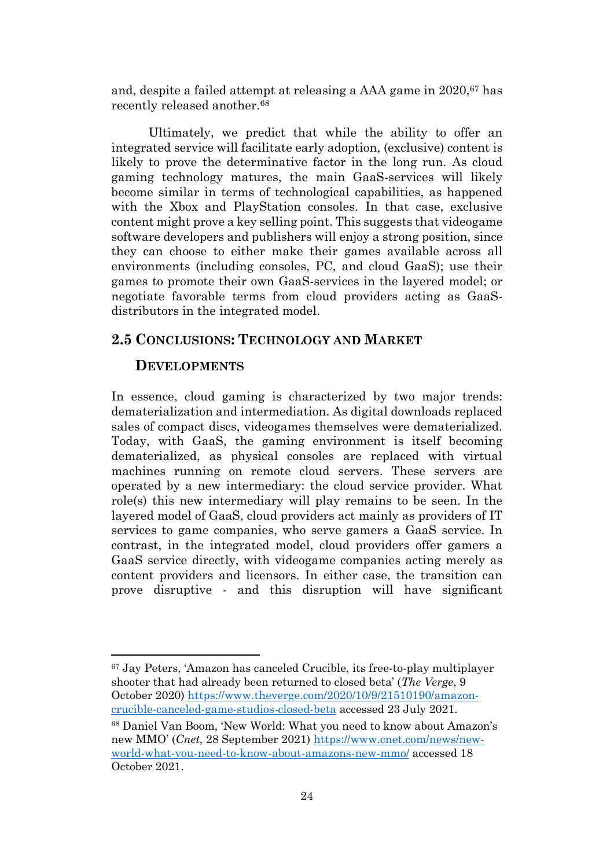and, despite a failed attempt at releasing a AAA game in 2020,<sup>67</sup> has recently released another. 68

Ultimately, we predict that while the ability to offer an integrated service will facilitate early adoption, (exclusive) content is likely to prove the determinative factor in the long run. As cloud gaming technology matures, the main GaaS-services will likely become similar in terms of technological capabilities, as happened with the Xbox and PlayStation consoles. In that case, exclusive content might prove a key selling point. This suggests that videogame software developers and publishers will enjoy a strong position, since they can choose to either make their games available across all environments (including consoles, PC, and cloud GaaS); use their games to promote their own GaaS-services in the layered model; or negotiate favorable terms from cloud providers acting as GaaSdistributors in the integrated model.

# <span id="page-23-0"></span>**2.5 CONCLUSIONS: TECHNOLOGY AND MARKET**

#### **DEVELOPMENTS**

In essence, cloud gaming is characterized by two major trends: dematerialization and intermediation. As digital downloads replaced sales of compact discs, videogames themselves were dematerialized. Today, with GaaS, the gaming environment is itself becoming dematerialized, as physical consoles are replaced with virtual machines running on remote cloud servers. These servers are operated by a new intermediary: the cloud service provider. What role(s) this new intermediary will play remains to be seen. In the layered model of GaaS, cloud providers act mainly as providers of IT services to game companies, who serve gamers a GaaS service. In contrast, in the integrated model, cloud providers offer gamers a GaaS service directly, with videogame companies acting merely as content providers and licensors. In either case, the transition can prove disruptive - and this disruption will have significant

<sup>67</sup> Jay Peters, 'Amazon has canceled Crucible, its free-to-play multiplayer shooter that had already been returned to closed beta' (*The Verge*, 9 October 2020) [https://www.theverge.com/2020/10/9/21510190/amazon](https://www.theverge.com/2020/10/9/21510190/amazon-crucible-canceled-game-studios-closed-beta)[crucible-canceled-game-studios-closed-beta](https://www.theverge.com/2020/10/9/21510190/amazon-crucible-canceled-game-studios-closed-beta) accessed 23 July 2021.

<sup>68</sup> Daniel Van Boom, 'New World: What you need to know about Amazon's new MMO' (*Cnet*, 28 September 2021) [https://www.cnet.com/news/new](https://www.cnet.com/news/new-world-what-you-need-to-know-about-amazons-new-mmo/)[world-what-you-need-to-know-about-amazons-new-mmo/](https://www.cnet.com/news/new-world-what-you-need-to-know-about-amazons-new-mmo/) accessed 18 October 2021.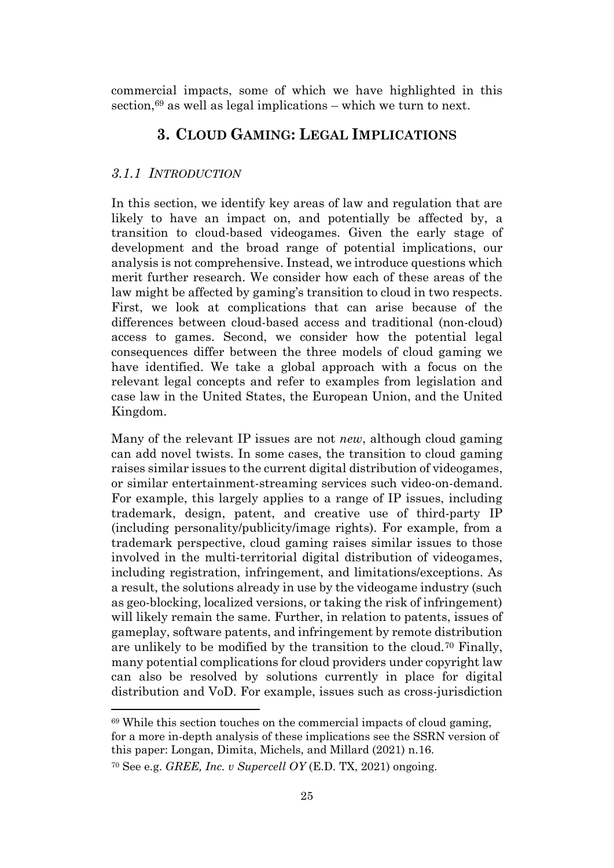<span id="page-24-0"></span>commercial impacts, some of which we have highlighted in this section, $69$  as well as legal implications – which we turn to next.

# **3. CLOUD GAMING: LEGAL IMPLICATIONS**

# <span id="page-24-1"></span>*3.1.1 INTRODUCTION*

In this section, we identify key areas of law and regulation that are likely to have an impact on, and potentially be affected by, a transition to cloud-based videogames. Given the early stage of development and the broad range of potential implications, our analysis is not comprehensive. Instead, we introduce questions which merit further research. We consider how each of these areas of the law might be affected by gaming's transition to cloud in two respects. First, we look at complications that can arise because of the differences between cloud-based access and traditional (non-cloud) access to games. Second, we consider how the potential legal consequences differ between the three models of cloud gaming we have identified. We take a global approach with a focus on the relevant legal concepts and refer to examples from legislation and case law in the United States, the European Union, and the United Kingdom.

Many of the relevant IP issues are not *new*, although cloud gaming can add novel twists. In some cases, the transition to cloud gaming raises similar issues to the current digital distribution of videogames, or similar entertainment-streaming services such video-on-demand. For example, this largely applies to a range of IP issues, including trademark, design, patent, and creative use of third-party IP (including personality/publicity/image rights). For example, from a trademark perspective, cloud gaming raises similar issues to those involved in the multi-territorial digital distribution of videogames, including registration, infringement, and limitations/exceptions. As a result, the solutions already in use by the videogame industry (such as geo-blocking, localized versions, or taking the risk of infringement) will likely remain the same. Further, in relation to patents, issues of gameplay, software patents, and infringement by remote distribution are unlikely to be modified by the transition to the cloud.<sup>70</sup> Finally, many potential complications for cloud providers under copyright law can also be resolved by solutions currently in place for digital distribution and VoD. For example, issues such as cross-jurisdiction

<sup>69</sup> While this section touches on the commercial impacts of cloud gaming, for a more in-depth analysis of these implications see the SSRN version of this paper: Longan, Dimita, Michels, and Millard (2021) n[.16.](#page-9-1)

<sup>70</sup> See e.g. *GREE, Inc. v Supercell OY* (E.D. TX, 2021) ongoing.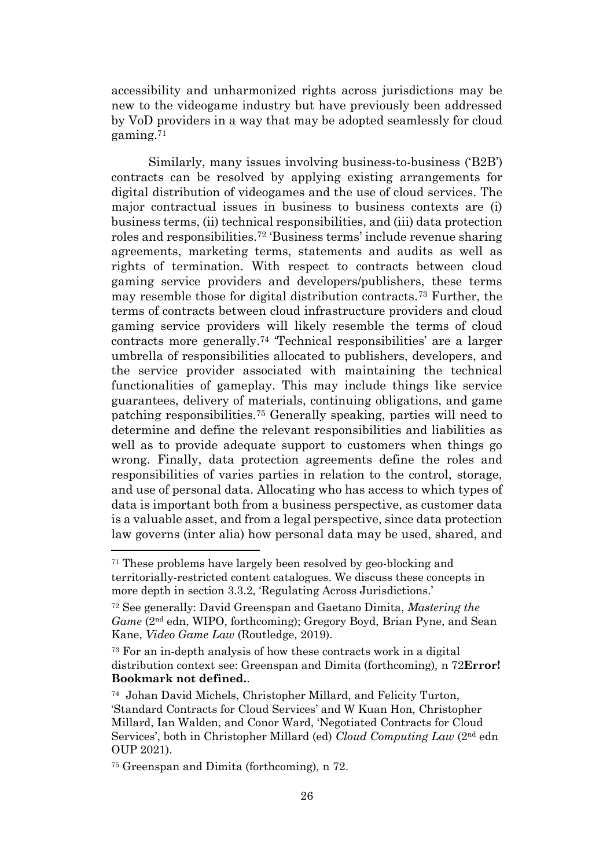accessibility and unharmonized rights across jurisdictions may be new to the videogame industry but have previously been addressed by VoD providers in a way that may be adopted seamlessly for cloud gaming.<sup>71</sup>

<span id="page-25-0"></span>Similarly, many issues involving business-to-business ('B2B') contracts can be resolved by applying existing arrangements for digital distribution of videogames and the use of cloud services. The major contractual issues in business to business contexts are (i) business terms, (ii) technical responsibilities, and (iii) data protection roles and responsibilities.<sup>72</sup> 'Business terms' include revenue sharing agreements, marketing terms, statements and audits as well as rights of termination. With respect to contracts between cloud gaming service providers and developers/publishers, these terms may resemble those for digital distribution contracts.<sup>73</sup> Further, the terms of contracts between cloud infrastructure providers and cloud gaming service providers will likely resemble the terms of cloud contracts more generally.<sup>74</sup> 'Technical responsibilities' are a larger umbrella of responsibilities allocated to publishers, developers, and the service provider associated with maintaining the technical functionalities of gameplay. This may include things like service guarantees, delivery of materials, continuing obligations, and game patching responsibilities.<sup>75</sup> Generally speaking, parties will need to determine and define the relevant responsibilities and liabilities as well as to provide adequate support to customers when things go wrong. Finally, data protection agreements define the roles and responsibilities of varies parties in relation to the control, storage, and use of personal data. Allocating who has access to which types of data is important both from a business perspective, as customer data is a valuable asset, and from a legal perspective, since data protection law governs (inter alia) how personal data may be used, shared, and

<sup>71</sup> These problems have largely been resolved by geo-blocking and territorially-restricted content catalogues. We discuss these concepts in more depth in section 3.3.2, 'Regulating Across Jurisdictions.'

<sup>72</sup> See generally: David Greenspan and Gaetano Dimita, *Mastering the Game* (2nd edn, WIPO, forthcoming); Gregory Boyd, Brian Pyne, and Sean Kane, *Video Game Law* (Routledge, 2019).

<sup>73</sup> For an in-depth analysis of how these contracts work in a digital distribution context see: Greenspan and Dimita (forthcoming)*,* n [72](#page-25-0)**Error! Bookmark not defined.**.

<sup>74</sup> Johan David Michels, Christopher Millard, and Felicity Turton, 'Standard Contracts for Cloud Services' and W Kuan Hon, Christopher Millard, Ian Walden, and Conor Ward, 'Negotiated Contracts for Cloud Services', both in Christopher Millard (ed) *Cloud Computing Law* (2nd edn OUP 2021).

<sup>75</sup> Greenspan and Dimita (forthcoming)*,* n [72.](#page-25-0)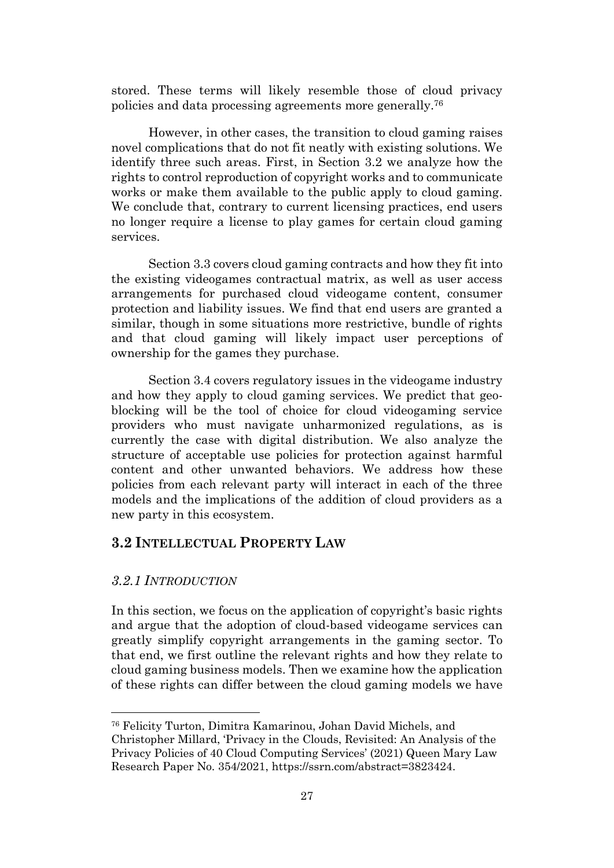stored. These terms will likely resemble those of cloud privacy policies and data processing agreements more generally.<sup>76</sup>

However, in other cases, the transition to cloud gaming raises novel complications that do not fit neatly with existing solutions. We identify three such areas. First, in Section 3.2 we analyze how the rights to control reproduction of copyright works and to communicate works or make them available to the public apply to cloud gaming. We conclude that, contrary to current licensing practices, end users no longer require a license to play games for certain cloud gaming services.

Section 3.3 covers cloud gaming contracts and how they fit into the existing videogames contractual matrix, as well as user access arrangements for purchased cloud videogame content, consumer protection and liability issues. We find that end users are granted a similar, though in some situations more restrictive, bundle of rights and that cloud gaming will likely impact user perceptions of ownership for the games they purchase.

Section 3.4 covers regulatory issues in the videogame industry and how they apply to cloud gaming services. We predict that geoblocking will be the tool of choice for cloud videogaming service providers who must navigate unharmonized regulations, as is currently the case with digital distribution. We also analyze the structure of acceptable use policies for protection against harmful content and other unwanted behaviors. We address how these policies from each relevant party will interact in each of the three models and the implications of the addition of cloud providers as a new party in this ecosystem.

# <span id="page-26-0"></span>**3.2 INTELLECTUAL PROPERTY LAW**

#### <span id="page-26-1"></span>*3.2.1 INTRODUCTION*

In this section, we focus on the application of copyright's basic rights and argue that the adoption of cloud-based videogame services can greatly simplify copyright arrangements in the gaming sector. To that end, we first outline the relevant rights and how they relate to cloud gaming business models. Then we examine how the application of these rights can differ between the cloud gaming models we have

<sup>76</sup> Felicity Turton, Dimitra Kamarinou, Johan David Michels, and

Christopher Millard, 'Privacy in the Clouds, Revisited: An Analysis of the Privacy Policies of 40 Cloud Computing Services' (2021) Queen Mary Law Research Paper No. 354/2021, [https://ssrn.com/abstract=3823424.](https://ssrn.com/abstract=3823424)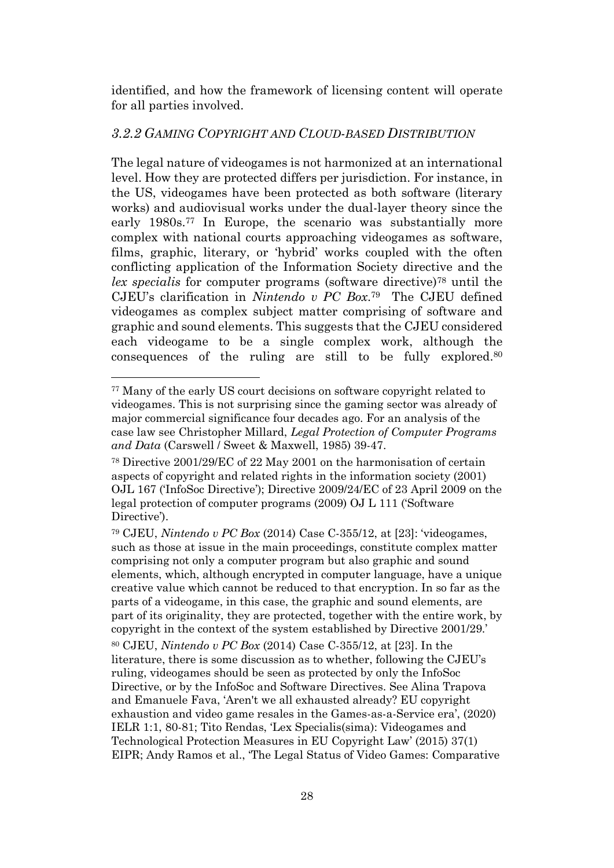identified, and how the framework of licensing content will operate for all parties involved.

## <span id="page-27-0"></span>*3.2.2 GAMING COPYRIGHT AND CLOUD-BASED DISTRIBUTION*

The legal nature of videogames is not harmonized at an international level. How they are protected differs per jurisdiction. For instance, in the US, videogames have been protected as both software (literary works) and audiovisual works under the dual-layer theory since the early 1980s. <sup>77</sup> In Europe, the scenario was substantially more complex with national courts approaching videogames as software, films, graphic, literary, or 'hybrid' works coupled with the often conflicting application of the Information Society directive and the *lex specialis* for computer programs (software directive)<sup>78</sup> until the CJEU's clarification in *Nintendo v PC Box*. <sup>79</sup> The CJEU defined videogames as complex subject matter comprising of software and graphic and sound elements. This suggests that the CJEU considered each videogame to be a single complex work, although the consequences of the ruling are still to be fully explored. 80

<sup>77</sup> Many of the early US court decisions on software copyright related to videogames. This is not surprising since the gaming sector was already of major commercial significance four decades ago. For an analysis of the case law see Christopher Millard, *Legal Protection of Computer Programs and Data* (Carswell / Sweet & Maxwell, 1985) 39-47.

<sup>78</sup> Directive 2001/29/EC of 22 May 2001 on the harmonisation of certain aspects of copyright and related rights in the information society (2001) OJL 167 ('InfoSoc Directive'); Directive 2009/24/EC of 23 April 2009 on the legal protection of computer programs (2009) OJ L 111 ('Software Directive').

<sup>79</sup> CJEU, *Nintendo v PC Box* (2014) Case C-355/12, at [23]: 'videogames, such as those at issue in the main proceedings, constitute complex matter comprising not only a computer program but also graphic and sound elements, which, although encrypted in computer language, have a unique creative value which cannot be reduced to that encryption. In so far as the parts of a videogame, in this case, the graphic and sound elements, are part of its originality, they are protected, together with the entire work, by copyright in the context of the system established by Directive 2001/29.' <sup>80</sup> CJEU, *Nintendo v PC Box* (2014) Case C-355/12, at [23]. In the literature, there is some discussion as to whether, following the CJEU's ruling, videogames should be seen as protected by only the InfoSoc Directive, or by the InfoSoc and Software Directives. See Alina Trapova and Emanuele Fava, 'Aren't we all exhausted already? EU copyright exhaustion and video game resales in the Games-as-a-Service era', (2020) IELR 1:1, 80-81; Tito Rendas, 'Lex Specialis(sima): Videogames and Technological Protection Measures in EU Copyright Law' (2015) 37(1) EIPR; Andy Ramos et al., 'The Legal Status of Video Games: Comparative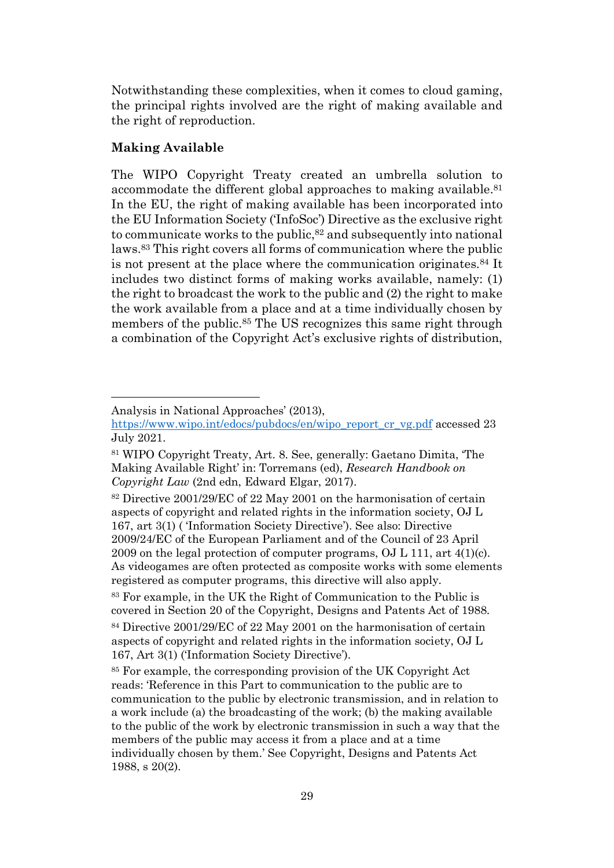Notwithstanding these complexities, when it comes to cloud gaming, the principal rights involved are the right of making available and the right of reproduction.

#### **Making Available**

<span id="page-28-0"></span>The WIPO Copyright Treaty created an umbrella solution to accommodate the different global approaches to making available. 81 In the EU, the right of making available has been incorporated into the EU Information Society ('InfoSoc') Directive as the exclusive right to communicate works to the public, <sup>82</sup> and subsequently into national laws. <sup>83</sup> This right covers all forms of communication where the public is not present at the place where the communication originates.<sup>84</sup> It includes two distinct forms of making works available, namely: (1) the right to broadcast the work to the public and (2) the right to make the work available from a place and at a time individually chosen by members of the public.<sup>85</sup> The US recognizes this same right through a combination of the Copyright Act's exclusive rights of distribution,

Analysis in National Approaches' (2013),

[https://www.wipo.int/edocs/pubdocs/en/wipo\\_report\\_cr\\_vg.pdf](https://www.wipo.int/edocs/pubdocs/en/wipo_report_cr_vg.pdf) accessed 23 July 2021.

<sup>81</sup> WIPO Copyright Treaty, Art. 8. See, generally: Gaetano Dimita, 'The Making Available Right' in: Torremans (ed), *Research Handbook on Copyright Law* (2nd edn, Edward Elgar, 2017).

<sup>82</sup> Directive 2001/29/EC of 22 May 2001 on the harmonisation of certain aspects of copyright and related rights in the information society, OJ L 167, art 3(1) ( 'Information Society Directive'). See also: Directive 2009/24/EC of the European Parliament and of the Council of 23 April 2009 on the legal protection of computer programs,  $\overline{OJ}$  L 111, art 4(1)(c). As videogames are often protected as composite works with some elements registered as computer programs, this directive will also apply.

<sup>83</sup> For example, in the UK the Right of Communication to the Public is covered in Section 20 of the Copyright, Designs and Patents Act of 1988.

<sup>84</sup> Directive 2001/29/EC of 22 May 2001 on the harmonisation of certain aspects of copyright and related rights in the information society, OJ L 167, Art 3(1) ('Information Society Directive').

<sup>85</sup> For example, the corresponding provision of the UK Copyright Act reads: 'Reference in this Part to communication to the public are to communication to the public by electronic transmission, and in relation to a work include (a) the broadcasting of the work; (b) the making available to the public of the work by electronic transmission in such a way that the members of the public may access it from a place and at a time individually chosen by them.' See Copyright, Designs and Patents Act 1988, s 20(2).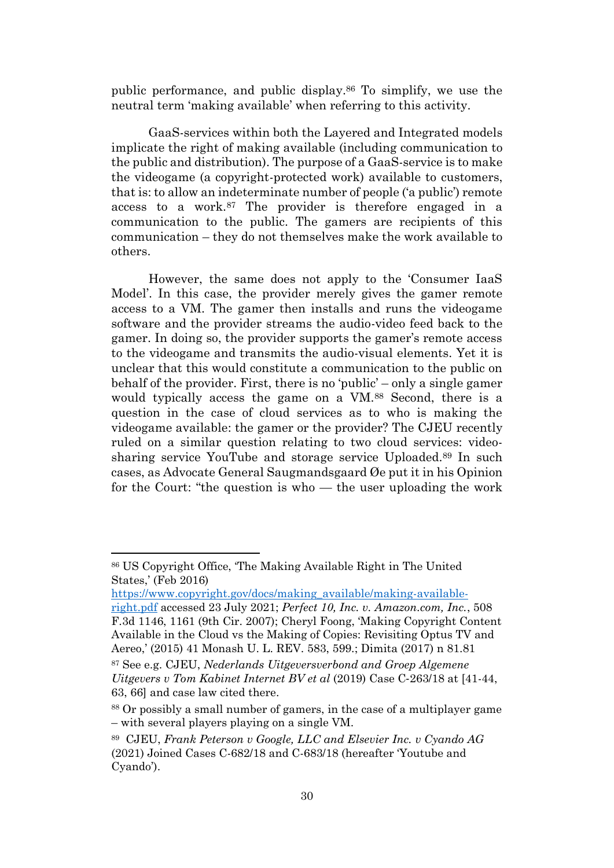public performance, and public display.<sup>86</sup> To simplify, we use the neutral term 'making available' when referring to this activity.

GaaS-services within both the Layered and Integrated models implicate the right of making available (including communication to the public and distribution). The purpose of a GaaS-service is to make the videogame (a copyright-protected work) available to customers, that is: to allow an indeterminate number of people ('a public') remote access to a work.<sup>87</sup> The provider is therefore engaged in a communication to the public. The gamers are recipients of this communication – they do not themselves make the work available to others.

However, the same does not apply to the 'Consumer IaaS Model'. In this case, the provider merely gives the gamer remote access to a VM. The gamer then installs and runs the videogame software and the provider streams the audio-video feed back to the gamer. In doing so, the provider supports the gamer's remote access to the videogame and transmits the audio-visual elements. Yet it is unclear that this would constitute a communication to the public on behalf of the provider. First, there is no 'public' – only a single gamer would typically access the game on a VM.<sup>88</sup> Second, there is a question in the case of cloud services as to who is making the videogame available: the gamer or the provider? The CJEU recently ruled on a similar question relating to two cloud services: videosharing service YouTube and storage service Uploaded.<sup>89</sup> In such cases, as Advocate General Saugmandsgaard Øe put it in his Opinion for the Court: "the question is who — the user uploading the work

<span id="page-29-0"></span><sup>86</sup> US Copyright Office, 'The Making Available Right in The United States,' (Feb 2016)

[https://www.copyright.gov/docs/making\\_available/making-available-](https://www.copyright.gov/docs/making_available/making-available-right.pdf)

[right.pdf](https://www.copyright.gov/docs/making_available/making-available-right.pdf) accessed 23 July 2021; *Perfect 10, Inc. v. Amazon.com, Inc.*, 508 F.3d 1146, 1161 (9th Cir. 2007); Cheryl Foong, 'Making Copyright Content Available in the Cloud vs the Making of Copies: Revisiting Optus TV and Aereo,' (2015) 41 Monash U. L. REV. 583, 599.; Dimita (2017) n [81.81](#page-28-0)

<sup>87</sup> See e.g. CJEU, *Nederlands Uitgeversverbond and Groep Algemene Uitgevers v Tom Kabinet Internet BV et al* (2019) Case C‑263/18 at [41-44, 63, 66] and case law cited there.

<sup>88</sup> Or possibly a small number of gamers, in the case of a multiplayer game – with several players playing on a single VM.

<sup>89</sup> CJEU, *Frank Peterson v Google, LLC and Elsevier Inc. v Cyando AG* (2021) Joined Cases C-682/18 and C-683/18 (hereafter 'Youtube and Cyando').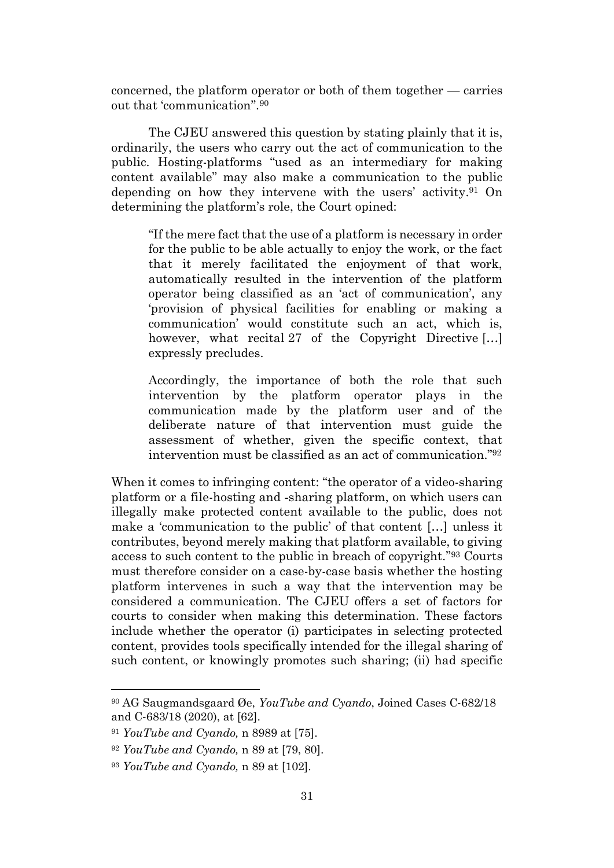concerned, the platform operator or both of them together — carries out that 'communication''. 90

The CJEU answered this question by stating plainly that it is, ordinarily, the users who carry out the act of communication to the public. Hosting-platforms "used as an intermediary for making content available" may also make a communication to the public depending on how they intervene with the users' activity. <sup>91</sup> On determining the platform's role, the Court opined:

"If the mere fact that the use of a platform is necessary in order for the public to be able actually to enjoy the work, or the fact that it merely facilitated the enjoyment of that work, automatically resulted in the intervention of the platform operator being classified as an 'act of communication', any 'provision of physical facilities for enabling or making a communication' would constitute such an act, which is, however, what recital 27 of the Copyright Directive [...] expressly precludes.

Accordingly, the importance of both the role that such intervention by the platform operator plays in the communication made by the platform user and of the deliberate nature of that intervention must guide the assessment of whether, given the specific context, that intervention must be classified as an act of communication." 92

When it comes to infringing content: "the operator of a video-sharing platform or a file-hosting and ‑sharing platform, on which users can illegally make protected content available to the public, does not make a 'communication to the public' of that content […] unless it contributes, beyond merely making that platform available, to giving access to such content to the public in breach of copyright." <sup>93</sup> Courts must therefore consider on a case-by-case basis whether the hosting platform intervenes in such a way that the intervention may be considered a communication. The CJEU offers a set of factors for courts to consider when making this determination. These factors include whether the operator (i) participates in selecting protected content, provides tools specifically intended for the illegal sharing of such content, or knowingly promotes such sharing; (ii) had specific

<sup>90</sup> AG Saugmandsgaard Øe, *YouTube and Cyando*, Joined Cases C‑682/18 and C‑683/18 (2020), at [62].

<sup>91</sup> *YouTube and Cyando,* n [8989](#page-29-0) at [75].

<sup>92</sup> *YouTube and Cyando,* n [89](#page-29-0) at [79, 80].

<sup>93</sup> *YouTube and Cyando,* n [89](#page-29-0) at [102].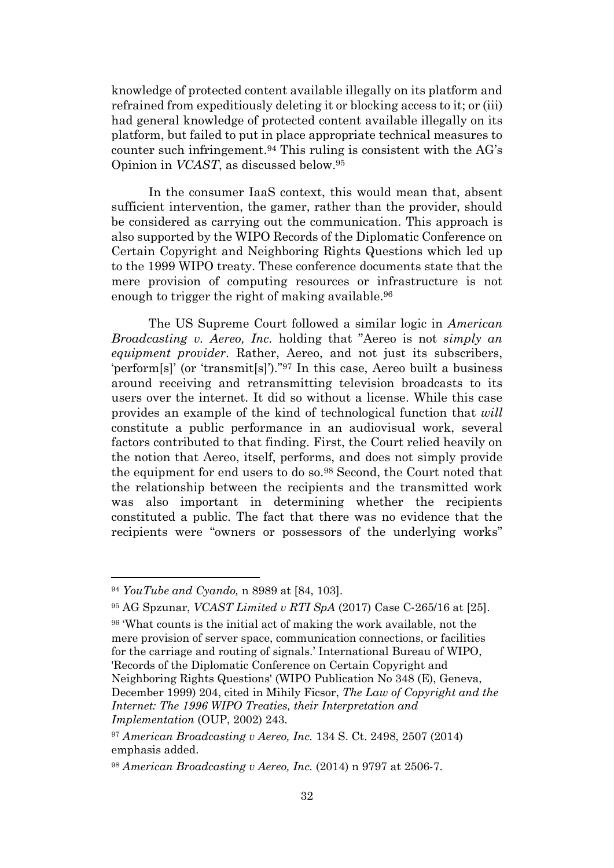knowledge of protected content available illegally on its platform and refrained from expeditiously deleting it or blocking access to it; or (iii) had general knowledge of protected content available illegally on its platform, but failed to put in place appropriate technical measures to counter such infringement. <sup>94</sup> This ruling is consistent with the AG's Opinion in *VCAST*, as discussed below. 95

In the consumer IaaS context, this would mean that, absent sufficient intervention, the gamer, rather than the provider, should be considered as carrying out the communication. This approach is also supported by the WIPO Records of the Diplomatic Conference on Certain Copyright and Neighboring Rights Questions which led up to the 1999 WIPO treaty. These conference documents state that the mere provision of computing resources or infrastructure is not enough to trigger the right of making available.<sup>96</sup>

<span id="page-31-0"></span>The US Supreme Court followed a similar logic in *American Broadcasting v. Aereo, Inc.* holding that "Aereo is not *simply an equipment provider*. Rather, Aereo, and not just its subscribers, 'perform[s]' (or 'transmit[s]')." <sup>97</sup> In this case, Aereo built a business around receiving and retransmitting television broadcasts to its users over the internet. It did so without a license. While this case provides an example of the kind of technological function that *will* constitute a public performance in an audiovisual work, several factors contributed to that finding. First, the Court relied heavily on the notion that Aereo, itself, performs, and does not simply provide the equipment for end users to do so.<sup>98</sup> Second, the Court noted that the relationship between the recipients and the transmitted work was also important in determining whether the recipients constituted a public. The fact that there was no evidence that the recipients were "owners or possessors of the underlying works"

<sup>94</sup> *YouTube and Cyando,* n [8989](#page-29-0) at [84, 103].

<sup>95</sup> AG Spzunar, *VCAST Limited v RTI SpA* (2017) Case C‑265/16 at [25].

<sup>96</sup> 'What counts is the initial act of making the work available, not the mere provision of server space, communication connections, or facilities for the carriage and routing of signals.' International Bureau of WIPO, 'Records of the Diplomatic Conference on Certain Copyright and Neighboring Rights Questions' (WIPO Publication No 348 (E), Geneva, December 1999) 204, cited in Mihily Ficsor, *The Law of Copyright and the Internet: The 1996 WIPO Treaties, their Interpretation and Implementation* (OUP, 2002) 243.

<sup>97</sup> *American Broadcasting v Aereo, Inc.* 134 S. Ct. 2498, 2507 (2014) emphasis added.

<sup>98</sup> *American Broadcasting v Aereo, Inc.* (2014) n [9797](#page-31-0) at 2506-7.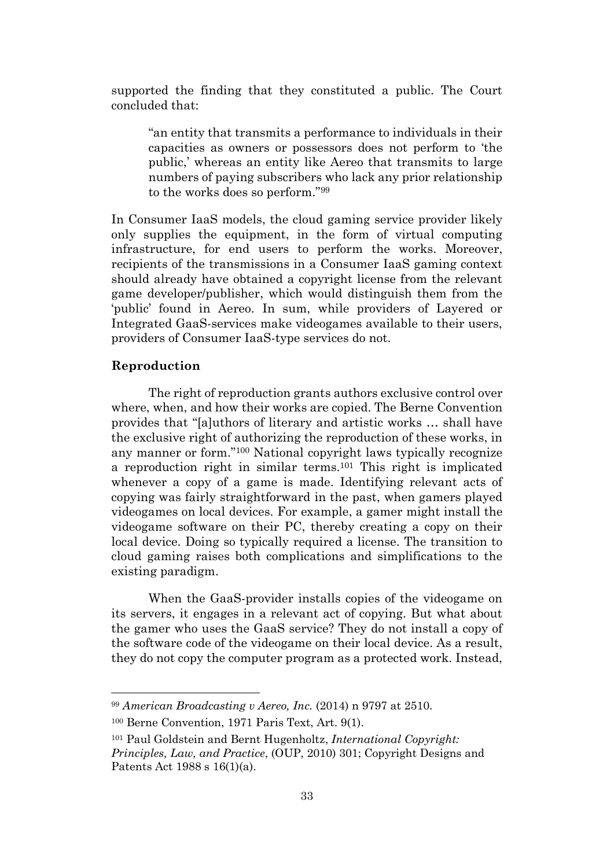supported the finding that they constituted a public. The Court concluded that:

"an entity that transmits a performance to individuals in their capacities as owners or possessors does not perform to 'the public,' whereas an entity like Aereo that transmits to large numbers of paying subscribers who lack any prior relationship to the works does so perform." 99

In Consumer IaaS models, the cloud gaming service provider likely only supplies the equipment, in the form of virtual computing infrastructure, for end users to perform the works. Moreover, recipients of the transmissions in a Consumer IaaS gaming context should already have obtained a copyright license from the relevant game developer/publisher, which would distinguish them from the 'public' found in Aereo. In sum, while providers of Layered or Integrated GaaS-services make videogames available to their users, providers of Consumer IaaS-type services do not.

#### **Reproduction**

The right of reproduction grants authors exclusive control over where, when, and how their works are copied. The Berne Convention provides that "[a]uthors of literary and artistic works … shall have the exclusive right of authorizing the reproduction of these works, in any manner or form." <sup>100</sup> National copyright laws typically recognize a reproduction right in similar terms.<sup>101</sup> This right is implicated whenever a copy of a game is made. Identifying relevant acts of copying was fairly straightforward in the past, when gamers played videogames on local devices. For example, a gamer might install the videogame software on their PC, thereby creating a copy on their local device. Doing so typically required a license. The transition to cloud gaming raises both complications and simplifications to the existing paradigm.

When the GaaS-provider installs copies of the videogame on its servers, it engages in a relevant act of copying. But what about the gamer who uses the GaaS service? They do not install a copy of the software code of the videogame on their local device. As a result, they do not copy the computer program as a protected work. Instead,

<sup>99</sup> *American Broadcasting v Aereo, Inc.* (2014) n [9797](#page-31-0) at 2510.

<sup>100</sup> Berne Convention, 1971 Paris Text, Art. 9(1).

<sup>101</sup> Paul Goldstein and Bernt Hugenholtz, *International Copyright: Principles, Law, and Practice*, (OUP, 2010) 301; Copyright Designs and Patents Act 1988 s 16(1)(a).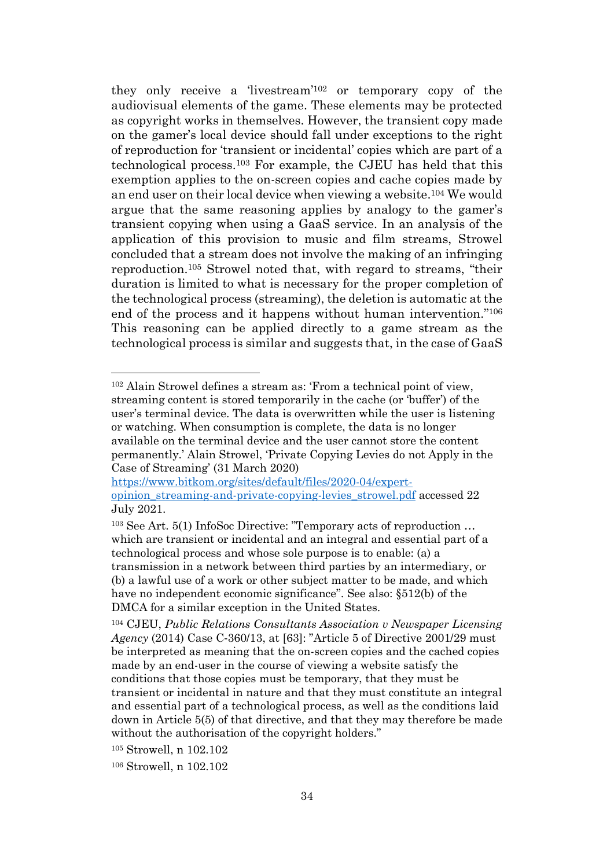<span id="page-33-0"></span>they only receive a 'livestream'<sup>102</sup> or temporary copy of the audiovisual elements of the game. These elements may be protected as copyright works in themselves. However, the transient copy made on the gamer's local device should fall under exceptions to the right of reproduction for 'transient or incidental' copies which are part of a technological process. <sup>103</sup> For example, the CJEU has held that this exemption applies to the on-screen copies and cache copies made by an end user on their local device when viewing a website. <sup>104</sup> We would argue that the same reasoning applies by analogy to the gamer's transient copying when using a GaaS service. In an analysis of the application of this provision to music and film streams, Strowel concluded that a stream does not involve the making of an infringing reproduction. <sup>105</sup> Strowel noted that, with regard to streams, "their duration is limited to what is necessary for the proper completion of the technological process (streaming), the deletion is automatic at the end of the process and it happens without human intervention."<sup>106</sup> This reasoning can be applied directly to a game stream as the technological process is similar and suggests that, in the case of GaaS

<sup>102</sup> Alain Strowel defines a stream as: 'From a technical point of view, streaming content is stored temporarily in the cache (or 'buffer') of the user's terminal device. The data is overwritten while the user is listening or watching. When consumption is complete, the data is no longer available on the terminal device and the user cannot store the content permanently.' Alain Strowel, 'Private Copying Levies do not Apply in the Case of Streaming' (31 March 2020)

[https://www.bitkom.org/sites/default/files/2020-04/expert](https://www.bitkom.org/sites/default/files/2020-04/expert-opinion_streaming-and-private-copying-levies_strowel.pdf)opinion streaming-and-private-copying-levies strowel.pdf accessed 22 July 2021.

<sup>103</sup> See Art. 5(1) InfoSoc Directive: "Temporary acts of reproduction … which are transient or incidental and an integral and essential part of a technological process and whose sole purpose is to enable: (a) a transmission in a network between third parties by an intermediary, or (b) a lawful use of a work or other subject matter to be made, and which have no independent economic significance". See also:  $\S512(b)$  of the DMCA for a similar exception in the United States.

<sup>104</sup> CJEU, *Public Relations Consultants Association v Newspaper Licensing Agency* (2014) Case C-360/13, at [63]: "Article 5 of Directive 2001/29 must be interpreted as meaning that the on-screen copies and the cached copies made by an end-user in the course of viewing a website satisfy the conditions that those copies must be temporary, that they must be transient or incidental in nature and that they must constitute an integral and essential part of a technological process, as well as the conditions laid down in Article 5(5) of that directive, and that they may therefore be made without the authorisation of the copyright holders."

<sup>&</sup>lt;sup>105</sup> Strowell, n 102.102

 $106$  Strowell, n  $102.102$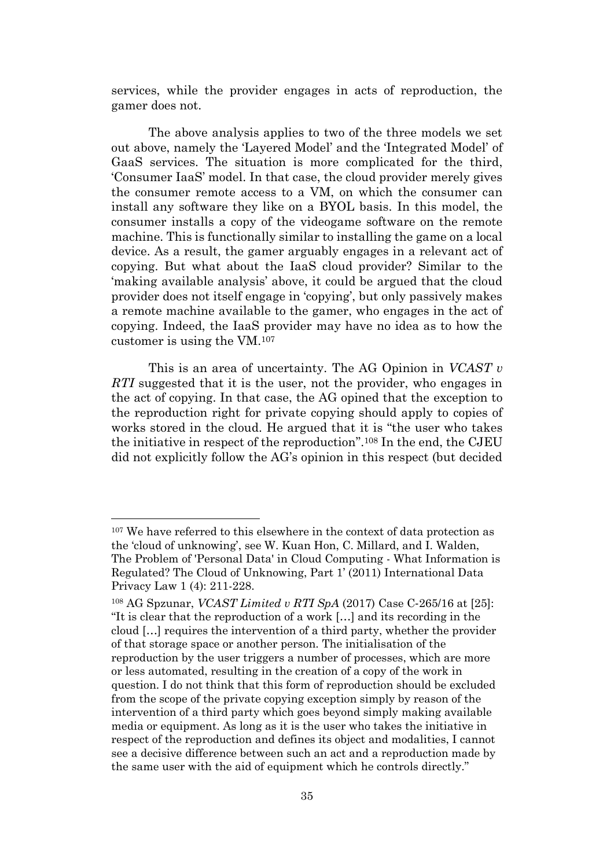services, while the provider engages in acts of reproduction, the gamer does not.

The above analysis applies to two of the three models we set out above, namely the 'Layered Model' and the 'Integrated Model' of GaaS services. The situation is more complicated for the third, 'Consumer IaaS' model. In that case, the cloud provider merely gives the consumer remote access to a VM, on which the consumer can install any software they like on a BYOL basis. In this model, the consumer installs a copy of the videogame software on the remote machine. This is functionally similar to installing the game on a local device. As a result, the gamer arguably engages in a relevant act of copying. But what about the IaaS cloud provider? Similar to the 'making available analysis' above, it could be argued that the cloud provider does not itself engage in 'copying', but only passively makes a remote machine available to the gamer, who engages in the act of copying. Indeed, the IaaS provider may have no idea as to how the customer is using the VM.<sup>107</sup>

This is an area of uncertainty. The AG Opinion in *VCAST v RTI* suggested that it is the user, not the provider, who engages in the act of copying. In that case, the AG opined that the exception to the reproduction right for private copying should apply to copies of works stored in the cloud. He argued that it is "the user who takes the initiative in respect of the reproduction". <sup>108</sup> In the end, the CJEU did not explicitly follow the AG's opinion in this respect (but decided

<sup>&</sup>lt;sup>107</sup> We have referred to this elsewhere in the context of data protection as the 'cloud of unknowing', see W. Kuan Hon, C. Millard, and I. Walden, The Problem of 'Personal Data' in Cloud Computing - What Information is Regulated? The Cloud of Unknowing, Part 1' (2011) International Data Privacy Law 1 (4): 211-228.

<sup>108</sup> AG Spzunar, *VCAST Limited v RTI SpA* (2017) Case C‑265/16 at [25]: "It is clear that the reproduction of a work […] and its recording in the cloud […] requires the intervention of a third party, whether the provider of that storage space or another person. The initialisation of the reproduction by the user triggers a number of processes, which are more or less automated, resulting in the creation of a copy of the work in question. I do not think that this form of reproduction should be excluded from the scope of the private copying exception simply by reason of the intervention of a third party which goes beyond simply making available media or equipment. As long as it is the user who takes the initiative in respect of the reproduction and defines its object and modalities, I cannot see a decisive difference between such an act and a reproduction made by the same user with the aid of equipment which he controls directly."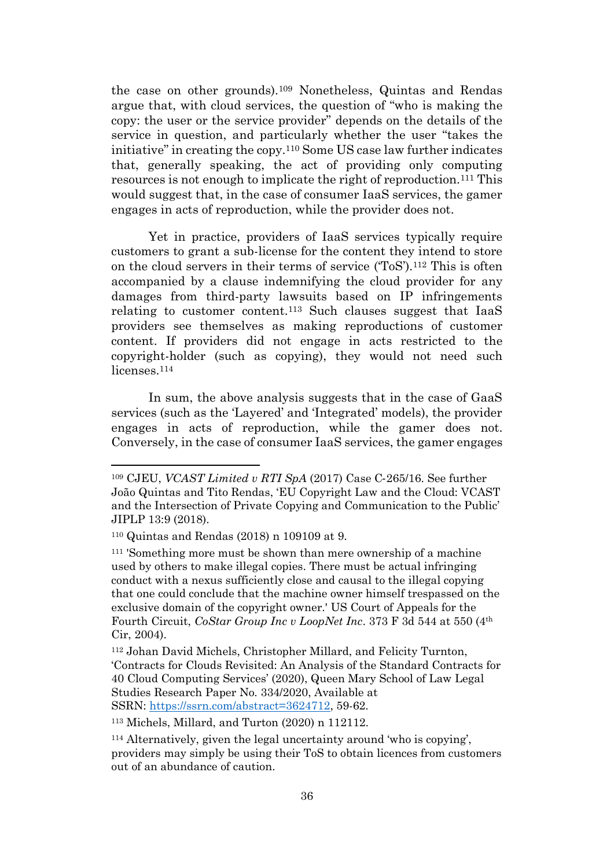<span id="page-35-0"></span>the case on other grounds).<sup>109</sup> Nonetheless, Quintas and Rendas argue that, with cloud services, the question of "who is making the copy: the user or the service provider" depends on the details of the service in question, and particularly whether the user "takes the initiative" in creating the copy.<sup>110</sup> Some US case law further indicates that, generally speaking, the act of providing only computing resources is not enough to implicate the right of reproduction.<sup>111</sup> This would suggest that, in the case of consumer IaaS services, the gamer engages in acts of reproduction, while the provider does not.

<span id="page-35-1"></span>Yet in practice, providers of IaaS services typically require customers to grant a sub-license for the content they intend to store on the cloud servers in their terms of service ('ToS'). <sup>112</sup> This is often accompanied by a clause indemnifying the cloud provider for any damages from third-party lawsuits based on IP infringements relating to customer content.<sup>113</sup> Such clauses suggest that IaaS providers see themselves as making reproductions of customer content. If providers did not engage in acts restricted to the copyright-holder (such as copying), they would not need such licenses. 114

In sum, the above analysis suggests that in the case of GaaS services (such as the 'Layered' and 'Integrated' models), the provider engages in acts of reproduction, while the gamer does not. Conversely, in the case of consumer IaaS services, the gamer engages

<sup>113</sup> Michels, Millard, and Turton (2020) n [112112.](#page-35-1)

<sup>109</sup> CJEU, *VCAST Limited v RTI SpA* (2017) Case C‑265/16. See further João Quintas and Tito Rendas, 'EU Copyright Law and the Cloud: VCAST and the Intersection of Private Copying and Communication to the Public' JIPLP 13:9 (2018).

<sup>110</sup> Quintas and Rendas (2018) n [109109](#page-35-0) at 9.

<sup>111</sup> 'Something more must be shown than mere ownership of a machine used by others to make illegal copies. There must be actual infringing conduct with a nexus sufficiently close and causal to the illegal copying that one could conclude that the machine owner himself trespassed on the exclusive domain of the copyright owner.' US Court of Appeals for the Fourth Circuit, *CoStar Group Inc v LoopNet Inc*. 373 F 3d 544 at 550 (4th Cir, 2004).

<sup>112</sup> Johan David Michels, Christopher Millard, and Felicity Turnton, 'Contracts for Clouds Revisited: An Analysis of the Standard Contracts for 40 Cloud Computing Services' (2020), Queen Mary School of Law Legal Studies Research Paper No. 334/2020, Available at SSRN: [https://ssrn.com/abstract=3624712,](https://ssrn.com/abstract=3624712) 59-62.

<sup>114</sup> Alternatively, given the legal uncertainty around 'who is copying', providers may simply be using their ToS to obtain licences from customers out of an abundance of caution.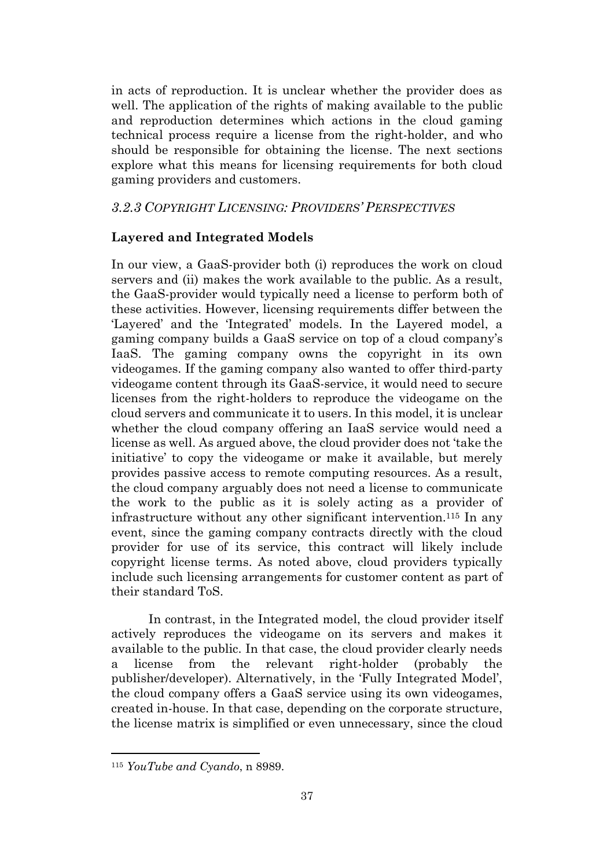in acts of reproduction. It is unclear whether the provider does as well. The application of the rights of making available to the public and reproduction determines which actions in the cloud gaming technical process require a license from the right-holder, and who should be responsible for obtaining the license. The next sections explore what this means for licensing requirements for both cloud gaming providers and customers.

# <span id="page-36-0"></span>*3.2.3 COPYRIGHT LICENSING: PROVIDERS' PERSPECTIVES*

# **Layered and Integrated Models**

In our view, a GaaS-provider both (i) reproduces the work on cloud servers and (ii) makes the work available to the public. As a result, the GaaS-provider would typically need a license to perform both of these activities. However, licensing requirements differ between the 'Layered' and the 'Integrated' models. In the Layered model, a gaming company builds a GaaS service on top of a cloud company's IaaS. The gaming company owns the copyright in its own videogames. If the gaming company also wanted to offer third-party videogame content through its GaaS-service, it would need to secure licenses from the right-holders to reproduce the videogame on the cloud servers and communicate it to users. In this model, it is unclear whether the cloud company offering an IaaS service would need a license as well. As argued above, the cloud provider does not 'take the initiative' to copy the videogame or make it available, but merely provides passive access to remote computing resources. As a result, the cloud company arguably does not need a license to communicate the work to the public as it is solely acting as a provider of infrastructure without any other significant intervention. <sup>115</sup> In any event, since the gaming company contracts directly with the cloud provider for use of its service, this contract will likely include copyright license terms. As noted above, cloud providers typically include such licensing arrangements for customer content as part of their standard ToS.

In contrast, in the Integrated model, the cloud provider itself actively reproduces the videogame on its servers and makes it available to the public. In that case, the cloud provider clearly needs a license from the relevant right-holder (probably the publisher/developer). Alternatively, in the 'Fully Integrated Model', the cloud company offers a GaaS service using its own videogames, created in-house. In that case, depending on the corporate structure, the license matrix is simplified or even unnecessary, since the cloud

<sup>115</sup> *YouTube and Cyando*, n [8989.](#page-29-0)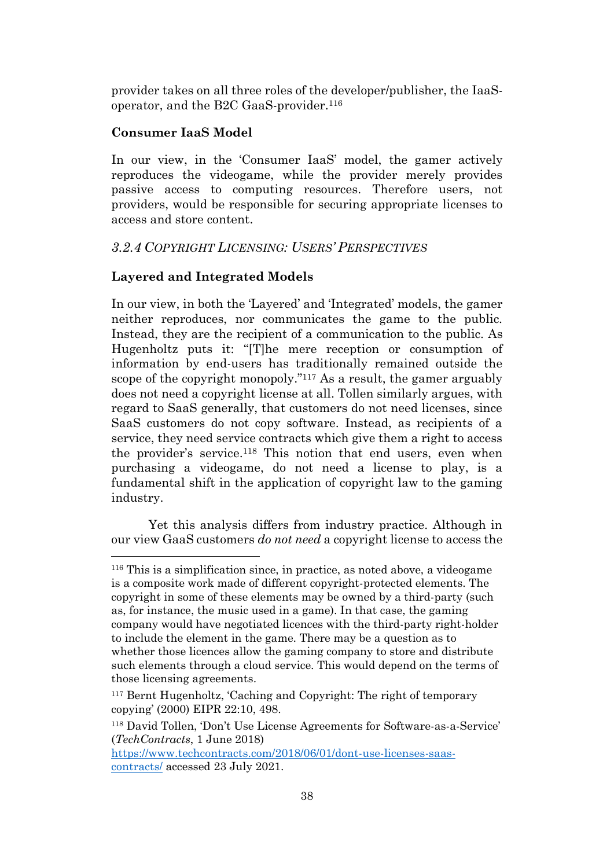provider takes on all three roles of the developer/publisher, the IaaSoperator, and the B2C GaaS-provider.<sup>116</sup>

# **Consumer IaaS Model**

In our view, in the 'Consumer IaaS' model, the gamer actively reproduces the videogame, while the provider merely provides passive access to computing resources. Therefore users, not providers, would be responsible for securing appropriate licenses to access and store content.

# <span id="page-37-0"></span>*3.2.4 COPYRIGHT LICENSING: USERS' PERSPECTIVES*

# **Layered and Integrated Models**

In our view, in both the 'Layered' and 'Integrated' models, the gamer neither reproduces, nor communicates the game to the public. Instead, they are the recipient of a communication to the public. As Hugenholtz puts it: "[T]he mere reception or consumption of information by end-users has traditionally remained outside the scope of the copyright monopoly." <sup>117</sup> As a result, the gamer arguably does not need a copyright license at all. Tollen similarly argues, with regard to SaaS generally, that customers do not need licenses, since SaaS customers do not copy software. Instead, as recipients of a service, they need service contracts which give them a right to access the provider's service.<sup>118</sup> This notion that end users, even when purchasing a videogame, do not need a license to play, is a fundamental shift in the application of copyright law to the gaming industry.

Yet this analysis differs from industry practice. Although in our view GaaS customers *do not need* a copyright license to access the

<sup>116</sup> This is a simplification since, in practice, as noted above, a videogame is a composite work made of different copyright-protected elements. The copyright in some of these elements may be owned by a third-party (such as, for instance, the music used in a game). In that case, the gaming company would have negotiated licences with the third-party right-holder to include the element in the game. There may be a question as to whether those licences allow the gaming company to store and distribute such elements through a cloud service. This would depend on the terms of those licensing agreements.

<sup>117</sup> Bernt Hugenholtz, 'Caching and Copyright: The right of temporary copying' (2000) EIPR 22:10, 498.

<sup>118</sup> David Tollen, 'Don't Use License Agreements for Software-as-a-Service' (*TechContracts*, 1 June 2018)

[https://www.techcontracts.com/2018/06/01/dont-use-licenses-saas](https://www.techcontracts.com/2018/06/01/dont-use-licenses-saas-contracts/)[contracts/](https://www.techcontracts.com/2018/06/01/dont-use-licenses-saas-contracts/) accessed 23 July 2021.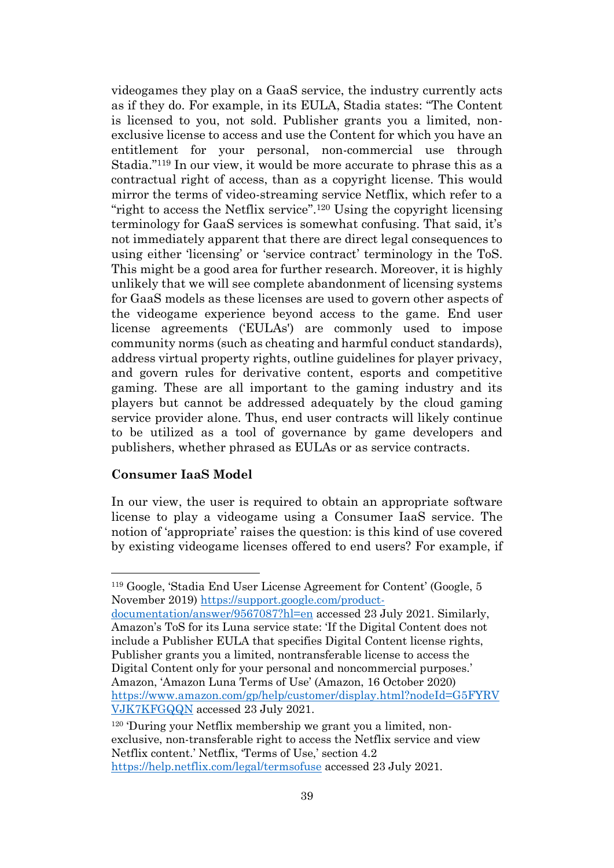videogames they play on a GaaS service, the industry currently acts as if they do. For example, in its EULA, Stadia states: "The Content is licensed to you, not sold. Publisher grants you a limited, nonexclusive license to access and use the Content for which you have an entitlement for your personal, non-commercial use through Stadia." <sup>119</sup> In our view, it would be more accurate to phrase this as a contractual right of access, than as a copyright license. This would mirror the terms of video-streaming service Netflix, which refer to a "right to access the Netflix service". <sup>120</sup> Using the copyright licensing terminology for GaaS services is somewhat confusing. That said, it's not immediately apparent that there are direct legal consequences to using either 'licensing' or 'service contract' terminology in the ToS. This might be a good area for further research. Moreover, it is highly unlikely that we will see complete abandonment of licensing systems for GaaS models as these licenses are used to govern other aspects of the videogame experience beyond access to the game. End user license agreements ('EULAs') are commonly used to impose community norms (such as cheating and harmful conduct standards), address virtual property rights, outline guidelines for player privacy, and govern rules for derivative content, esports and competitive gaming. These are all important to the gaming industry and its players but cannot be addressed adequately by the cloud gaming service provider alone. Thus, end user contracts will likely continue to be utilized as a tool of governance by game developers and publishers, whether phrased as EULAs or as service contracts.

#### **Consumer IaaS Model**

In our view, the user is required to obtain an appropriate software license to play a videogame using a Consumer IaaS service. The notion of 'appropriate' raises the question: is this kind of use covered by existing videogame licenses offered to end users? For example, if

[documentation/answer/9567087?hl=en](https://support.google.com/product-documentation/answer/9567087?hl=en) accessed 23 July 2021. Similarly, Amazon's ToS for its Luna service state: 'If the Digital Content does not include a Publisher EULA that specifies Digital Content license rights, Publisher grants you a limited, nontransferable license to access the Digital Content only for your personal and noncommercial purposes.' Amazon, 'Amazon Luna Terms of Use' (Amazon, 16 October 2020) [https://www.amazon.com/gp/help/customer/display.html?nodeId=G5FYRV](https://www.amazon.com/gp/help/customer/display.html?nodeId=G5FYRVVJK7KFGQQN) [VJK7KFGQQN](https://www.amazon.com/gp/help/customer/display.html?nodeId=G5FYRVVJK7KFGQQN) accessed 23 July 2021.

120 'During your Netflix membership we grant you a limited, nonexclusive, non-transferable right to access the Netflix service and view Netflix content.' Netflix, 'Terms of Use,' section 4.2 <https://help.netflix.com/legal/termsofuse> accessed 23 July 2021.

<sup>119</sup> Google, 'Stadia End User License Agreement for Content' (Google, 5 November 2019) [https://support.google.com/product-](https://support.google.com/product-documentation/answer/9567087?hl=en)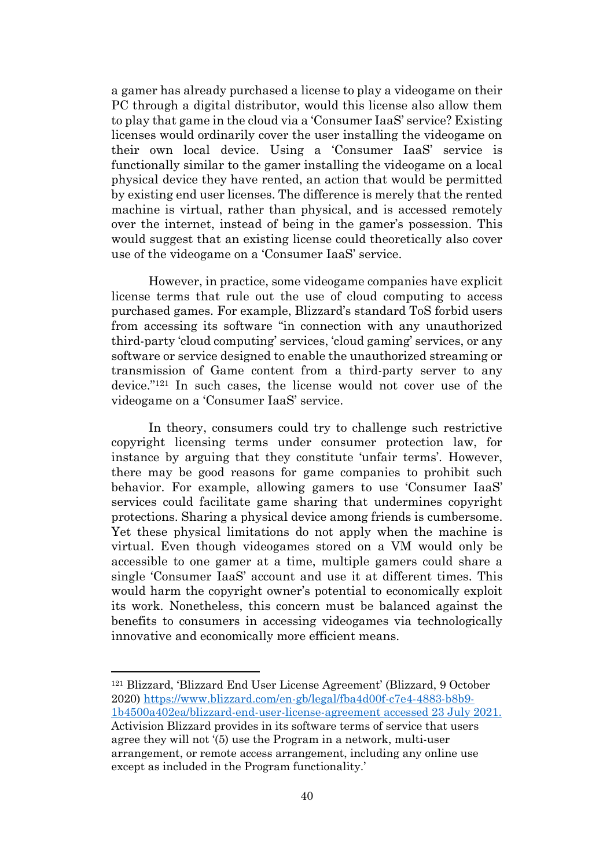a gamer has already purchased a license to play a videogame on their PC through a digital distributor, would this license also allow them to play that game in the cloud via a 'Consumer IaaS' service? Existing licenses would ordinarily cover the user installing the videogame on their own local device. Using a 'Consumer IaaS' service is functionally similar to the gamer installing the videogame on a local physical device they have rented, an action that would be permitted by existing end user licenses. The difference is merely that the rented machine is virtual, rather than physical, and is accessed remotely over the internet, instead of being in the gamer's possession. This would suggest that an existing license could theoretically also cover use of the videogame on a 'Consumer IaaS' service.

However, in practice, some videogame companies have explicit license terms that rule out the use of cloud computing to access purchased games. For example, Blizzard's standard ToS forbid users from accessing its software "in connection with any unauthorized third-party 'cloud computing' services, 'cloud gaming' services, or any software or service designed to enable the unauthorized streaming or transmission of Game content from a third-party server to any device." <sup>121</sup> In such cases, the license would not cover use of the videogame on a 'Consumer IaaS' service.

<span id="page-39-0"></span>In theory, consumers could try to challenge such restrictive copyright licensing terms under consumer protection law, for instance by arguing that they constitute 'unfair terms'. However, there may be good reasons for game companies to prohibit such behavior. For example, allowing gamers to use 'Consumer IaaS' services could facilitate game sharing that undermines copyright protections. Sharing a physical device among friends is cumbersome. Yet these physical limitations do not apply when the machine is virtual. Even though videogames stored on a VM would only be accessible to one gamer at a time, multiple gamers could share a single 'Consumer IaaS' account and use it at different times. This would harm the copyright owner's potential to economically exploit its work. Nonetheless, this concern must be balanced against the benefits to consumers in accessing videogames via technologically innovative and economically more efficient means.

<sup>121</sup> Blizzard, 'Blizzard End User License Agreement' (Blizzard, 9 October 2020) [https://www.blizzard.com/en-gb/legal/fba4d00f-c7e4-4883-b8b9-](https://www.blizzard.com/en-gb/legal/fba4d00f-c7e4-4883-b8b9-1b4500a402ea/blizzard-end-user-license-agreement) [1b4500a402ea/blizzard-end-user-license-agreement](https://www.blizzard.com/en-gb/legal/fba4d00f-c7e4-4883-b8b9-1b4500a402ea/blizzard-end-user-license-agreement) accessed 23 July 2021. Activision Blizzard provides in its software terms of service that users agree they will not '(5) use the Program in a network, multi-user arrangement, or remote access arrangement, including any online use except as included in the Program functionality.'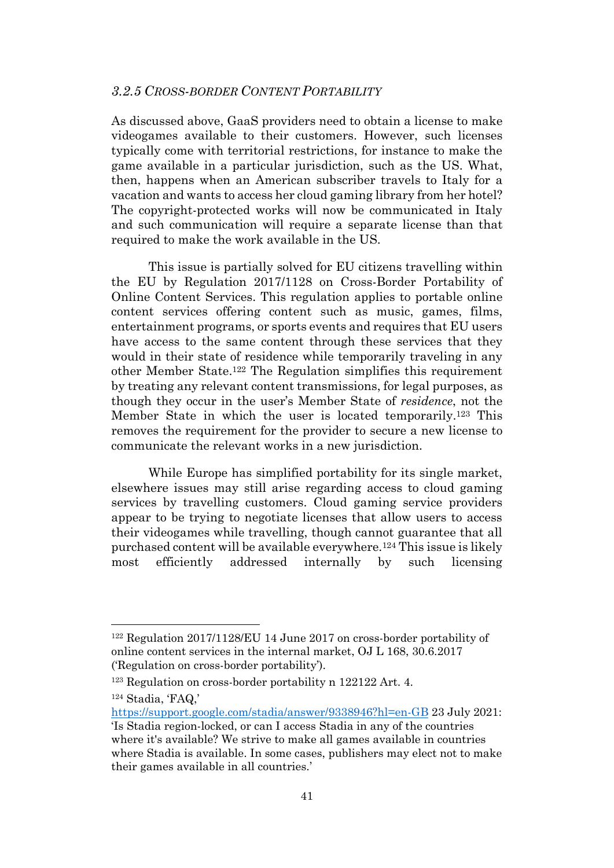## <span id="page-40-0"></span>*3.2.5 CROSS-BORDER CONTENT PORTABILITY*

As discussed above, GaaS providers need to obtain a license to make videogames available to their customers. However, such licenses typically come with territorial restrictions, for instance to make the game available in a particular jurisdiction, such as the US. What, then, happens when an American subscriber travels to Italy for a vacation and wants to access her cloud gaming library from her hotel? The copyright-protected works will now be communicated in Italy and such communication will require a separate license than that required to make the work available in the US.

<span id="page-40-1"></span>This issue is partially solved for EU citizens travelling within the EU by Regulation 2017/1128 on Cross-Border Portability of Online Content Services. This regulation applies to portable online content services offering content such as music, games, films, entertainment programs, or sports events and requires that EU users have access to the same content through these services that they would in their state of residence while temporarily traveling in any other Member State.<sup>122</sup> The Regulation simplifies this requirement by treating any relevant content transmissions, for legal purposes, as though they occur in the user's Member State of *residence*, not the Member State in which the user is located temporarily.<sup>123</sup> This removes the requirement for the provider to secure a new license to communicate the relevant works in a new jurisdiction.

While Europe has simplified portability for its single market, elsewhere issues may still arise regarding access to cloud gaming services by travelling customers. Cloud gaming service providers appear to be trying to negotiate licenses that allow users to access their videogames while travelling, though cannot guarantee that all purchased content will be available everywhere.<sup>124</sup> This issue is likely most efficiently addressed internally by such licensing

<sup>122</sup> Regulation 2017/1128/EU 14 June 2017 on cross-border portability of online content services in the internal market, OJ L 168, 30.6.2017 ('Regulation on cross-border portability').

<sup>123</sup> Regulation on cross-border portability n [122122](#page-40-1) Art. 4.

<sup>124</sup> Stadia, 'FAQ,'

<https://support.google.com/stadia/answer/9338946?hl=en-GB> 23 July 2021: 'Is Stadia region-locked, or can I access Stadia in any of the countries where it's available? We strive to make all games available in countries where Stadia is available. In some cases, publishers may elect not to make their games available in all countries.'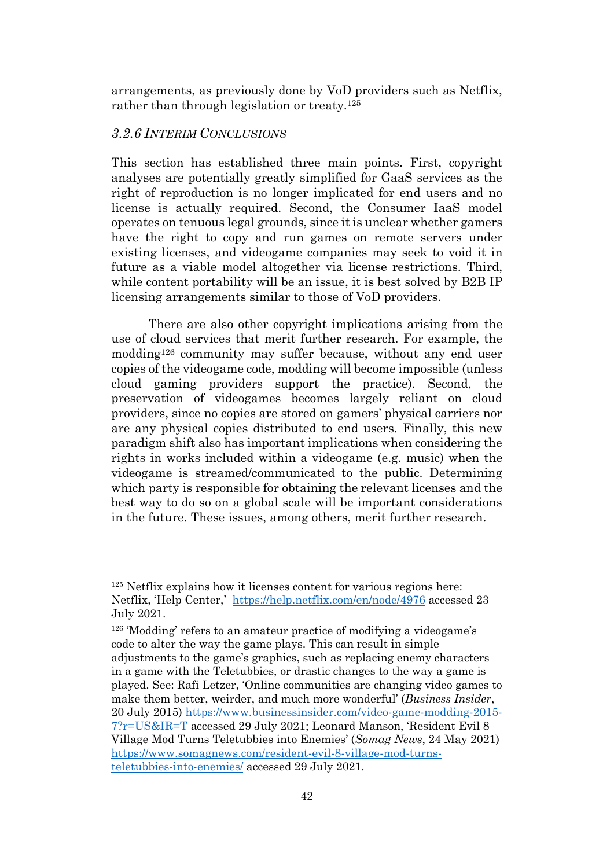arrangements, as previously done by VoD providers such as Netflix, rather than through legislation or treaty.<sup>125</sup>

# <span id="page-41-0"></span>*3.2.6 INTERIM CONCLUSIONS*

This section has established three main points. First, copyright analyses are potentially greatly simplified for GaaS services as the right of reproduction is no longer implicated for end users and no license is actually required. Second, the Consumer IaaS model operates on tenuous legal grounds, since it is unclear whether gamers have the right to copy and run games on remote servers under existing licenses, and videogame companies may seek to void it in future as a viable model altogether via license restrictions. Third, while content portability will be an issue, it is best solved by B2B IP licensing arrangements similar to those of VoD providers.

There are also other copyright implications arising from the use of cloud services that merit further research. For example, the modding<sup>126</sup> community may suffer because, without any end user copies of the videogame code, modding will become impossible (unless cloud gaming providers support the practice). Second, the preservation of videogames becomes largely reliant on cloud providers, since no copies are stored on gamers' physical carriers nor are any physical copies distributed to end users. Finally, this new paradigm shift also has important implications when considering the rights in works included within a videogame (e.g. music) when the videogame is streamed/communicated to the public. Determining which party is responsible for obtaining the relevant licenses and the best way to do so on a global scale will be important considerations in the future. These issues, among others, merit further research.

<sup>125</sup> Netflix explains how it licenses content for various regions here: Netflix, 'Help Center,' <https://help.netflix.com/en/node/4976> accessed 23 July 2021.

<sup>126</sup> 'Modding' refers to an amateur practice of modifying a videogame's code to alter the way the game plays. This can result in simple adjustments to the game's graphics, such as replacing enemy characters in a game with the Teletubbies, or drastic changes to the way a game is played. See: Rafi Letzer, 'Online communities are changing video games to make them better, weirder, and much more wonderful' (*Business Insider*, 20 July 2015) [https://www.businessinsider.com/video-game-modding-2015-](https://www.businessinsider.com/video-game-modding-2015-7?r=US&IR=T) [7?r=US&IR=T](https://www.businessinsider.com/video-game-modding-2015-7?r=US&IR=T) accessed 29 July 2021; Leonard Manson, 'Resident Evil 8 Village Mod Turns Teletubbies into Enemies' (*Somag News*, 24 May 2021) [https://www.somagnews.com/resident-evil-8-village-mod-turns](https://www.somagnews.com/resident-evil-8-village-mod-turns-teletubbies-into-enemies/)[teletubbies-into-enemies/](https://www.somagnews.com/resident-evil-8-village-mod-turns-teletubbies-into-enemies/) accessed 29 July 2021.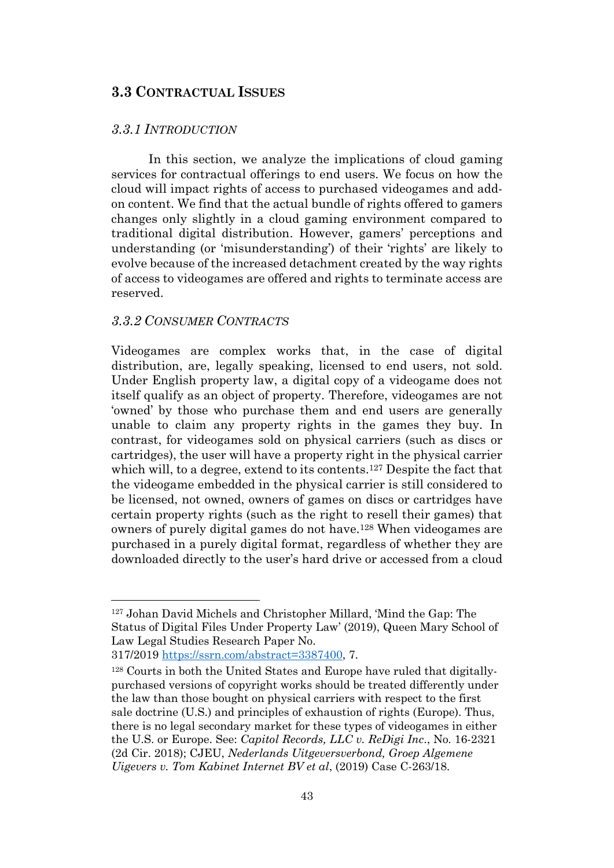# <span id="page-42-0"></span>**3.3 CONTRACTUAL ISSUES**

#### <span id="page-42-1"></span>*3.3.1 INTRODUCTION*

In this section, we analyze the implications of cloud gaming services for contractual offerings to end users. We focus on how the cloud will impact rights of access to purchased videogames and addon content. We find that the actual bundle of rights offered to gamers changes only slightly in a cloud gaming environment compared to traditional digital distribution. However, gamers' perceptions and understanding (or 'misunderstanding') of their 'rights' are likely to evolve because of the increased detachment created by the way rights of access to videogames are offered and rights to terminate access are reserved.

#### <span id="page-42-2"></span>*3.3.2 CONSUMER CONTRACTS*

Videogames are complex works that, in the case of digital distribution, are, legally speaking, licensed to end users, not sold. Under English property law, a digital copy of a videogame does not itself qualify as an object of property. Therefore, videogames are not 'owned' by those who purchase them and end users are generally unable to claim any property rights in the games they buy. In contrast, for videogames sold on physical carriers (such as discs or cartridges), the user will have a property right in the physical carrier which will, to a degree, extend to its contents.<sup>127</sup> Despite the fact that the videogame embedded in the physical carrier is still considered to be licensed, not owned, owners of games on discs or cartridges have certain property rights (such as the right to resell their games) that owners of purely digital games do not have.<sup>128</sup> When videogames are purchased in a purely digital format, regardless of whether they are downloaded directly to the user's hard drive or accessed from a cloud

<sup>127</sup> Johan David Michels and Christopher Millard, 'Mind the Gap: The Status of Digital Files Under Property Law' (2019), Queen Mary School of Law Legal Studies Research Paper No.

<sup>317/2019</sup> [https://ssrn.com/abstract=3387400,](https://ssrn.com/abstract=3387400) 7.

<sup>128</sup> Courts in both the United States and Europe have ruled that digitallypurchased versions of copyright works should be treated differently under the law than those bought on physical carriers with respect to the first sale doctrine (U.S.) and principles of exhaustion of rights (Europe). Thus, there is no legal secondary market for these types of videogames in either the U.S. or Europe. See: *Capitol Records, LLC v. ReDigi Inc*., No. 16-2321 (2d Cir. 2018); CJEU, *Nederlands Uitgeversverbond, Groep Algemene Uigevers v. Tom Kabinet Internet BV et al*, (2019) Case C-263/18.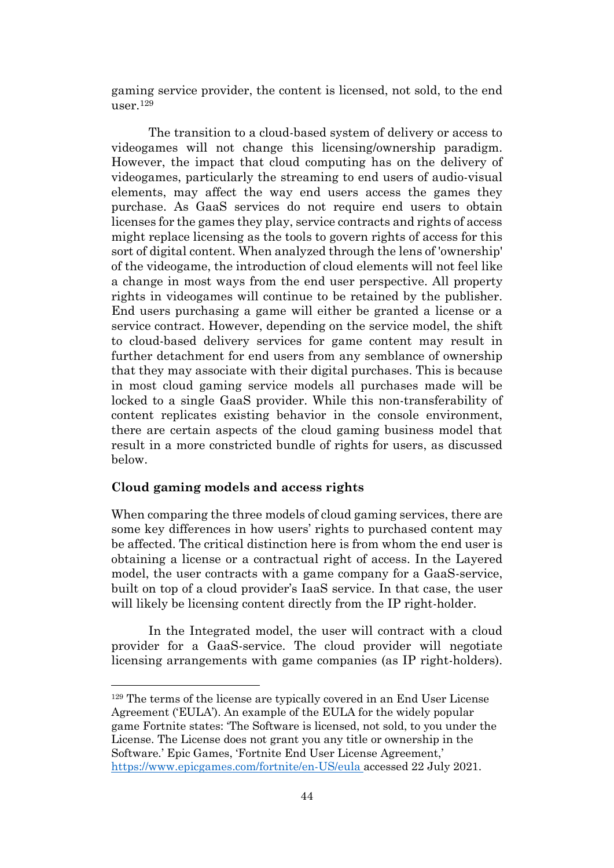gaming service provider, the content is licensed, not sold, to the end user.<sup>129</sup>

The transition to a cloud-based system of delivery or access to videogames will not change this licensing/ownership paradigm. However, the impact that cloud computing has on the delivery of videogames, particularly the streaming to end users of audio-visual elements, may affect the way end users access the games they purchase. As GaaS services do not require end users to obtain licenses for the games they play, service contracts and rights of access might replace licensing as the tools to govern rights of access for this sort of digital content. When analyzed through the lens of 'ownership' of the videogame, the introduction of cloud elements will not feel like a change in most ways from the end user perspective. All property rights in videogames will continue to be retained by the publisher. End users purchasing a game will either be granted a license or a service contract. However, depending on the service model, the shift to cloud-based delivery services for game content may result in further detachment for end users from any semblance of ownership that they may associate with their digital purchases. This is because in most cloud gaming service models all purchases made will be locked to a single GaaS provider. While this non-transferability of content replicates existing behavior in the console environment, there are certain aspects of the cloud gaming business model that result in a more constricted bundle of rights for users, as discussed below.

#### **Cloud gaming models and access rights**

When comparing the three models of cloud gaming services, there are some key differences in how users' rights to purchased content may be affected. The critical distinction here is from whom the end user is obtaining a license or a contractual right of access. In the Layered model, the user contracts with a game company for a GaaS-service, built on top of a cloud provider's IaaS service. In that case, the user will likely be licensing content directly from the IP right-holder.

In the Integrated model, the user will contract with a cloud provider for a GaaS-service. The cloud provider will negotiate licensing arrangements with game companies (as IP right-holders).

<sup>129</sup> The terms of the license are typically covered in an End User License Agreement ('EULA'). An example of the EULA for the widely popular game Fortnite states: 'The Software is licensed, not sold, to you under the License. The License does not grant you any title or ownership in the Software.' Epic Games, 'Fortnite End User License Agreement,' <https://www.epicgames.com/fortnite/en-US/eula> accessed 22 July 2021.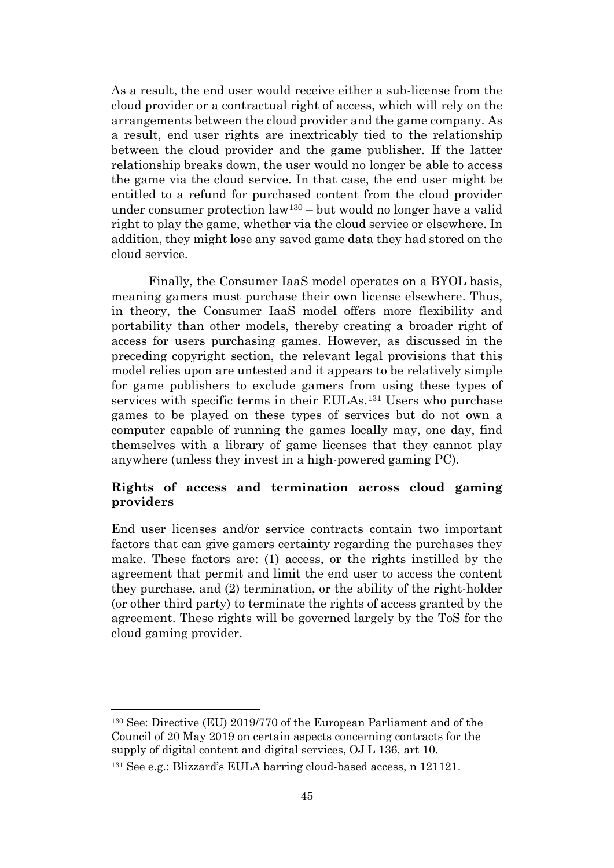As a result, the end user would receive either a sub-license from the cloud provider or a contractual right of access, which will rely on the arrangements between the cloud provider and the game company. As a result, end user rights are inextricably tied to the relationship between the cloud provider and the game publisher. If the latter relationship breaks down, the user would no longer be able to access the game via the cloud service. In that case, the end user might be entitled to a refund for purchased content from the cloud provider under consumer protection law<sup>130</sup> – but would no longer have a valid right to play the game, whether via the cloud service or elsewhere. In addition, they might lose any saved game data they had stored on the cloud service.

Finally, the Consumer IaaS model operates on a BYOL basis, meaning gamers must purchase their own license elsewhere. Thus, in theory, the Consumer IaaS model offers more flexibility and portability than other models, thereby creating a broader right of access for users purchasing games. However, as discussed in the preceding copyright section, the relevant legal provisions that this model relies upon are untested and it appears to be relatively simple for game publishers to exclude gamers from using these types of services with specific terms in their EULAs.<sup>131</sup> Users who purchase games to be played on these types of services but do not own a computer capable of running the games locally may, one day, find themselves with a library of game licenses that they cannot play anywhere (unless they invest in a high-powered gaming PC).

# **Rights of access and termination across cloud gaming providers**

End user licenses and/or service contracts contain two important factors that can give gamers certainty regarding the purchases they make. These factors are: (1) access, or the rights instilled by the agreement that permit and limit the end user to access the content they purchase, and (2) termination, or the ability of the right-holder (or other third party) to terminate the rights of access granted by the agreement. These rights will be governed largely by the ToS for the cloud gaming provider.

<sup>130</sup> See: Directive (EU) 2019/770 of the European Parliament and of the Council of 20 May 2019 on certain aspects concerning contracts for the supply of digital content and digital services, OJ L 136, art 10.

<sup>131</sup> See e.g.: Blizzard's EULA barring cloud-based access, n [121121.](#page-39-0)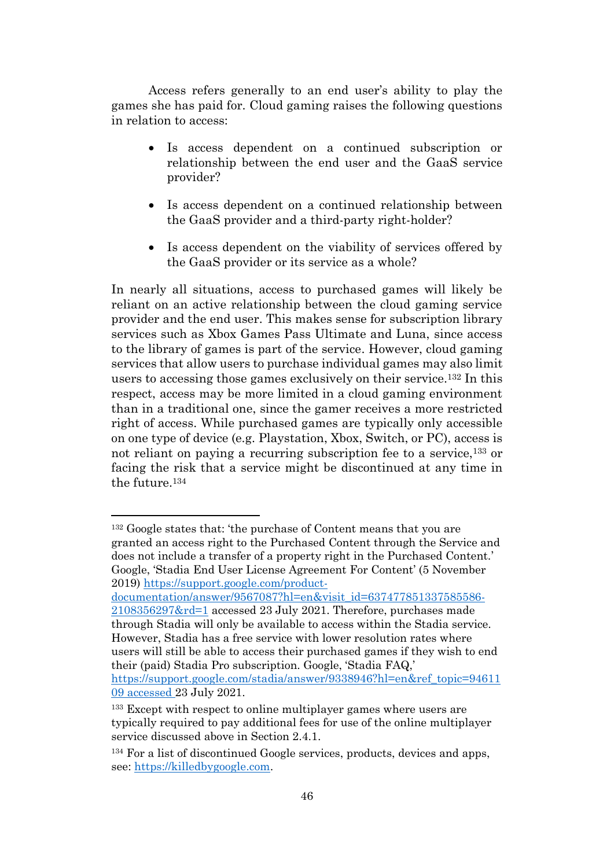Access refers generally to an end user's ability to play the games she has paid for. Cloud gaming raises the following questions in relation to access:

- Is access dependent on a continued subscription or relationship between the end user and the GaaS service provider?
- Is access dependent on a continued relationship between the GaaS provider and a third-party right-holder?
- <span id="page-45-0"></span>• Is access dependent on the viability of services offered by the GaaS provider or its service as a whole?

In nearly all situations, access to purchased games will likely be reliant on an active relationship between the cloud gaming service provider and the end user. This makes sense for subscription library services such as Xbox Games Pass Ultimate and Luna, since access to the library of games is part of the service. However, cloud gaming services that allow users to purchase individual games may also limit users to accessing those games exclusively on their service.<sup>132</sup> In this respect, access may be more limited in a cloud gaming environment than in a traditional one, since the gamer receives a more restricted right of access. While purchased games are typically only accessible on one type of device (e.g. Playstation, Xbox, Switch, or PC), access is not reliant on paying a recurring subscription fee to a service,<sup>133</sup> or facing the risk that a service might be discontinued at any time in the future.<sup>134</sup>

<sup>132</sup> Google states that: 'the purchase of Content means that you are granted an access right to the Purchased Content through the Service and does not include a transfer of a property right in the Purchased Content.' Google, 'Stadia End User License Agreement For Content' (5 November 2019) [https://support.google.com/product-](https://support.google.com/product-documentation/answer/9567087?hl=en&visit_id=637477851337585586-2108356297&rd=1)

[documentation/answer/9567087?hl=en&visit\\_id=637477851337585586-](https://support.google.com/product-documentation/answer/9567087?hl=en&visit_id=637477851337585586-2108356297&rd=1) [2108356297&rd=1](https://support.google.com/product-documentation/answer/9567087?hl=en&visit_id=637477851337585586-2108356297&rd=1) accessed 23 July 2021. Therefore, purchases made through Stadia will only be available to access within the Stadia service. However, Stadia has a free service with lower resolution rates where users will still be able to access their purchased games if they wish to end their (paid) Stadia Pro subscription. Google, 'Stadia FAQ,' [https://support.google.com/stadia/answer/9338946?hl=en&ref\\_topic=94611](https://support.google.com/stadia/answer/9338946?hl=en&ref_topic=9461109) [09](https://support.google.com/stadia/answer/9338946?hl=en&ref_topic=9461109) accessed 23 July 2021.

<sup>&</sup>lt;sup>133</sup> Except with respect to online multiplayer games where users are typically required to pay additional fees for use of the online multiplayer service discussed above in Section 2.4.1.

<sup>134</sup> For a list of discontinued Google services, products, devices and apps, see: [https://killedbygoogle.com.](https://killedbygoogle.com/)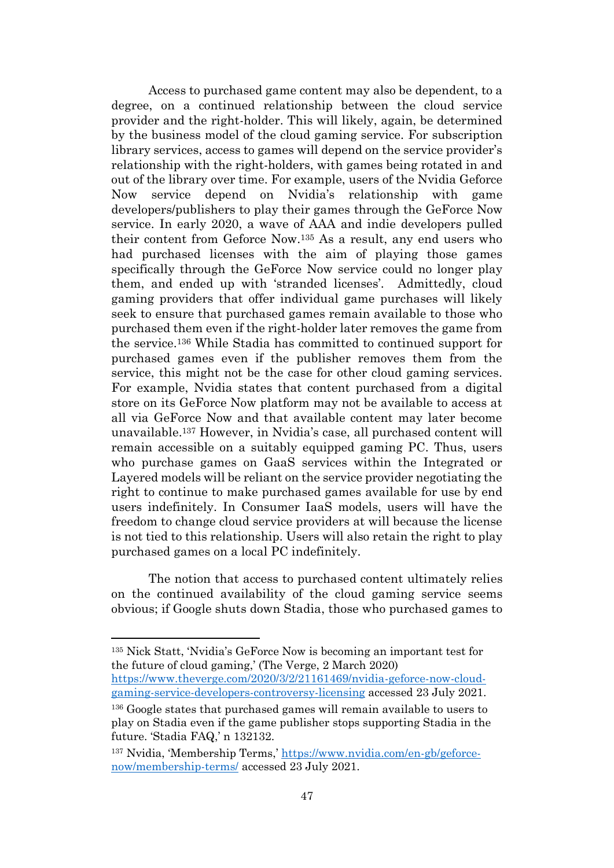Access to purchased game content may also be dependent, to a degree, on a continued relationship between the cloud service provider and the right-holder. This will likely, again, be determined by the business model of the cloud gaming service. For subscription library services, access to games will depend on the service provider's relationship with the right-holders, with games being rotated in and out of the library over time. For example, users of the Nvidia Geforce Now service depend on Nvidia's relationship with game developers/publishers to play their games through the GeForce Now service. In early 2020, a wave of AAA and indie developers pulled their content from Geforce Now. <sup>135</sup> As a result, any end users who had purchased licenses with the aim of playing those games specifically through the GeForce Now service could no longer play them, and ended up with 'stranded licenses'. Admittedly, cloud gaming providers that offer individual game purchases will likely seek to ensure that purchased games remain available to those who purchased them even if the right-holder later removes the game from the service.<sup>136</sup> While Stadia has committed to continued support for purchased games even if the publisher removes them from the service, this might not be the case for other cloud gaming services. For example, Nvidia states that content purchased from a digital store on its GeForce Now platform may not be available to access at all via GeForce Now and that available content may later become unavailable.<sup>137</sup> However, in Nvidia's case, all purchased content will remain accessible on a suitably equipped gaming PC. Thus, users who purchase games on GaaS services within the Integrated or Layered models will be reliant on the service provider negotiating the right to continue to make purchased games available for use by end users indefinitely. In Consumer IaaS models, users will have the freedom to change cloud service providers at will because the license is not tied to this relationship. Users will also retain the right to play purchased games on a local PC indefinitely.

The notion that access to purchased content ultimately relies on the continued availability of the cloud gaming service seems obvious; if Google shuts down Stadia, those who purchased games to

<sup>135</sup> Nick Statt, 'Nvidia's GeForce Now is becoming an important test for the future of cloud gaming,' (The Verge, 2 March 2020)

[https://www.theverge.com/2020/3/2/21161469/nvidia-geforce-now-cloud](https://www.theverge.com/2020/3/2/21161469/nvidia-geforce-now-cloud-gaming-service-developers-controversy-licensing)[gaming-service-developers-controversy-licensing](https://www.theverge.com/2020/3/2/21161469/nvidia-geforce-now-cloud-gaming-service-developers-controversy-licensing) accessed 23 July 2021.

<sup>&</sup>lt;sup>136</sup> Google states that purchased games will remain available to users to play on Stadia even if the game publisher stops supporting Stadia in the future. 'Stadia FAQ,' n [132132.](#page-45-0)

<sup>137</sup> Nvidia, 'Membership Terms,' [https://www.nvidia.com/en-gb/geforce](https://www.nvidia.com/en-gb/geforce-now/membership-terms/)[now/membership-terms/](https://www.nvidia.com/en-gb/geforce-now/membership-terms/) accessed 23 July 2021.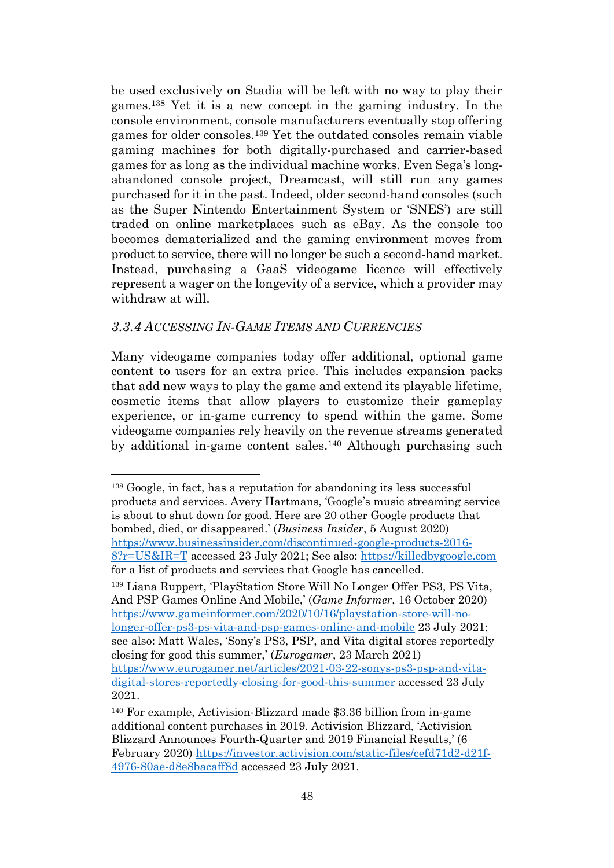be used exclusively on Stadia will be left with no way to play their games.<sup>138</sup> Yet it is a new concept in the gaming industry. In the console environment, console manufacturers eventually stop offering games for older consoles. <sup>139</sup> Yet the outdated consoles remain viable gaming machines for both digitally-purchased and carrier-based games for as long as the individual machine works. Even Sega's longabandoned console project, Dreamcast, will still run any games purchased for it in the past. Indeed, older second-hand consoles (such as the Super Nintendo Entertainment System or 'SNES') are still traded on online marketplaces such as eBay. As the console too becomes dematerialized and the gaming environment moves from product to service, there will no longer be such a second-hand market. Instead, purchasing a GaaS videogame licence will effectively represent a wager on the longevity of a service, which a provider may withdraw at will.

# <span id="page-47-0"></span>*3.3.4 ACCESSING IN-GAME ITEMS AND CURRENCIES*

Many videogame companies today offer additional, optional game content to users for an extra price. This includes expansion packs that add new ways to play the game and extend its playable lifetime, cosmetic items that allow players to customize their gameplay experience, or in-game currency to spend within the game. Some videogame companies rely heavily on the revenue streams generated by additional in-game content sales. <sup>140</sup> Although purchasing such

<sup>139</sup> Liana Ruppert, 'PlayStation Store Will No Longer Offer PS3, PS Vita, And PSP Games Online And Mobile,' (*Game Informer*, 16 October 2020) [https://www.gameinformer.com/2020/10/16/playstation-store-will-no](https://www.gameinformer.com/2020/10/16/playstation-store-will-no-longer-offer-ps3-ps-vita-and-psp-games-online-and-mobile)[longer-offer-ps3-ps-vita-and-psp-games-online-and-mobile](https://www.gameinformer.com/2020/10/16/playstation-store-will-no-longer-offer-ps3-ps-vita-and-psp-games-online-and-mobile) 23 July 2021; see also: Matt Wales, 'Sony's PS3, PSP, and Vita digital stores reportedly closing for good this summer,' (*Eurogamer*, 23 March 2021) [https://www.eurogamer.net/articles/2021-03-22-sonys-ps3-psp-and-vita](https://www.eurogamer.net/articles/2021-03-22-sonys-ps3-psp-and-vita-digital-stores-reportedly-closing-for-good-this-summer)[digital-stores-reportedly-closing-for-good-this-summer](https://www.eurogamer.net/articles/2021-03-22-sonys-ps3-psp-and-vita-digital-stores-reportedly-closing-for-good-this-summer) accessed 23 July 2021.

<sup>138</sup> Google, in fact, has a reputation for abandoning its less successful products and services. Avery Hartmans, 'Google's music streaming service is about to shut down for good. Here are 20 other Google products that bombed, died, or disappeared.' (*Business Insider*, 5 August 2020) [https://www.businessinsider.com/discontinued-google-products-2016-](https://www.businessinsider.com/discontinued-google-products-2016-8?r=US&IR=T) [8?r=US&IR=T](https://www.businessinsider.com/discontinued-google-products-2016-8?r=US&IR=T) accessed 23 July 2021; See also: [https://killedbygoogle.com](https://killedbygoogle.com/) for a list of products and services that Google has cancelled.

<sup>140</sup> For example, Activision-Blizzard made \$3.36 billion from in-game additional content purchases in 2019. Activision Blizzard, 'Activision Blizzard Announces Fourth-Quarter and 2019 Financial Results,' (6 February 2020) [https://investor.activision.com/static-files/cefd71d2-d21f-](https://investor.activision.com/static-files/cefd71d2-d21f-4976-80ae-d8e8bacaff8d)[4976-80ae-d8e8bacaff8d](https://investor.activision.com/static-files/cefd71d2-d21f-4976-80ae-d8e8bacaff8d) accessed 23 July 2021.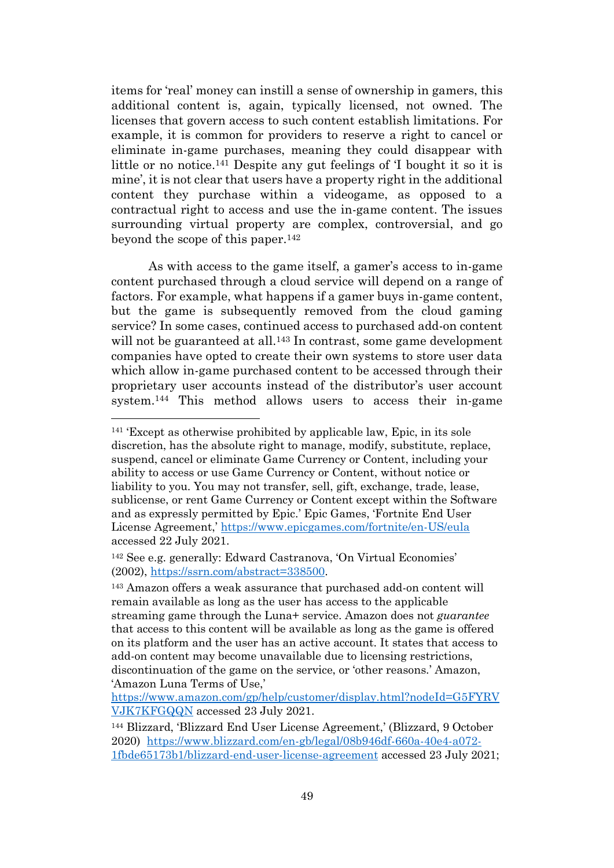items for 'real' money can instill a sense of ownership in gamers, this additional content is, again, typically licensed, not owned. The licenses that govern access to such content establish limitations. For example, it is common for providers to reserve a right to cancel or eliminate in-game purchases, meaning they could disappear with little or no notice.<sup>141</sup> Despite any gut feelings of 'I bought it so it is mine', it is not clear that users have a property right in the additional content they purchase within a videogame, as opposed to a contractual right to access and use the in-game content. The issues surrounding virtual property are complex, controversial, and go beyond the scope of this paper. 142

As with access to the game itself, a gamer's access to in-game content purchased through a cloud service will depend on a range of factors. For example, what happens if a gamer buys in-game content, but the game is subsequently removed from the cloud gaming service? In some cases, continued access to purchased add-on content will not be guaranteed at all.<sup>143</sup> In contrast, some game development companies have opted to create their own systems to store user data which allow in-game purchased content to be accessed through their proprietary user accounts instead of the distributor's user account system. <sup>144</sup> This method allows users to access their in-game

<sup>141</sup> 'Except as otherwise prohibited by applicable law, Epic, in its sole discretion, has the absolute right to manage, modify, substitute, replace, suspend, cancel or eliminate Game Currency or Content, including your ability to access or use Game Currency or Content, without notice or liability to you. You may not transfer, sell, gift, exchange, trade, lease, sublicense, or rent Game Currency or Content except within the Software and as expressly permitted by Epic.' Epic Games, 'Fortnite End User License Agreement,' <https://www.epicgames.com/fortnite/en-US/eula> accessed 22 July 2021.

<sup>142</sup> See e.g. generally: Edward Castranova, 'On Virtual Economies' (2002), [https://ssrn.com/abstract=338500.](https://ssrn.com/abstract=338500)

<sup>143</sup> Amazon offers a weak assurance that purchased add-on content will remain available as long as the user has access to the applicable streaming game through the Luna+ service. Amazon does not *guarantee* that access to this content will be available as long as the game is offered on its platform and the user has an active account. It states that access to add-on content may become unavailable due to licensing restrictions, discontinuation of the game on the service, or 'other reasons.' Amazon, 'Amazon Luna Terms of Use,'

[https://www.amazon.com/gp/help/customer/display.html?nodeId=G5FYRV](https://www.amazon.com/gp/help/customer/display.html?nodeId=G5FYRVVJK7KFGQQN) [VJK7KFGQQN](https://www.amazon.com/gp/help/customer/display.html?nodeId=G5FYRVVJK7KFGQQN) accessed 23 July 2021.

<sup>144</sup> Blizzard, 'Blizzard End User License Agreement,' (Blizzard, 9 October 2020) [https://www.blizzard.com/en-gb/legal/08b946df-660a-40e4-a072-](https://www.blizzard.com/en-gb/legal/08b946df-660a-40e4-a072-1fbde65173b1/blizzard-end-user-license-agreement) [1fbde65173b1/blizzard-end-user-license-agreement](https://www.blizzard.com/en-gb/legal/08b946df-660a-40e4-a072-1fbde65173b1/blizzard-end-user-license-agreement) accessed 23 July 2021;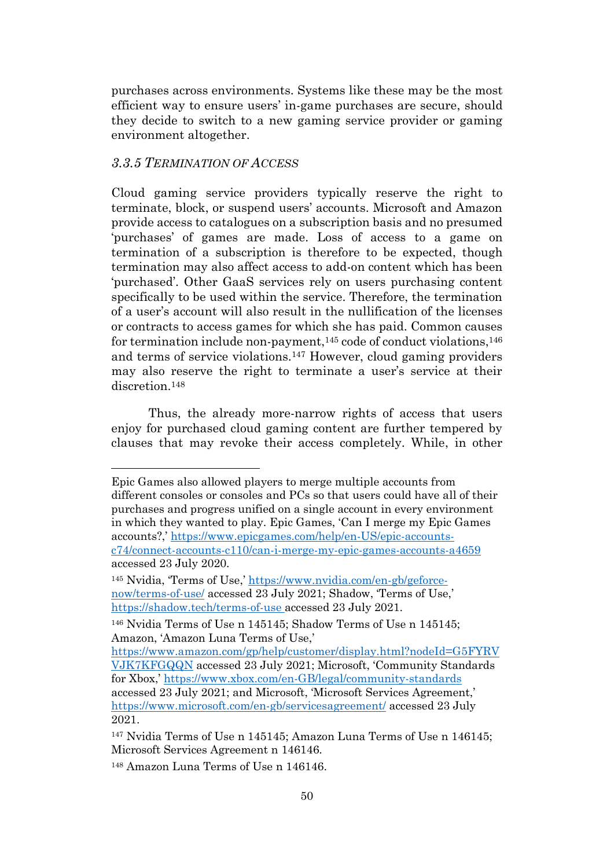purchases across environments. Systems like these may be the most efficient way to ensure users' in-game purchases are secure, should they decide to switch to a new gaming service provider or gaming environment altogether.

## <span id="page-49-0"></span>*3.3.5 TERMINATION OF ACCESS*

Cloud gaming service providers typically reserve the right to terminate, block, or suspend users' accounts. Microsoft and Amazon provide access to catalogues on a subscription basis and no presumed 'purchases' of games are made. Loss of access to a game on termination of a subscription is therefore to be expected, though termination may also affect access to add-on content which has been 'purchased'. Other GaaS services rely on users purchasing content specifically to be used within the service. Therefore, the termination of a user's account will also result in the nullification of the licenses or contracts to access games for which she has paid. Common causes for termination include non-payment, $145$  code of conduct violations,  $146$ and terms of service violations.<sup>147</sup> However, cloud gaming providers may also reserve the right to terminate a user's service at their discretion.<sup>148</sup>

<span id="page-49-2"></span><span id="page-49-1"></span>Thus, the already more-narrow rights of access that users enjoy for purchased cloud gaming content are further tempered by clauses that may revoke their access completely. While, in other

Epic Games also allowed players to merge multiple accounts from different consoles or consoles and PCs so that users could have all of their purchases and progress unified on a single account in every environment in which they wanted to play. Epic Games, 'Can I merge my Epic Games accounts?,' [https://www.epicgames.com/help/en-US/epic-accounts](https://www.epicgames.com/help/en-US/epic-accounts-c74/connect-accounts-c110/can-i-merge-my-epic-games-accounts-a4659)[c74/connect-accounts-c110/can-i-merge-my-epic-games-accounts-a4659](https://www.epicgames.com/help/en-US/epic-accounts-c74/connect-accounts-c110/can-i-merge-my-epic-games-accounts-a4659) accessed 23 July 2020.

<sup>145</sup> Nvidia, 'Terms of Use,' [https://www.nvidia.com/en-gb/geforce](https://www.nvidia.com/en-gb/geforce-now/terms-of-use/)[now/terms-of-use/](https://www.nvidia.com/en-gb/geforce-now/terms-of-use/) accessed 23 July 2021; Shadow, 'Terms of Use,' <https://shadow.tech/terms-of-use> accessed 23 July 2021.

<sup>146</sup> Nvidia Terms of Use n [145145;](#page-49-1) Shadow Terms of Use n [145145;](#page-49-1) Amazon, 'Amazon Luna Terms of Use,'

[https://www.amazon.com/gp/help/customer/display.html?nodeId=G5FYRV](https://www.amazon.com/gp/help/customer/display.html?nodeId=G5FYRVVJK7KFGQQN) [VJK7KFGQQN](https://www.amazon.com/gp/help/customer/display.html?nodeId=G5FYRVVJK7KFGQQN) accessed 23 July 2021; Microsoft, 'Community Standards for Xbox,' <https://www.xbox.com/en-GB/legal/community-standards> accessed 23 July 2021; and Microsoft, 'Microsoft Services Agreement,' <https://www.microsoft.com/en-gb/servicesagreement/> accessed 23 July 2021.

<sup>147</sup> Nvidia Terms of Use n [145145;](#page-49-1) Amazon Luna Terms of Use n [146](#page-49-2)[145;](#page-49-1) Microsoft Services Agreement n [146146.](#page-49-2)

<sup>148</sup> Amazon Luna Terms of Use n [146146.](#page-49-2)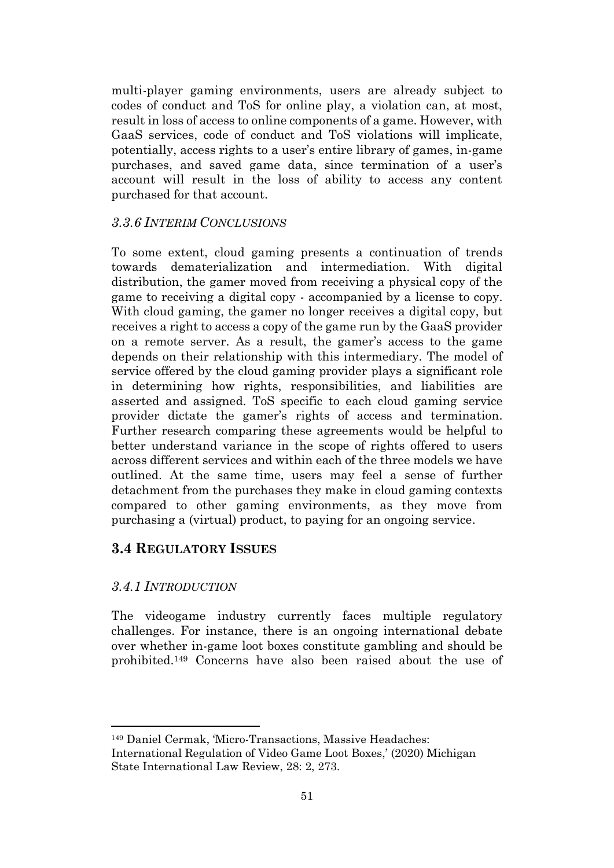multi-player gaming environments, users are already subject to codes of conduct and ToS for online play, a violation can, at most, result in loss of access to online components of a game. However, with GaaS services, code of conduct and ToS violations will implicate, potentially, access rights to a user's entire library of games, in-game purchases, and saved game data, since termination of a user's account will result in the loss of ability to access any content purchased for that account.

# <span id="page-50-0"></span>*3.3.6 INTERIM CONCLUSIONS*

To some extent, cloud gaming presents a continuation of trends towards dematerialization and intermediation. With digital distribution, the gamer moved from receiving a physical copy of the game to receiving a digital copy - accompanied by a license to copy. With cloud gaming, the gamer no longer receives a digital copy, but receives a right to access a copy of the game run by the GaaS provider on a remote server. As a result, the gamer's access to the game depends on their relationship with this intermediary. The model of service offered by the cloud gaming provider plays a significant role in determining how rights, responsibilities, and liabilities are asserted and assigned. ToS specific to each cloud gaming service provider dictate the gamer's rights of access and termination. Further research comparing these agreements would be helpful to better understand variance in the scope of rights offered to users across different services and within each of the three models we have outlined. At the same time, users may feel a sense of further detachment from the purchases they make in cloud gaming contexts compared to other gaming environments, as they move from purchasing a (virtual) product, to paying for an ongoing service.

# <span id="page-50-1"></span>**3.4 REGULATORY ISSUES**

# <span id="page-50-2"></span>*3.4.1 INTRODUCTION*

The videogame industry currently faces multiple regulatory challenges. For instance, there is an ongoing international debate over whether in-game loot boxes constitute gambling and should be prohibited.<sup>149</sup> Concerns have also been raised about the use of

<sup>149</sup> Daniel Cermak, 'Micro-Transactions, Massive Headaches: International Regulation of Video Game Loot Boxes,' (2020) Michigan State International Law Review, 28: 2, 273.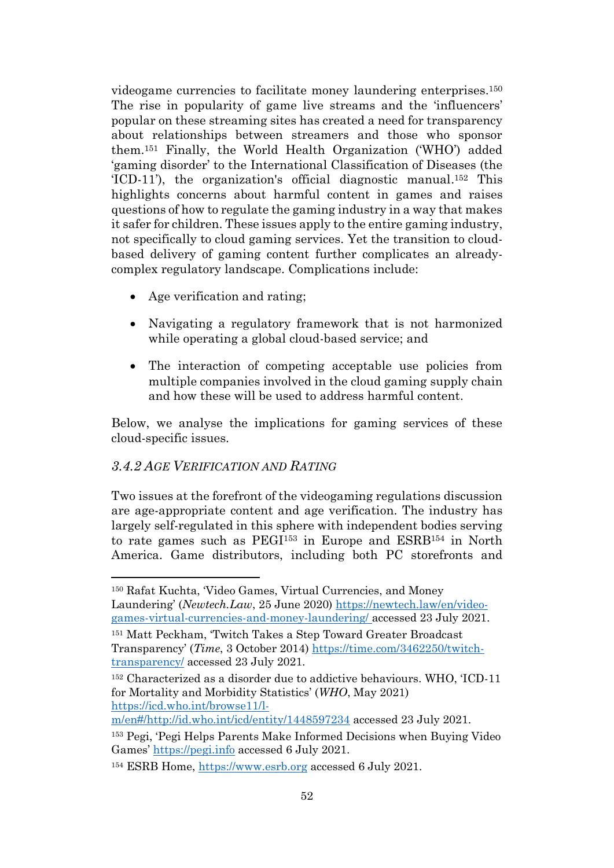videogame currencies to facilitate money laundering enterprises.<sup>150</sup> The rise in popularity of game live streams and the 'influencers' popular on these streaming sites has created a need for transparency about relationships between streamers and those who sponsor them.<sup>151</sup> Finally, the World Health Organization ('WHO') added 'gaming disorder' to the International Classification of Diseases (the 'ICD-11'), the organization's official diagnostic manual. <sup>152</sup> This highlights concerns about harmful content in games and raises questions of how to regulate the gaming industry in a way that makes it safer for children. These issues apply to the entire gaming industry, not specifically to cloud gaming services. Yet the transition to cloudbased delivery of gaming content further complicates an alreadycomplex regulatory landscape. Complications include:

- Age verification and rating;
- Navigating a regulatory framework that is not harmonized while operating a global cloud-based service; and
- The interaction of competing acceptable use policies from multiple companies involved in the cloud gaming supply chain and how these will be used to address harmful content.

Below, we analyse the implications for gaming services of these cloud-specific issues.

# <span id="page-51-0"></span>*3.4.2 AGE VERIFICATION AND RATING*

<span id="page-51-2"></span><span id="page-51-1"></span>Two issues at the forefront of the videogaming regulations discussion are age-appropriate content and age verification. The industry has largely self-regulated in this sphere with independent bodies serving to rate games such as PEGI<sup>153</sup> in Europe and ESRB<sup>154</sup> in North America. Game distributors, including both PC storefronts and

<sup>150</sup> Rafat Kuchta, 'Video Games, Virtual Currencies, and Money Laundering' (*Newtech.Law*, 25 June 2020) [https://newtech.law/en/video](https://newtech.law/en/video-games-virtual-currencies-and-money-laundering/)[games-virtual-currencies-and-money-laundering/](https://newtech.law/en/video-games-virtual-currencies-and-money-laundering/) accessed 23 July 2021. <sup>151</sup> Matt Peckham, 'Twitch Takes a Step Toward Greater Broadcast

Transparency' (*Time*, 3 October 2014) [https://time.com/3462250/twitch](https://time.com/3462250/twitch-transparency/)[transparency/](https://time.com/3462250/twitch-transparency/) accessed 23 July 2021.

<sup>152</sup> Characterized as a disorder due to addictive behaviours. WHO, 'ICD-11 for Mortality and Morbidity Statistics' (*WHO*, May 2021) [https://icd.who.int/browse11/l-](https://icd.who.int/browse11/l-m/en#/http://id.who.int/icd/entity/1448597234)

[m/en#/http://id.who.int/icd/entity/1448597234](https://icd.who.int/browse11/l-m/en#/http://id.who.int/icd/entity/1448597234) accessed 23 July 2021.

<sup>153</sup> Pegi, 'Pegi Helps Parents Make Informed Decisions when Buying Video Games' [https://pegi.info](https://pegi.info/) accessed 6 July 2021.

<sup>154</sup> ESRB Home, [https://www.esrb.org](https://www.esrb.org/) accessed 6 July 2021.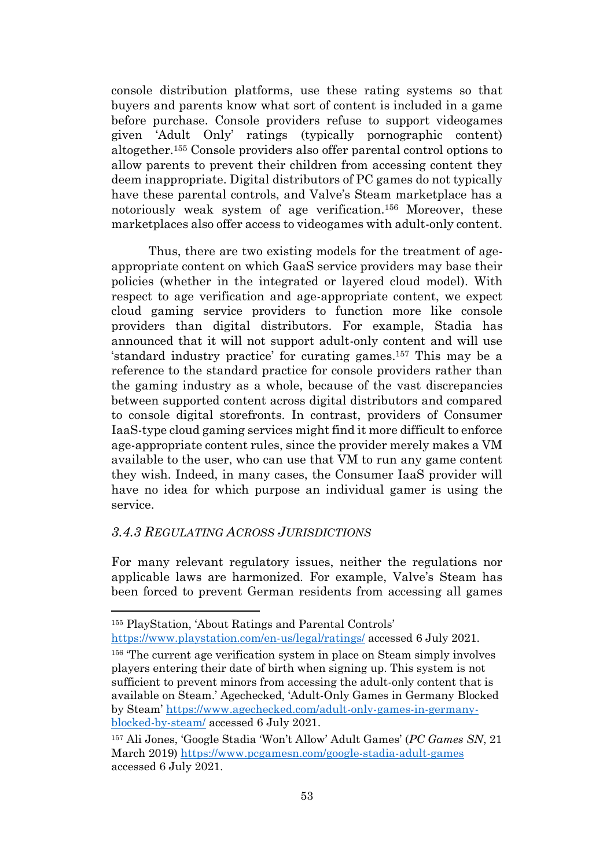console distribution platforms, use these rating systems so that buyers and parents know what sort of content is included in a game before purchase. Console providers refuse to support videogames given 'Adult Only' ratings (typically pornographic content) altogether.<sup>155</sup> Console providers also offer parental control options to allow parents to prevent their children from accessing content they deem inappropriate. Digital distributors of PC games do not typically have these parental controls, and Valve's Steam marketplace has a notoriously weak system of age verification.<sup>156</sup> Moreover, these marketplaces also offer access to videogames with adult-only content.

<span id="page-52-1"></span>Thus, there are two existing models for the treatment of ageappropriate content on which GaaS service providers may base their policies (whether in the integrated or layered cloud model). With respect to age verification and age-appropriate content, we expect cloud gaming service providers to function more like console providers than digital distributors. For example, Stadia has announced that it will not support adult-only content and will use 'standard industry practice' for curating games.<sup>157</sup> This may be a reference to the standard practice for console providers rather than the gaming industry as a whole, because of the vast discrepancies between supported content across digital distributors and compared to console digital storefronts. In contrast, providers of Consumer IaaS-type cloud gaming services might find it more difficult to enforce age-appropriate content rules, since the provider merely makes a VM available to the user, who can use that VM to run any game content they wish. Indeed, in many cases, the Consumer IaaS provider will have no idea for which purpose an individual gamer is using the service.

# <span id="page-52-0"></span>*3.4.3 REGULATING ACROSS JURISDICTIONS*

For many relevant regulatory issues, neither the regulations nor applicable laws are harmonized. For example, Valve's Steam has been forced to prevent German residents from accessing all games

<sup>155</sup> PlayStation, 'About Ratings and Parental Controls' <https://www.playstation.com/en-us/legal/ratings/> accessed 6 July 2021.

<sup>156</sup> 'The current age verification system in place on Steam simply involves players entering their date of birth when signing up. This system is not sufficient to prevent minors from accessing the adult-only content that is available on Steam.' Agechecked, 'Adult-Only Games in Germany Blocked by Steam' [https://www.agechecked.com/adult-only-games-in-germany](https://www.agechecked.com/adult-only-games-in-germany-blocked-by-steam/)[blocked-by-steam/](https://www.agechecked.com/adult-only-games-in-germany-blocked-by-steam/) accessed 6 July 2021.

<sup>157</sup> Ali Jones, 'Google Stadia 'Won't Allow' Adult Games' (*PC Games SN*, 21 March 2019)<https://www.pcgamesn.com/google-stadia-adult-games> accessed 6 July 2021.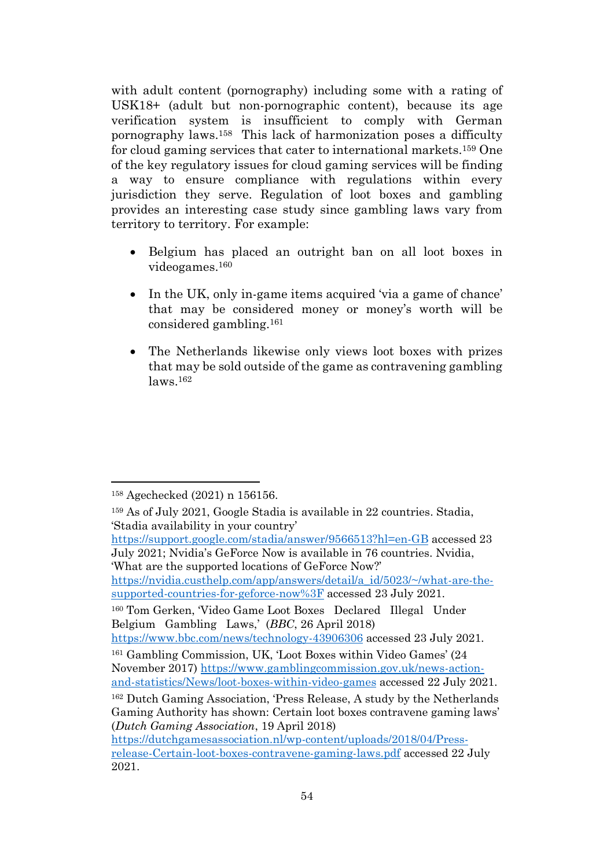with adult content (pornography) including some with a rating of USK18+ (adult but non-pornographic content), because its age verification system is insufficient to comply with German pornography laws.<sup>158</sup> This lack of harmonization poses a difficulty for cloud gaming services that cater to international markets.<sup>159</sup> One of the key regulatory issues for cloud gaming services will be finding a way to ensure compliance with regulations within every jurisdiction they serve. Regulation of loot boxes and gambling provides an interesting case study since gambling laws vary from territory to territory. For example:

- Belgium has placed an outright ban on all loot boxes in videogames.<sup>160</sup>
- In the UK, only in-game items acquired 'via a game of chance' that may be considered money or money's worth will be considered gambling.<sup>161</sup>
- The Netherlands likewise only views loot boxes with prizes that may be sold outside of the game as contravening gambling laws.<sup>162</sup>

<sup>160</sup> Tom Gerken, 'Video Game Loot Boxes Declared Illegal Under Belgium Gambling Laws,' (*BBC*, 26 April 2018)

<https://www.bbc.com/news/technology-43906306> accessed 23 July 2021.

<sup>158</sup> Agechecked (2021) n [156156.](#page-52-1)

<sup>159</sup> As of July 2021, Google Stadia is available in 22 countries. Stadia, 'Stadia availability in your country'

<https://support.google.com/stadia/answer/9566513?hl=en-GB> accessed 23 July 2021; Nvidia's GeForce Now is available in 76 countries. Nvidia, 'What are the supported locations of GeForce Now?'

[https://nvidia.custhelp.com/app/answers/detail/a\\_id/5023/~/what-are-the](https://nvidia.custhelp.com/app/answers/detail/a_id/5023/~/what-are-the-supported-countries-for-geforce-now)[supported-countries-for-geforce-now%3F](https://nvidia.custhelp.com/app/answers/detail/a_id/5023/~/what-are-the-supported-countries-for-geforce-now) accessed 23 July 2021.

<sup>161</sup> Gambling Commission, UK, 'Loot Boxes within Video Games' (24 November 2017) [https://www.gamblingcommission.gov.uk/news-action](https://www.gamblingcommission.gov.uk/news-action-and-statistics/News/loot-boxes-within-video-games)[and-statistics/News/loot-boxes-within-video-games](https://www.gamblingcommission.gov.uk/news-action-and-statistics/News/loot-boxes-within-video-games) accessed 22 July 2021.

<sup>162</sup> Dutch Gaming Association, 'Press Release, A study by the Netherlands Gaming Authority has shown: Certain loot boxes contravene gaming laws' (*Dutch Gaming Association*, 19 April 2018)

[https://dutchgamesassociation.nl/wp-content/uploads/2018/04/Press](https://dutchgamesassociation.nl/wp-content/uploads/2018/04/Press-release-Certain-loot-boxes-contravene-gaming-laws.pdf)[release-Certain-loot-boxes-contravene-gaming-laws.pdf](https://dutchgamesassociation.nl/wp-content/uploads/2018/04/Press-release-Certain-loot-boxes-contravene-gaming-laws.pdf) accessed 22 July 2021.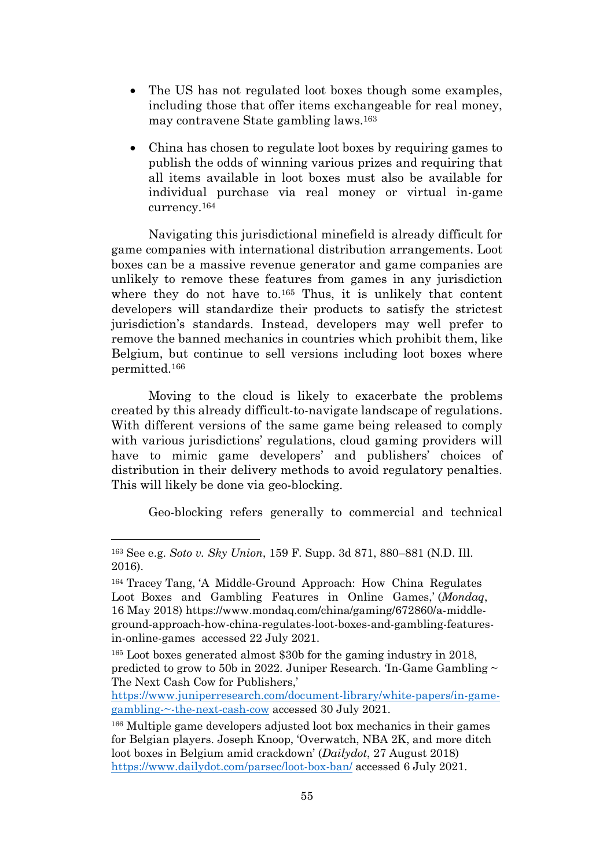- The US has not regulated loot boxes though some examples, including those that offer items exchangeable for real money, may contravene State gambling laws.<sup>163</sup>
- China has chosen to regulate loot boxes by requiring games to publish the odds of winning various prizes and requiring that all items available in loot boxes must also be available for individual purchase via real money or virtual in-game currency.<sup>164</sup>

Navigating this jurisdictional minefield is already difficult for game companies with international distribution arrangements. Loot boxes can be a massive revenue generator and game companies are unlikely to remove these features from games in any jurisdiction where they do not have to.<sup>165</sup> Thus, it is unlikely that content developers will standardize their products to satisfy the strictest jurisdiction's standards. Instead, developers may well prefer to remove the banned mechanics in countries which prohibit them, like Belgium, but continue to sell versions including loot boxes where permitted. 166

Moving to the cloud is likely to exacerbate the problems created by this already difficult-to-navigate landscape of regulations. With different versions of the same game being released to comply with various jurisdictions' regulations, cloud gaming providers will have to mimic game developers' and publishers' choices of distribution in their delivery methods to avoid regulatory penalties. This will likely be done via geo-blocking.

Geo-blocking refers generally to commercial and technical

<sup>163</sup> See e.g. *Soto v. Sky Union*, 159 F. Supp. 3d 871, 880–881 (N.D. Ill. 2016).

<sup>164</sup> Tracey Tang, 'A Middle-Ground Approach: How China Regulates Loot Boxes and Gambling Features in Online Games,' (*Mondaq*, 16 May 2018) https://www.mondaq.com/china/gaming/672860/a-middleground-approach-how-china-regulates-loot-boxes-and-gambling-featuresin-online-games accessed 22 July 2021.

<sup>165</sup> Loot boxes generated almost \$30b for the gaming industry in 2018, predicted to grow to 50b in 2022. Juniper Research. 'In-Game Gambling ~ The Next Cash Cow for Publishers,'

[https://www.juniperresearch.com/document-library/white-papers/in-game](https://www.juniperresearch.com/document-library/white-papers/in-game-gambling-~-the-next-cash-cow)[gambling-~-the-next-cash-cow](https://www.juniperresearch.com/document-library/white-papers/in-game-gambling-~-the-next-cash-cow) accessed 30 July 2021.

<sup>166</sup> Multiple game developers adjusted loot box mechanics in their games for Belgian players. Joseph Knoop, 'Overwatch, NBA 2K, and more ditch loot boxes in Belgium amid crackdown' (*Dailydot*, 27 August 2018) <https://www.dailydot.com/parsec/loot-box-ban/> accessed 6 July 2021.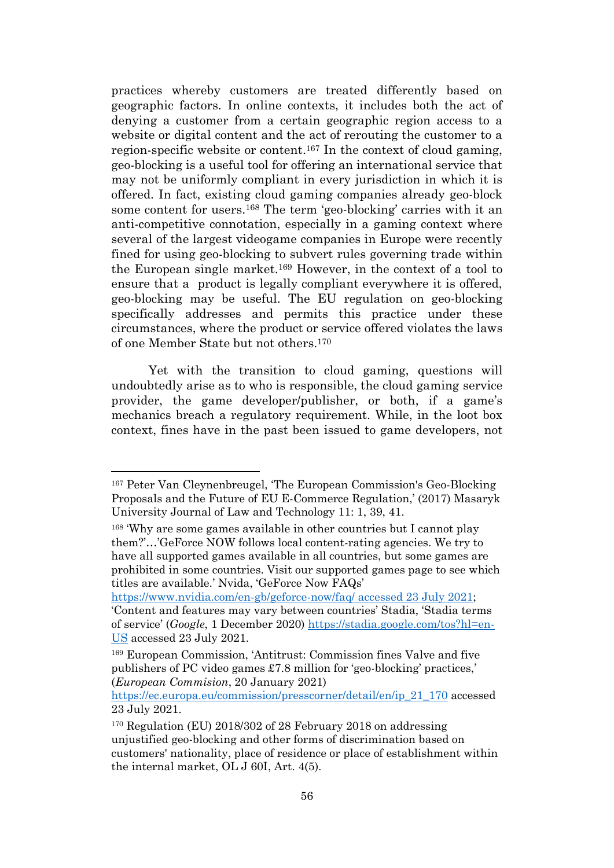practices whereby customers are treated differently based on geographic factors. In online contexts, it includes both the act of denying a customer from a certain geographic region access to a website or digital content and the act of rerouting the customer to a region-specific website or content.<sup>167</sup> In the context of cloud gaming, geo-blocking is a useful tool for offering an international service that may not be uniformly compliant in every jurisdiction in which it is offered. In fact, existing cloud gaming companies already geo-block some content for users. <sup>168</sup> The term 'geo-blocking' carries with it an anti-competitive connotation, especially in a gaming context where several of the largest videogame companies in Europe were recently fined for using geo-blocking to subvert rules governing trade within the European single market. <sup>169</sup> However, in the context of a tool to ensure that a product is legally compliant everywhere it is offered, geo-blocking may be useful. The EU regulation on geo-blocking specifically addresses and permits this practice under these circumstances, where the product or service offered violates the laws of one Member State but not others. 170

Yet with the transition to cloud gaming, questions will undoubtedly arise as to who is responsible, the cloud gaming service provider, the game developer/publisher, or both, if a game's mechanics breach a regulatory requirement. While, in the loot box context, fines have in the past been issued to game developers, not

<sup>167</sup> Peter Van Cleynenbreugel, 'The European Commission's Geo-Blocking Proposals and the Future of EU E-Commerce Regulation,' (2017) Masaryk University Journal of Law and Technology 11: 1, 39, 41.

<sup>168</sup> 'Why are some games available in other countries but I cannot play them?'…'GeForce NOW follows local content-rating agencies. We try to have all supported games available in all countries, but some games are prohibited in some countries. Visit our supported games page to see which titles are available.' Nvida, 'GeForce Now FAQs'

<https://www.nvidia.com/en-gb/geforce-now/faq/> accessed 23 July 2021; 'Content and features may vary between countries' Stadia, 'Stadia terms of service' (*Google*, 1 December 2020) [https://stadia.google.com/tos?hl=en-](https://stadia.google.com/tos?hl=en-US)[US](https://stadia.google.com/tos?hl=en-US) accessed 23 July 2021.

<sup>169</sup> European Commission, 'Antitrust: Commission fines Valve and five publishers of PC video games £7.8 million for 'geo-blocking' practices,' (*European Commision*, 20 January 2021)

[https://ec.europa.eu/commission/presscorner/detail/en/ip\\_21\\_170](https://ec.europa.eu/commission/presscorner/detail/en/ip_21_170) accessed 23 July 2021.

<sup>170</sup> Regulation (EU) 2018/302 of 28 February 2018 on addressing unjustified geo-blocking and other forms of discrimination based on customers' nationality, place of residence or place of establishment within the internal market, OL J 60I, Art. 4(5).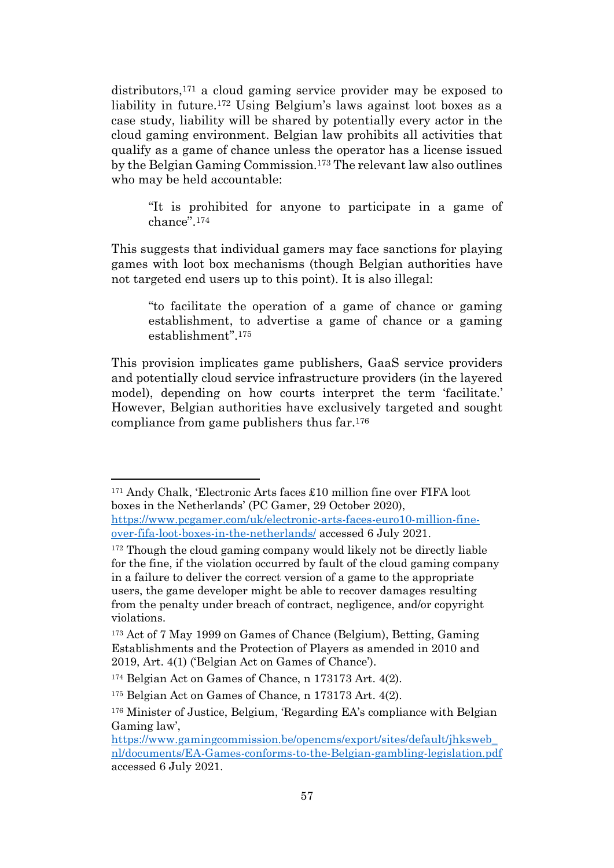distributors,<sup>171</sup> a cloud gaming service provider may be exposed to liability in future. <sup>172</sup> Using Belgium's laws against loot boxes as a case study, liability will be shared by potentially every actor in the cloud gaming environment. Belgian law prohibits all activities that qualify as a game of chance unless the operator has a license issued by the Belgian Gaming Commission.<sup>173</sup> The relevant law also outlines who may be held accountable:

<span id="page-56-0"></span>"It is prohibited for anyone to participate in a game of chance". 174

This suggests that individual gamers may face sanctions for playing games with loot box mechanisms (though Belgian authorities have not targeted end users up to this point). It is also illegal:

"to facilitate the operation of a game of chance or gaming establishment, to advertise a game of chance or a gaming establishment".<sup>175</sup>

This provision implicates game publishers, GaaS service providers and potentially cloud service infrastructure providers (in the layered model), depending on how courts interpret the term 'facilitate.' However, Belgian authorities have exclusively targeted and sought compliance from game publishers thus far. 176

<sup>171</sup> Andy Chalk, 'Electronic Arts faces £10 million fine over FIFA loot boxes in the Netherlands' (PC Gamer, 29 October 2020), [https://www.pcgamer.com/uk/electronic-arts-faces-euro10-million-fine](https://www.pcgamer.com/uk/electronic-arts-faces-euro10-million-fine-over-fifa-loot-boxes-in-the-netherlands/)[over-fifa-loot-boxes-in-the-netherlands/](https://www.pcgamer.com/uk/electronic-arts-faces-euro10-million-fine-over-fifa-loot-boxes-in-the-netherlands/) accessed 6 July 2021.

<sup>&</sup>lt;sup>172</sup> Though the cloud gaming company would likely not be directly liable for the fine, if the violation occurred by fault of the cloud gaming company in a failure to deliver the correct version of a game to the appropriate users, the game developer might be able to recover damages resulting from the penalty under breach of contract, negligence, and/or copyright violations.

<sup>173</sup> Act of 7 May 1999 on Games of Chance (Belgium), Betting, Gaming Establishments and the Protection of Players as amended in 2010 and 2019, Art. 4(1) ('Belgian Act on Games of Chance').

<sup>174</sup> Belgian Act on Games of Chance, n [173173](#page-56-0) Art. 4(2).

<sup>175</sup> Belgian Act on Games of Chance, n [173173](#page-56-0) Art. 4(2).

<sup>176</sup> Minister of Justice, Belgium, 'Regarding EA's compliance with Belgian Gaming law',

[https://www.gamingcommission.be/opencms/export/sites/default/jhksweb\\_](https://www.gamingcommission.be/opencms/export/sites/default/jhksweb_nl/documents/EA-Games-conforms-to-the-Belgian-gambling-legislation.pdf) [nl/documents/EA-Games-conforms-to-the-Belgian-gambling-legislation.pdf](https://www.gamingcommission.be/opencms/export/sites/default/jhksweb_nl/documents/EA-Games-conforms-to-the-Belgian-gambling-legislation.pdf) accessed 6 July 2021.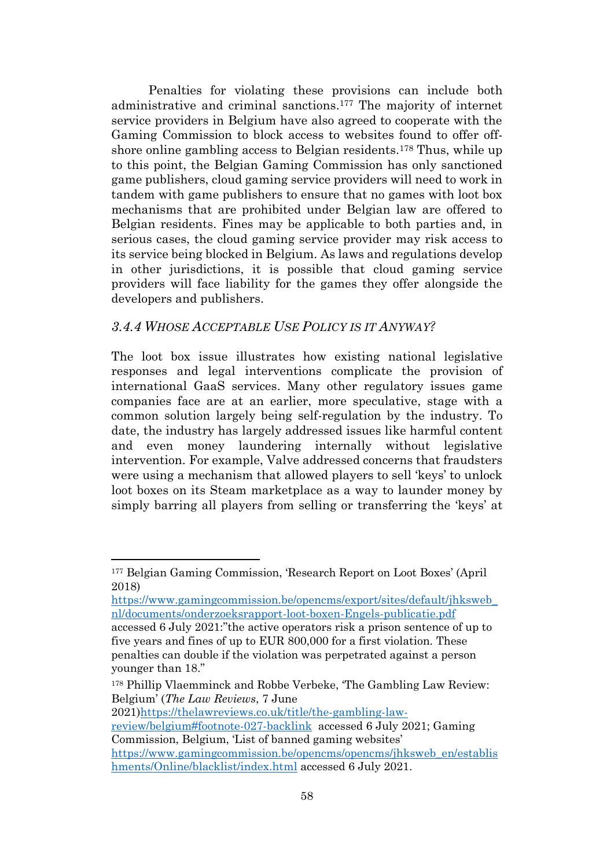Penalties for violating these provisions can include both administrative and criminal sanctions. <sup>177</sup> The majority of internet service providers in Belgium have also agreed to cooperate with the Gaming Commission to block access to websites found to offer offshore online gambling access to Belgian residents.<sup>178</sup> Thus, while up to this point, the Belgian Gaming Commission has only sanctioned game publishers, cloud gaming service providers will need to work in tandem with game publishers to ensure that no games with loot box mechanisms that are prohibited under Belgian law are offered to Belgian residents. Fines may be applicable to both parties and, in serious cases, the cloud gaming service provider may risk access to its service being blocked in Belgium. As laws and regulations develop in other jurisdictions, it is possible that cloud gaming service providers will face liability for the games they offer alongside the developers and publishers.

# <span id="page-57-0"></span>*3.4.4 WHOSE ACCEPTABLE USE POLICY IS IT ANYWAY?*

The loot box issue illustrates how existing national legislative responses and legal interventions complicate the provision of international GaaS services. Many other regulatory issues game companies face are at an earlier, more speculative, stage with a common solution largely being self-regulation by the industry. To date, the industry has largely addressed issues like harmful content and even money laundering internally without legislative intervention. For example, Valve addressed concerns that fraudsters were using a mechanism that allowed players to sell 'keys' to unlock loot boxes on its Steam marketplace as a way to launder money by simply barring all players from selling or transferring the 'keys' at

[https://www.gamingcommission.be/opencms/export/sites/default/jhksweb\\_](https://www.gamingcommission.be/opencms/export/sites/default/jhksweb_nl/documents/onderzoeksrapport-loot-boxen-Engels-publicatie.pdf) [nl/documents/onderzoeksrapport-loot-boxen-Engels-publicatie.pdf](https://www.gamingcommission.be/opencms/export/sites/default/jhksweb_nl/documents/onderzoeksrapport-loot-boxen-Engels-publicatie.pdf) accessed 6 July 2021:"the active operators risk a prison sentence of up to five years and fines of up to EUR 800,000 for a first violation. These

penalties can double if the violation was perpetrated against a person younger than 18."

2021[\)https://thelawreviews.co.uk/title/the-gambling-law](https://thelawreviews.co.uk/title/the-gambling-law-review/belgium#footnote-027-backlink)[review/belgium#footnote-027-backlink](https://thelawreviews.co.uk/title/the-gambling-law-review/belgium#footnote-027-backlink) accessed 6 July 2021; Gaming Commission, Belgium, 'List of banned gaming websites'

[https://www.gamingcommission.be/opencms/opencms/jhksweb\\_en/establis](https://www.gamingcommission.be/opencms/opencms/jhksweb_en/establishments/Online/blacklist/index.html) [hments/Online/blacklist/index.html](https://www.gamingcommission.be/opencms/opencms/jhksweb_en/establishments/Online/blacklist/index.html) accessed 6 July 2021.

<sup>177</sup> Belgian Gaming Commission, 'Research Report on Loot Boxes' (April 2018)

<sup>178</sup> Phillip Vlaemminck and Robbe Verbeke, 'The Gambling Law Review: Belgium' (*The Law Reviews*, 7 June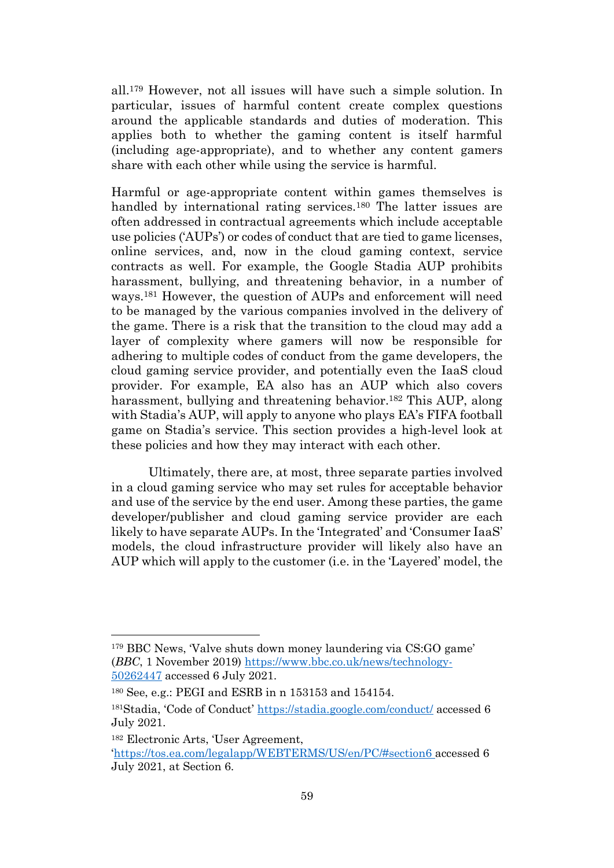all.<sup>179</sup> However, not all issues will have such a simple solution. In particular, issues of harmful content create complex questions around the applicable standards and duties of moderation. This applies both to whether the gaming content is itself harmful (including age-appropriate), and to whether any content gamers share with each other while using the service is harmful.

Harmful or age-appropriate content within games themselves is handled by international rating services.<sup>180</sup> The latter issues are often addressed in contractual agreements which include acceptable use policies ('AUPs') or codes of conduct that are tied to game licenses, online services, and, now in the cloud gaming context, service contracts as well. For example, the Google Stadia AUP prohibits harassment, bullying, and threatening behavior, in a number of ways. <sup>181</sup> However, the question of AUPs and enforcement will need to be managed by the various companies involved in the delivery of the game. There is a risk that the transition to the cloud may add a layer of complexity where gamers will now be responsible for adhering to multiple codes of conduct from the game developers, the cloud gaming service provider, and potentially even the IaaS cloud provider. For example, EA also has an AUP which also covers harassment, bullying and threatening behavior. <sup>182</sup> This AUP, along with Stadia's AUP, will apply to anyone who plays EA's FIFA football game on Stadia's service. This section provides a high-level look at these policies and how they may interact with each other.

Ultimately, there are, at most, three separate parties involved in a cloud gaming service who may set rules for acceptable behavior and use of the service by the end user. Among these parties, the game developer/publisher and cloud gaming service provider are each likely to have separate AUPs. In the 'Integrated' and 'Consumer IaaS' models, the cloud infrastructure provider will likely also have an AUP which will apply to the customer (i.e. in the 'Layered' model, the

<sup>179</sup> BBC News, 'Valve shuts down money laundering via CS:GO game' (*BBC*, 1 November 2019) [https://www.bbc.co.uk/news/technology-](https://www.bbc.co.uk/news/technology-50262447)[50262447](https://www.bbc.co.uk/news/technology-50262447) accessed 6 July 2021.

<sup>180</sup> See, e.g.: PEGI and ESRB in n [153153](#page-51-1) and [154154.](#page-51-2)

<sup>181</sup>Stadia, 'Code of Conduct' <https://stadia.google.com/conduct/> accessed 6 July 2021.

<sup>182</sup> Electronic Arts, 'User Agreement,

<sup>&#</sup>x27;<https://tos.ea.com/legalapp/WEBTERMS/US/en/PC/#section6> accessed 6 July 2021, at Section 6.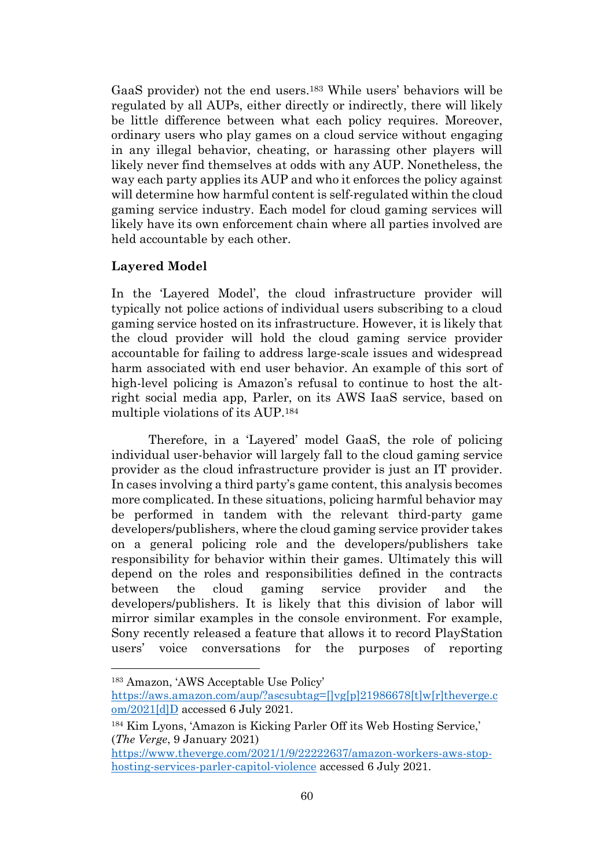GaaS provider) not the end users. <sup>183</sup> While users' behaviors will be regulated by all AUPs, either directly or indirectly, there will likely be little difference between what each policy requires. Moreover, ordinary users who play games on a cloud service without engaging in any illegal behavior, cheating, or harassing other players will likely never find themselves at odds with any AUP. Nonetheless, the way each party applies its AUP and who it enforces the policy against will determine how harmful content is self-regulated within the cloud gaming service industry. Each model for cloud gaming services will likely have its own enforcement chain where all parties involved are held accountable by each other.

# **Layered Model**

In the 'Layered Model', the cloud infrastructure provider will typically not police actions of individual users subscribing to a cloud gaming service hosted on its infrastructure. However, it is likely that the cloud provider will hold the cloud gaming service provider accountable for failing to address large-scale issues and widespread harm associated with end user behavior. An example of this sort of high-level policing is Amazon's refusal to continue to host the altright social media app, Parler, on its AWS IaaS service, based on multiple violations of its AUP.<sup>184</sup>

Therefore, in a 'Layered' model GaaS, the role of policing individual user-behavior will largely fall to the cloud gaming service provider as the cloud infrastructure provider is just an IT provider. In cases involving a third party's game content, this analysis becomes more complicated. In these situations, policing harmful behavior may be performed in tandem with the relevant third-party game developers/publishers, where the cloud gaming service provider takes on a general policing role and the developers/publishers take responsibility for behavior within their games. Ultimately this will depend on the roles and responsibilities defined in the contracts between the cloud gaming service provider and the developers/publishers. It is likely that this division of labor will mirror similar examples in the console environment. For example, Sony recently released a feature that allows it to record PlayStation users' voice conversations for the purposes of reporting

<sup>183</sup> Amazon, 'AWS Acceptable Use Policy'

[https://aws.amazon.com/aup/?ascsubtag=\[\]vg\[p\]21986678\[t\]w\[r\]theverge.c](https://aws.amazon.com/aup/?ascsubtag=%5b%5dvg%5bp%5d21986678%5bt%5dw%5br%5dtheverge.com/2021%5bd%5dD)  $om/2021[d]D$  accessed 6 July 2021.

<sup>184</sup> Kim Lyons, 'Amazon is Kicking Parler Off its Web Hosting Service,' (*The Verge*, 9 January 2021)

[https://www.theverge.com/2021/1/9/22222637/amazon-workers-aws-stop](https://www.theverge.com/2021/1/9/22222637/amazon-workers-aws-stop-hosting-services-parler-capitol-violence)[hosting-services-parler-capitol-violence](https://www.theverge.com/2021/1/9/22222637/amazon-workers-aws-stop-hosting-services-parler-capitol-violence) accessed 6 July 2021.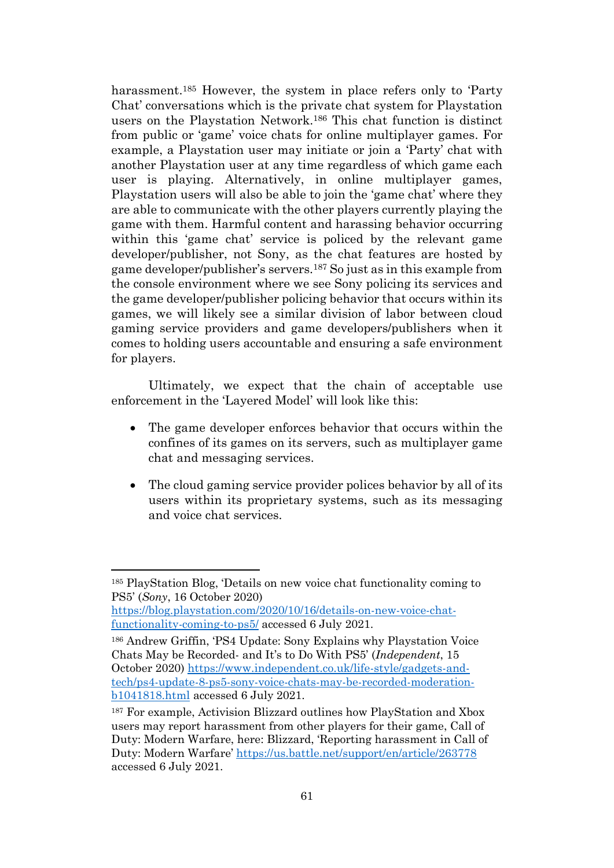harassment.<sup>185</sup> However, the system in place refers only to 'Party Chat' conversations which is the private chat system for Playstation users on the Playstation Network.<sup>186</sup> This chat function is distinct from public or 'game' voice chats for online multiplayer games. For example, a Playstation user may initiate or join a 'Party' chat with another Playstation user at any time regardless of which game each user is playing. Alternatively, in online multiplayer games, Playstation users will also be able to join the 'game chat' where they are able to communicate with the other players currently playing the game with them. Harmful content and harassing behavior occurring within this 'game chat' service is policed by the relevant game developer/publisher, not Sony, as the chat features are hosted by game developer/publisher's servers. <sup>187</sup> So just as in this example from the console environment where we see Sony policing its services and the game developer/publisher policing behavior that occurs within its games, we will likely see a similar division of labor between cloud gaming service providers and game developers/publishers when it comes to holding users accountable and ensuring a safe environment for players.

Ultimately, we expect that the chain of acceptable use enforcement in the 'Layered Model' will look like this:

- The game developer enforces behavior that occurs within the confines of its games on its servers, such as multiplayer game chat and messaging services.
- The cloud gaming service provider polices behavior by all of its users within its proprietary systems, such as its messaging and voice chat services.

<sup>185</sup> PlayStation Blog, 'Details on new voice chat functionality coming to PS5' (*Sony*, 16 October 2020)

[https://blog.playstation.com/2020/10/16/details-on-new-voice-chat](https://blog.playstation.com/2020/10/16/details-on-new-voice-chat-functionality-coming-to-ps5/)[functionality-coming-to-ps5/](https://blog.playstation.com/2020/10/16/details-on-new-voice-chat-functionality-coming-to-ps5/) accessed 6 July 2021.

<sup>186</sup> Andrew Griffin, 'PS4 Update: Sony Explains why Playstation Voice Chats May be Recorded- and It's to Do With PS5' (*Independent*, 15 October 2020) [https://www.independent.co.uk/life-style/gadgets-and](https://www.independent.co.uk/life-style/gadgets-and-tech/ps4-update-8-ps5-sony-voice-chats-may-be-recorded-moderation-b1041818.html)[tech/ps4-update-8-ps5-sony-voice-chats-may-be-recorded-moderation](https://www.independent.co.uk/life-style/gadgets-and-tech/ps4-update-8-ps5-sony-voice-chats-may-be-recorded-moderation-b1041818.html)[b1041818.html](https://www.independent.co.uk/life-style/gadgets-and-tech/ps4-update-8-ps5-sony-voice-chats-may-be-recorded-moderation-b1041818.html) accessed 6 July 2021.

<sup>187</sup> For example, Activision Blizzard outlines how PlayStation and Xbox users may report harassment from other players for their game, Call of Duty: Modern Warfare, here: Blizzard, 'Reporting harassment in Call of Duty: Modern Warfare' <https://us.battle.net/support/en/article/263778> accessed 6 July 2021.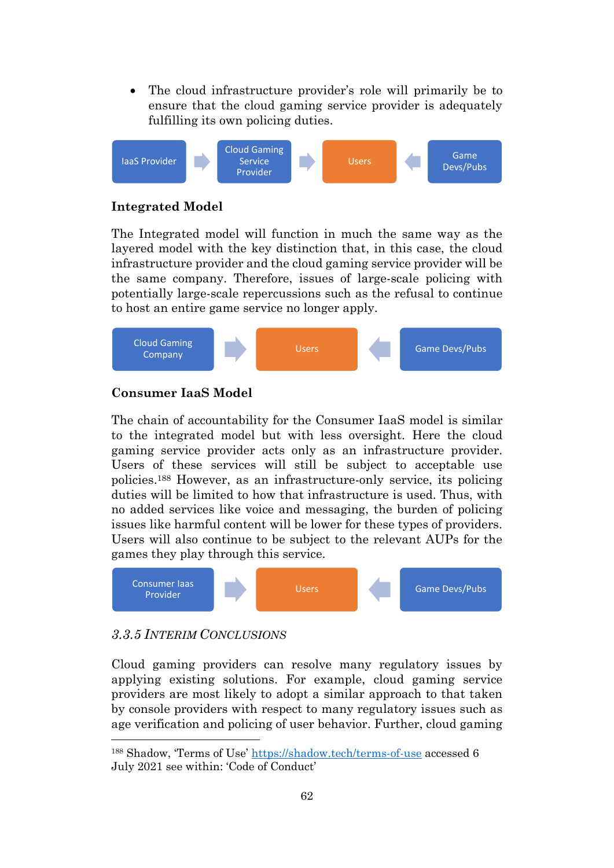The cloud infrastructure provider's role will primarily be to ensure that the cloud gaming service provider is adequately fulfilling its own policing duties.



# **Integrated Model**

The Integrated model will function in much the same way as the layered model with the key distinction that, in this case, the cloud infrastructure provider and the cloud gaming service provider will be the same company. Therefore, issues of large-scale policing with potentially large-scale repercussions such as the refusal to continue to host an entire game service no longer apply.



# **Consumer IaaS Model**

The chain of accountability for the Consumer IaaS model is similar to the integrated model but with less oversight. Here the cloud gaming service provider acts only as an infrastructure provider. Users of these services will still be subject to acceptable use policies. <sup>188</sup> However, as an infrastructure-only service, its policing duties will be limited to how that infrastructure is used. Thus, with no added services like voice and messaging, the burden of policing issues like harmful content will be lower for these types of providers. Users will also continue to be subject to the relevant AUPs for the games they play through this service.



# <span id="page-61-0"></span>*3.3.5 INTERIM CONCLUSIONS*

Cloud gaming providers can resolve many regulatory issues by applying existing solutions. For example, cloud gaming service providers are most likely to adopt a similar approach to that taken by console providers with respect to many regulatory issues such as age verification and policing of user behavior. Further, cloud gaming

<sup>188</sup> Shadow, 'Terms of Use' <https://shadow.tech/terms-of-use> accessed 6 July 2021 see within: 'Code of Conduct'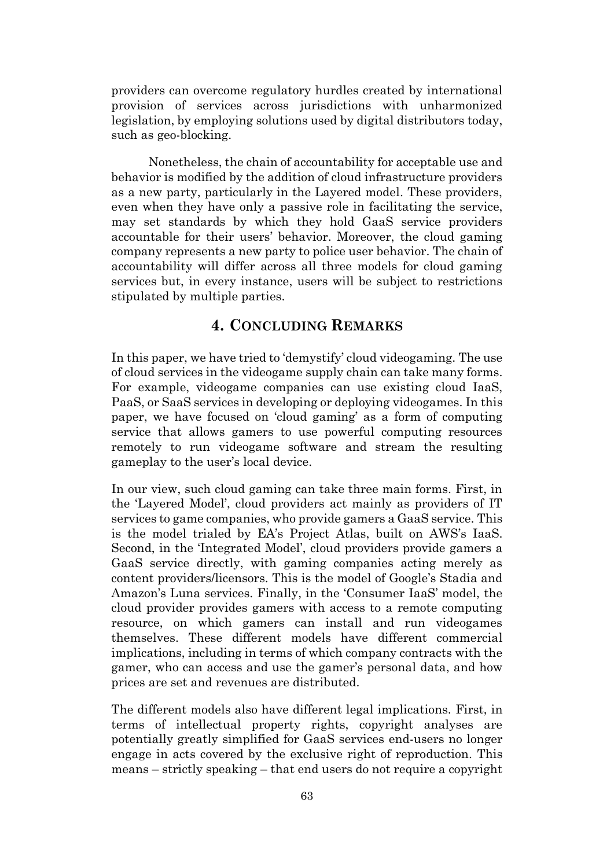providers can overcome regulatory hurdles created by international provision of services across jurisdictions with unharmonized legislation, by employing solutions used by digital distributors today, such as geo-blocking.

Nonetheless, the chain of accountability for acceptable use and behavior is modified by the addition of cloud infrastructure providers as a new party, particularly in the Layered model. These providers, even when they have only a passive role in facilitating the service, may set standards by which they hold GaaS service providers accountable for their users' behavior. Moreover, the cloud gaming company represents a new party to police user behavior. The chain of accountability will differ across all three models for cloud gaming services but, in every instance, users will be subject to restrictions stipulated by multiple parties.

# **4. CONCLUDING REMARKS**

<span id="page-62-0"></span>In this paper, we have tried to 'demystify' cloud videogaming. The use of cloud services in the videogame supply chain can take many forms. For example, videogame companies can use existing cloud IaaS, PaaS, or SaaS services in developing or deploying videogames. In this paper, we have focused on 'cloud gaming' as a form of computing service that allows gamers to use powerful computing resources remotely to run videogame software and stream the resulting gameplay to the user's local device.

In our view, such cloud gaming can take three main forms. First, in the 'Layered Model', cloud providers act mainly as providers of IT services to game companies, who provide gamers a GaaS service. This is the model trialed by EA's Project Atlas, built on AWS's IaaS. Second, in the 'Integrated Model', cloud providers provide gamers a GaaS service directly, with gaming companies acting merely as content providers/licensors. This is the model of Google's Stadia and Amazon's Luna services. Finally, in the 'Consumer IaaS' model, the cloud provider provides gamers with access to a remote computing resource, on which gamers can install and run videogames themselves. These different models have different commercial implications, including in terms of which company contracts with the gamer, who can access and use the gamer's personal data, and how prices are set and revenues are distributed.

The different models also have different legal implications. First, in terms of intellectual property rights, copyright analyses are potentially greatly simplified for GaaS services end-users no longer engage in acts covered by the exclusive right of reproduction. This means – strictly speaking – that end users do not require a copyright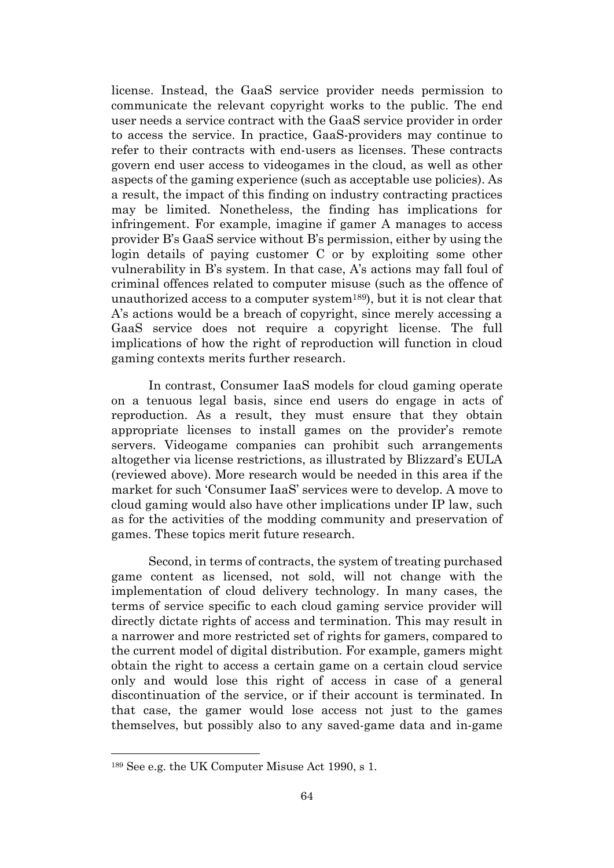license. Instead, the GaaS service provider needs permission to communicate the relevant copyright works to the public. The end user needs a service contract with the GaaS service provider in order to access the service. In practice, GaaS-providers may continue to refer to their contracts with end-users as licenses. These contracts govern end user access to videogames in the cloud, as well as other aspects of the gaming experience (such as acceptable use policies). As a result, the impact of this finding on industry contracting practices may be limited. Nonetheless, the finding has implications for infringement. For example, imagine if gamer A manages to access provider B's GaaS service without B's permission, either by using the login details of paying customer C or by exploiting some other vulnerability in B's system. In that case, A's actions may fall foul of criminal offences related to computer misuse (such as the offence of unauthorized access to a computer system189), but it is not clear that A's actions would be a breach of copyright, since merely accessing a GaaS service does not require a copyright license. The full implications of how the right of reproduction will function in cloud gaming contexts merits further research.

In contrast, Consumer IaaS models for cloud gaming operate on a tenuous legal basis, since end users do engage in acts of reproduction. As a result, they must ensure that they obtain appropriate licenses to install games on the provider's remote servers. Videogame companies can prohibit such arrangements altogether via license restrictions, as illustrated by Blizzard's EULA (reviewed above). More research would be needed in this area if the market for such 'Consumer IaaS' services were to develop. A move to cloud gaming would also have other implications under IP law, such as for the activities of the modding community and preservation of games. These topics merit future research.

Second, in terms of contracts, the system of treating purchased game content as licensed, not sold, will not change with the implementation of cloud delivery technology. In many cases, the terms of service specific to each cloud gaming service provider will directly dictate rights of access and termination. This may result in a narrower and more restricted set of rights for gamers, compared to the current model of digital distribution. For example, gamers might obtain the right to access a certain game on a certain cloud service only and would lose this right of access in case of a general discontinuation of the service, or if their account is terminated. In that case, the gamer would lose access not just to the games themselves, but possibly also to any saved-game data and in-game

<sup>189</sup> See e.g. the UK Computer Misuse Act 1990, s 1.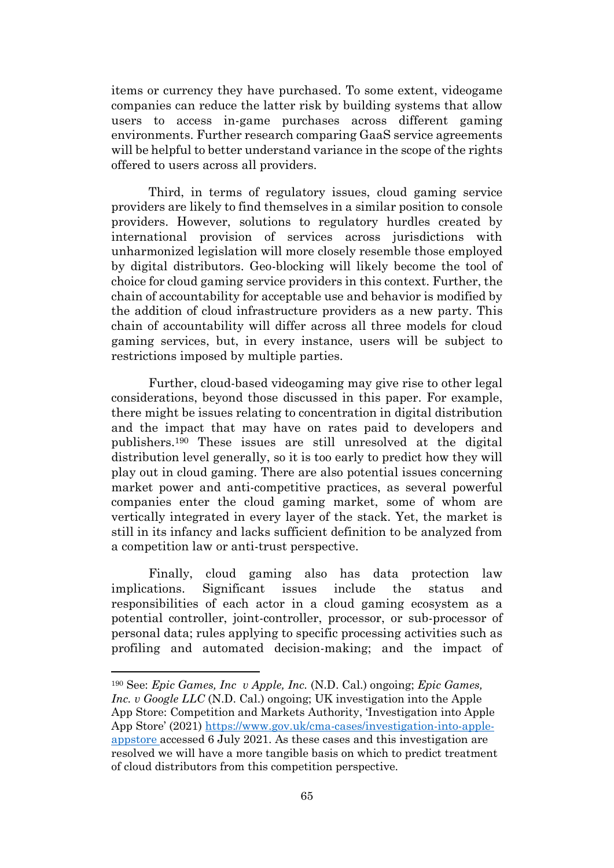items or currency they have purchased. To some extent, videogame companies can reduce the latter risk by building systems that allow users to access in-game purchases across different gaming environments. Further research comparing GaaS service agreements will be helpful to better understand variance in the scope of the rights offered to users across all providers.

Third, in terms of regulatory issues, cloud gaming service providers are likely to find themselves in a similar position to console providers. However, solutions to regulatory hurdles created by international provision of services across jurisdictions with unharmonized legislation will more closely resemble those employed by digital distributors. Geo-blocking will likely become the tool of choice for cloud gaming service providers in this context. Further, the chain of accountability for acceptable use and behavior is modified by the addition of cloud infrastructure providers as a new party. This chain of accountability will differ across all three models for cloud gaming services, but, in every instance, users will be subject to restrictions imposed by multiple parties.

Further, cloud-based videogaming may give rise to other legal considerations, beyond those discussed in this paper. For example, there might be issues relating to concentration in digital distribution and the impact that may have on rates paid to developers and publishers.<sup>190</sup> These issues are still unresolved at the digital distribution level generally, so it is too early to predict how they will play out in cloud gaming. There are also potential issues concerning market power and anti-competitive practices, as several powerful companies enter the cloud gaming market, some of whom are vertically integrated in every layer of the stack. Yet, the market is still in its infancy and lacks sufficient definition to be analyzed from a competition law or anti-trust perspective.

Finally, cloud gaming also has data protection law implications. Significant issues include the status and responsibilities of each actor in a cloud gaming ecosystem as a potential controller, joint-controller, processor, or sub-processor of personal data; rules applying to specific processing activities such as profiling and automated decision-making; and the impact of

<sup>190</sup> See: *Epic Games, Inc v Apple, Inc.* (N.D. Cal.) ongoing; *Epic Games, Inc. v Google LLC* (N.D. Cal.) ongoing; UK investigation into the Apple App Store: Competition and Markets Authority, 'Investigation into Apple App Store' (2021) [https://www.gov.uk/cma-cases/investigation-into-apple](https://www.gov.uk/cma-cases/investigation-into-apple-appstore)[appstore](https://www.gov.uk/cma-cases/investigation-into-apple-appstore) accessed 6 July 2021. As these cases and this investigation are resolved we will have a more tangible basis on which to predict treatment of cloud distributors from this competition perspective.